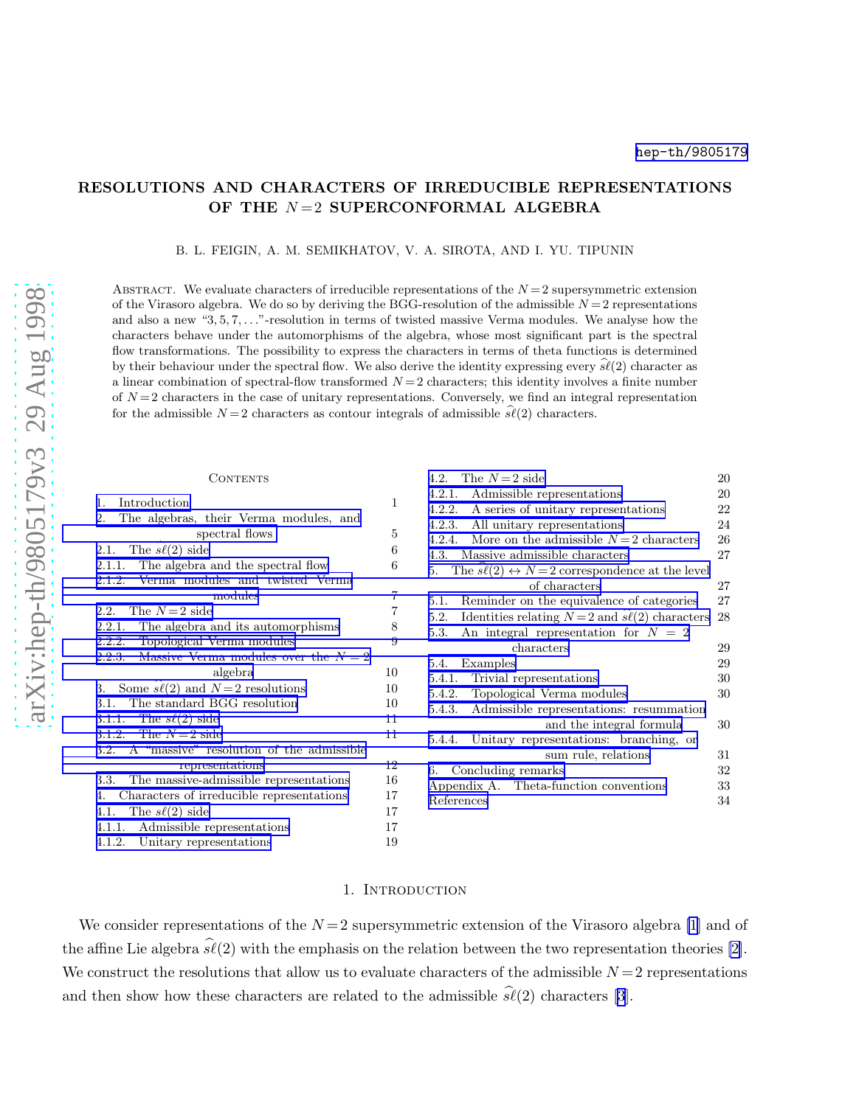## RESOLUTIONS AND CHARACTERS OF IRREDUCIBLE REPRESENTATIONS OF THE  $N=2$  SUPERCONFORMAL ALGEBRA

B. L. FEIGIN, A. M. SEMIKHATOV, V. A. SIROTA, AND I. YU. TIPUNIN

ABSTRACT. We evaluate characters of irreducible representations of the  $N = 2$  supersymmetric extension of the Virasoro algebra. We do so by deriving the BGG-resolution of the admissible  $N=2$  representations and also a new "3, 5, 7, . . ."-resolution in terms of twisted massive Verma modules. We analyse how the characters behave under the automorphisms of the algebra, whose most significant part is the spectral flow transformations. The possibility to express the characters in terms of theta functions is determined by their behaviour under the spectral flow. We also derive the identity expressing every  $\hat{s\ell}(2)$  character as a linear combination of spectral-flow transformed  $N = 2$  characters; this identity involves a finite number of  $N=2$  characters in the case of unitary representations. Conversely, we find an integral representation for the admissible  $N=2$  characters as contour integrals of admissible  $s\ell(2)$  characters.

#### **CONTENTS**

| Introduction<br>1.                                    | $\mathbf 1$ |
|-------------------------------------------------------|-------------|
| The algebras, their Verma modules, and<br>2.          |             |
| spectral flows                                        | 5           |
| The $\widehat{s\ell}(2)$ side<br>2.1.                 | 6           |
| The algebra and the spectral flow<br>2.1.1.           | 6           |
| 2.1.2. Verma modules and twisted Verma                |             |
| modules                                               | 7           |
| The $N=2$ side<br>2.2                                 | 7           |
| 2.2.1. The algebra and its automorphisms              | 8           |
| 2.2.2. Topological Verma modules                      | 9           |
| Massive Verma modules over the $N=2$<br>2.2.3.        |             |
| algebra                                               | 10          |
| Some $\widehat{s\ell}(2)$ and $N=2$ resolutions<br>3. | 10          |
| 3.1. The standard BGG resolution                      | 10          |
| 3.1.1. The $s\ell(2)$ side                            | 11          |
| 3.1.2. The $N=2$ side                                 | 11          |
| 3.2. A "massive" resolution of the admissible         |             |
| representations                                       | 12          |
| 3.3. The massive-admissible representations           | 16          |
| 4. Characters of irreducible representations          | 17          |
| 4.1. The $s\ell(2)$ side                              | 17          |
| Admissible representations<br>4.1.1.                  | 17          |
| 4.1.2. Unitary representations                        | 19          |
|                                                       |             |

| The $N=2$ side<br>4.2.                                               | 20 |
|----------------------------------------------------------------------|----|
| Admissible representations<br>4.2.1.                                 | 20 |
| 4.2.2.<br>A series of unitary representations                        | 22 |
| 4.2.3.<br>All unitary representations                                | 24 |
| More on the admissible $N=2$ characters<br>4.2.4.                    | 26 |
| Massive admissible characters<br>4.3.                                | 27 |
| The $s\ell(2) \leftrightarrow N=2$ correspondence at the level<br>5. |    |
| of characters                                                        | 27 |
| Reminder on the equivalence of categories<br>5.1.                    | 27 |
| Identities relating $N=2$ and $s\ell(2)$ characters<br>5.2.          | 28 |
| An integral representation for $N = 2$<br>5.3.                       |    |
| characters                                                           | 29 |
| Examples<br>5.4.                                                     | 29 |
| Trivial representations<br>5.4.1.                                    | 30 |
| Topological Verma modules<br>5.4.2.                                  | 30 |
| Admissible representations: resummation<br>5.4.3.                    |    |
| and the integral formula                                             | 30 |
| Unitary representations: branching, or<br>5.4.4.                     |    |
| sum rule, relations                                                  | 31 |
| Concluding remarks<br>6.                                             | 32 |
| Appendix A. Theta-function conventions                               | 33 |
| References                                                           | 34 |

#### 1. INTRODUCTION

We consider representations of the  $N=2$  supersymmetric extension of the Virasoro algebra [\[1\]](#page-33-0) and of the affine Lie algebra  $\widehat{s\ell}(2)$  with the emphasis on the relation between the two representation theories [\[2\]](#page-33-0). We construct the resolutions that allow us to evaluate characters of the admissible  $N = 2$  representations andthen show how these characters are related to the admissible  $s\ell(2)$  characters [[3](#page-33-0)].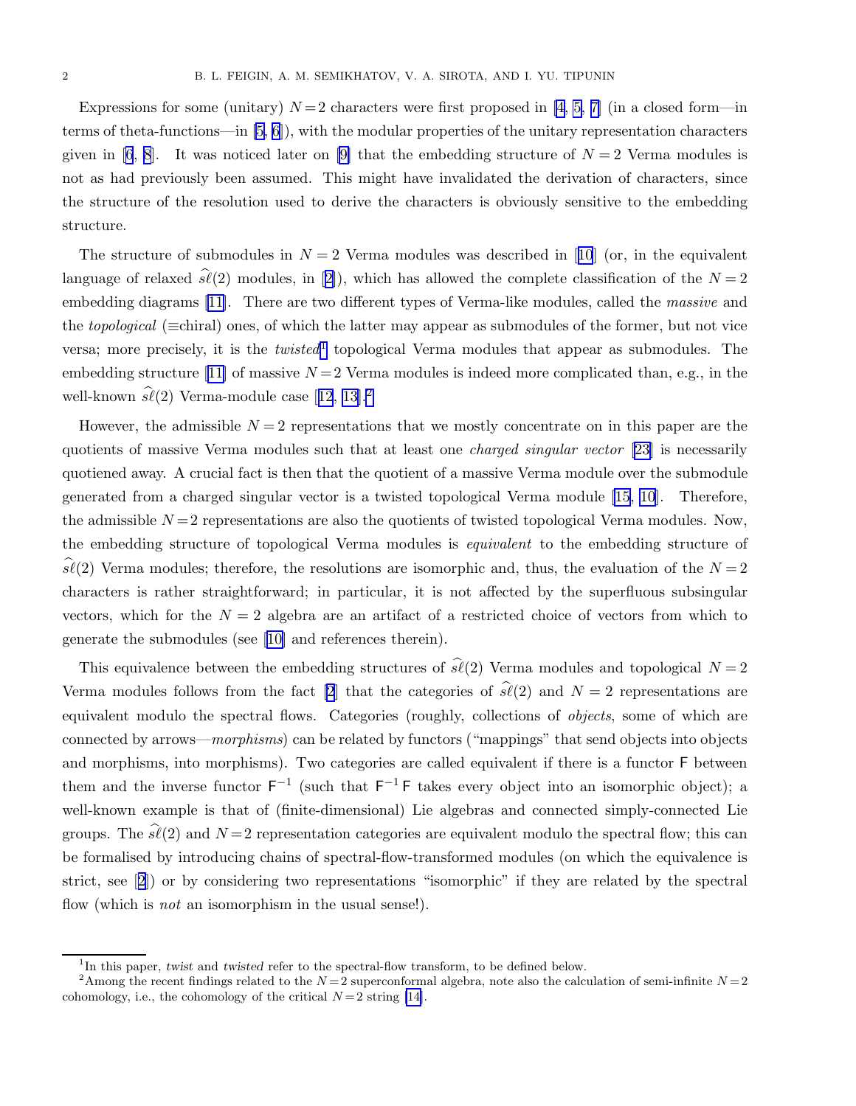Expressions for some (unitary)  $N=2$  characters were first proposed in [\[4, 5, 7\]](#page-33-0) (in a closed form—in terms of theta-functions—in  $(5, 6)$ , with the modular properties of the unitary representation characters given in [\[6](#page-33-0), [8](#page-33-0)]. It was noticed later on [\[9\]](#page-33-0) that the embedding structure of  $N=2$  Verma modules is not as had previously been assumed. This might have invalidated the derivation of characters, since the structure of the resolution used to derive the characters is obviously sensitive to the embedding structure.

Thestructure of submodules in  $N = 2$  Verma modules was described in [[10](#page-33-0)] (or, in the equivalent languageof relaxed  $\hat{s\ell}(2)$  $\hat{s\ell}(2)$  $\hat{s\ell}(2)$  modules, in [2]), which has allowed the complete classification of the  $N = 2$ embeddingdiagrams [[11\]](#page-33-0). There are two different types of Verma-like modules, called the *massive* and the topological (≡chiral) ones, of which the latter may appear as submodules of the former, but not vice versa; more precisely, it is the  $twisted<sup>1</sup>$  topological Verma modules that appear as submodules. The embeddingstructure [[11\]](#page-33-0) of massive  $N = 2$  Verma modules is indeed more complicated than, e.g., in the well-known $\widehat{\mathfrak{sl}}(2)$  Verma-module case [[12](#page-33-0), [13](#page-33-0)].<sup>2</sup>

However, the admissible  $N = 2$  representations that we mostly concentrate on in this paper are the quotients of massive Verma modules such that at least one *charged singular vector* [\[23](#page-33-0)] is necessarily quotiened away. A crucial fact is then that the quotient of a massive Verma module over the submodule generated from a charged singular vector is a twisted topological Verma module [\[15, 10](#page-33-0)]. Therefore, the admissible  $N = 2$  representations are also the quotients of twisted topological Verma modules. Now, the embedding structure of topological Verma modules is *equivalent* to the embedding structure of  $s\ell(2)$  Verma modules; therefore, the resolutions are isomorphic and, thus, the evaluation of the  $N=2$ characters is rather straightforward; in particular, it is not affected by the superfluous subsingular vectors, which for the  $N = 2$  algebra are an artifact of a restricted choice of vectors from which to generate the submodules (see [\[10\]](#page-33-0) and references therein).

This equivalence between the embedding structures of  $\hat{\mathfrak{sl}}(2)$  Verma modules and topological  $N = 2$ Verma modules follows from the fact [\[2](#page-33-0)] that the categories of  $\hat{\mathfrak{sl}}(2)$  and  $N = 2$  representations are equivalent modulo the spectral flows. Categories (roughly, collections of *objects*, some of which are connected by arrows—morphisms) can be related by functors ("mappings" that send objects into objects and morphisms, into morphisms). Two categories are called equivalent if there is a functor F between them and the inverse functor  $F^{-1}$  (such that  $F^{-1}F$  takes every object into an isomorphic object); a well-known example is that of (finite-dimensional) Lie algebras and connected simply-connected Lie groups. The  $\widehat{s\ell}(2)$  and  $N=2$  representation categories are equivalent modulo the spectral flow; this can be formalised by introducing chains of spectral-flow-transformed modules (on which the equivalence is strict, see[[2](#page-33-0)]) or by considering two representations "isomorphic" if they are related by the spectral flow (which is *not* an isomorphism in the usual sense!).

<sup>&</sup>lt;sup>1</sup>In this paper, twist and twisted refer to the spectral-flow transform, to be defined below.

<sup>&</sup>lt;sup>2</sup>Among the recent findings related to the  $N=2$  superconformal algebra, note also the calculation of semi-infinite  $N=2$ cohomology, i.e., the cohomology of the critical  $N=2$  string [\[14\]](#page-33-0).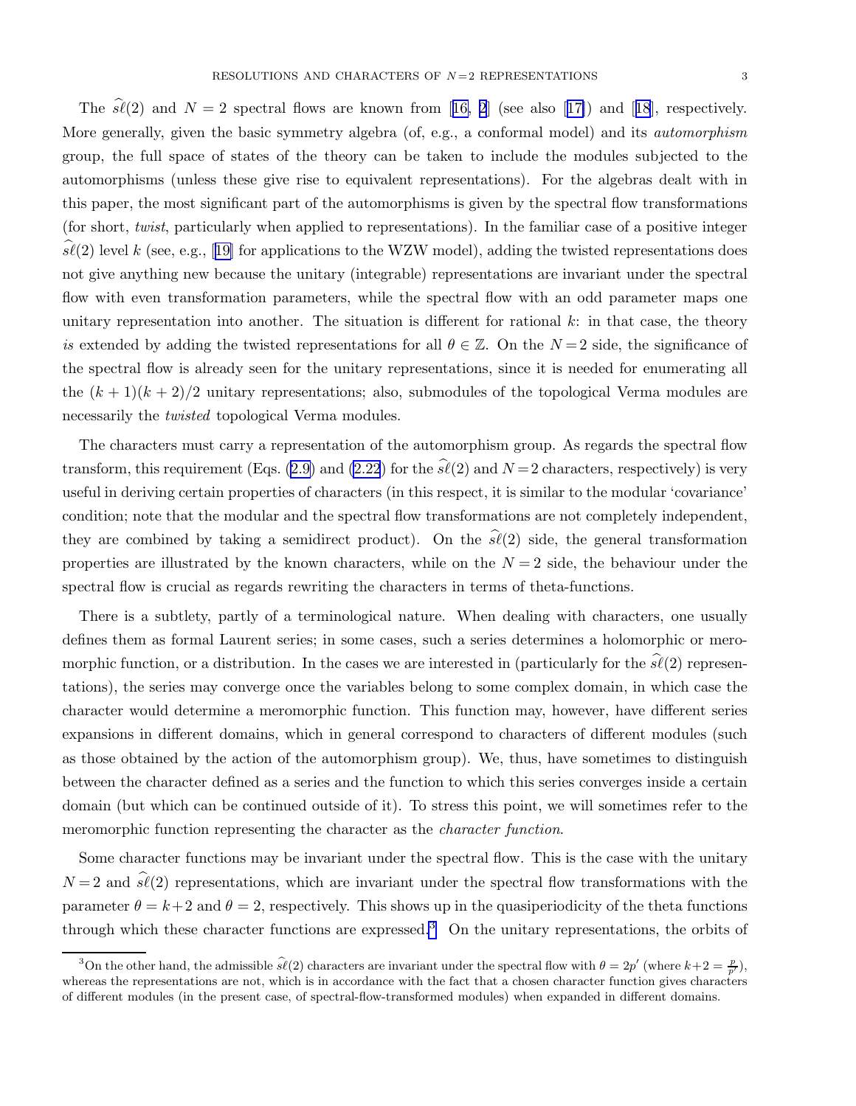The $\hat{\mathfrak{sl}}(2)$  and  $N = 2$  spectral flows are known from [[16, 2](#page-33-0)] (see also [[17\]](#page-33-0)) and [[18](#page-33-0)], respectively. More generally, given the basic symmetry algebra (of, e.g., a conformal model) and its *automorphism* group, the full space of states of the theory can be taken to include the modules subjected to the automorphisms (unless these give rise to equivalent representations). For the algebras dealt with in this paper, the most significant part of the automorphisms is given by the spectral flow transformations (for short, twist, particularly when applied to representations). In the familiar case of a positive integer  $s\ell(2)$ level k (see, e.g., [[19\]](#page-33-0) for applications to the WZW model), adding the twisted representations does not give anything new because the unitary (integrable) representations are invariant under the spectral flow with even transformation parameters, while the spectral flow with an odd parameter maps one unitary representation into another. The situation is different for rational  $k$ : in that case, the theory is extended by adding the twisted representations for all  $\theta \in \mathbb{Z}$ . On the  $N=2$  side, the significance of the spectral flow is already seen for the unitary representations, since it is needed for enumerating all the  $(k + 1)(k + 2)/2$  unitary representations; also, submodules of the topological Verma modules are necessarily the *twisted* topological Verma modules.

The characters must carry a representation of the automorphism group. As regards the spectral flow transform, this requirement (Eqs. [\(2.9\)](#page-5-0) and [\(2.22](#page-7-0)) for the  $\hat{\mathfrak{sl}}(2)$  and  $N=2$  characters, respectively) is very useful in deriving certain properties of characters (in this respect, it is similar to the modular 'covariance' condition; note that the modular and the spectral flow transformations are not completely independent, they are combined by taking a semidirect product). On the  $\hat{\mathfrak{sl}}(2)$  side, the general transformation properties are illustrated by the known characters, while on the  $N = 2$  side, the behaviour under the spectral flow is crucial as regards rewriting the characters in terms of theta-functions.

There is a subtlety, partly of a terminological nature. When dealing with characters, one usually defines them as formal Laurent series; in some cases, such a series determines a holomorphic or meromorphic function, or a distribution. In the cases we are interested in (particularly for the  $\hat{s}\ell(2)$  representations), the series may converge once the variables belong to some complex domain, in which case the character would determine a meromorphic function. This function may, however, have different series expansions in different domains, which in general correspond to characters of different modules (such as those obtained by the action of the automorphism group). We, thus, have sometimes to distinguish between the character defined as a series and the function to which this series converges inside a certain domain (but which can be continued outside of it). To stress this point, we will sometimes refer to the meromorphic function representing the character as the *character function*.

Some character functions may be invariant under the spectral flow. This is the case with the unitary  $N = 2$  and  $s\ell(2)$  representations, which are invariant under the spectral flow transformations with the parameter  $\theta = k+2$  and  $\theta = 2$ , respectively. This shows up in the quasiperiodicity of the theta functions through which these character functions are expressed.<sup>3</sup> On the unitary representations, the orbits of

<sup>&</sup>lt;sup>3</sup>On the other hand, the admissible  $\hat{s\ell}(2)$  characters are invariant under the spectral flow with  $\theta = 2p'$  (where  $k+2 = \frac{p}{p'}$ ), whereas the representations are not, which is in accordance with the fact that a chosen character function gives characters of different modules (in the present case, of spectral-flow-transformed modules) when expanded in different domains.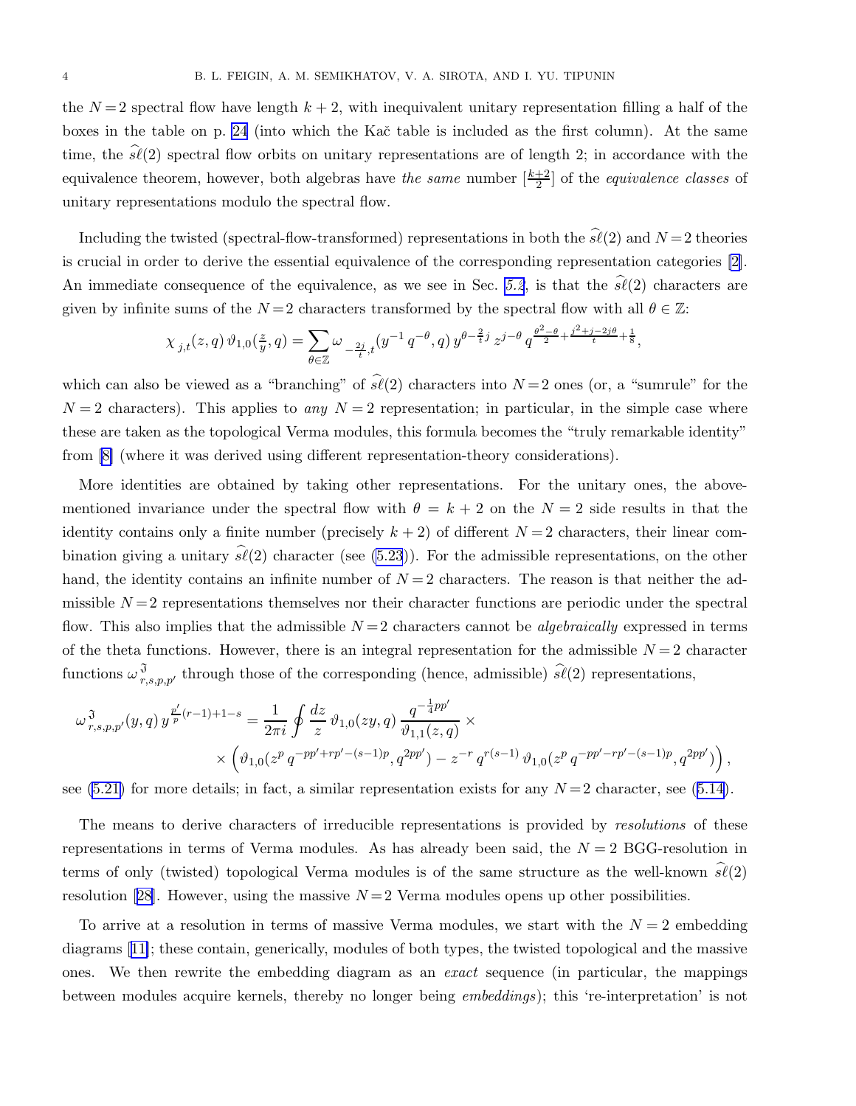the  $N=2$  spectral flow have length  $k+2$ , with inequivalent unitary representation filling a half of the boxes in the table on p. [24](#page-23-0) (into which the Kač table is included as the first column). At the same time, the  $\hat{sl}(2)$  spectral flow orbits on unitary representations are of length 2; in accordance with the equivalence theorem, however, both algebras have the same number  $\left[\frac{k+2}{2}\right]$  of the equivalence classes of unitary representations modulo the spectral flow.

Including the twisted (spectral-flow-transformed) representations in both the  $s\ell(2)$  and  $N=2$  theories is crucial in order to derive the essential equivalence of the corresponding representation categories [\[2\]](#page-33-0). An immediate consequence of the equivalence, as we see in Sec. [5.2](#page-27-0), is that the  $\hat{\mathscr{S}}(2)$  characters are given by infinite sums of the  $N=2$  characters transformed by the spectral flow with all  $\theta \in \mathbb{Z}$ :

$$
\chi_{j,t}(z,q) \,\vartheta_{1,0}(\tfrac{z}{y},q) = \sum_{\theta \in \mathbb{Z}} \omega_{\frac{-2j}{t},t}(y^{-1} \, q^{-\theta},q) \, y^{\theta - \frac{2}{t}j} \, z^{j-\theta} \, q^{\frac{\theta^2 - \theta}{2} + \frac{j^2 + j - 2j\theta}{t} + \frac{1}{8}},
$$

which can also be viewed as a "branching" of  $\hat{\mathfrak{sl}}(2)$  characters into  $N=2$  ones (or, a "sumrule" for the  $N = 2$  characters). This applies to any  $N = 2$  representation; in particular, in the simple case where these are taken as the topological Verma modules, this formula becomes the "truly remarkable identity" from [\[8\]](#page-33-0) (where it was derived using different representation-theory considerations).

More identities are obtained by taking other representations. For the unitary ones, the abovementioned invariance under the spectral flow with  $\theta = k + 2$  on the  $N = 2$  side results in that the identity contains only a finite number (precisely  $k + 2$ ) of different  $N = 2$  characters, their linear combination giving a unitary  $\widehat{s\ell}(2)$  character (see [\(5.23](#page-30-0))). For the admissible representations, on the other hand, the identity contains an infinite number of  $N = 2$  characters. The reason is that neither the admissible  $N=2$  representations themselves nor their character functions are periodic under the spectral flow. This also implies that the admissible  $N=2$  characters cannot be *algebraically* expressed in terms of the theta functions. However, there is an integral representation for the admissible  $N = 2$  character functions  $\omega_{r,s,p,p'}^3$  through those of the corresponding (hence, admissible)  $\hat{\mathscr{S}}(2)$  representations,

$$
\begin{split} \omega^{\mathfrak{J}}_{\;r,s,p,p'}(y,q) \, y^{\frac{p'}{p}(r-1)+1-s} & = \frac{1}{2\pi i} \oint \frac{dz}{z} \, \vartheta_{1,0}(zy,q) \, \frac{q^{-\frac{1}{4}pp'}}{\vartheta_{1,1}(z,q)} \times \\ & \times \Big( \vartheta_{1,0}(z^{p} \, q^{-pp'+rp'-(s-1)p}, q^{2pp'}) - z^{-r} \, q^{r(s-1)} \, \vartheta_{1,0}(z^{p} \, q^{-pp'-rp'-(s-1)p}, q^{2pp'}) \Big) \, , \end{split}
$$

see [\(5.21\)](#page-29-0)for more details; in fact, a similar representation exists for any  $N=2$  character, see ([5.14\)](#page-28-0).

The means to derive characters of irreducible representations is provided by *resolutions* of these representations in terms of Verma modules. As has already been said, the  $N = 2$  BGG-resolution in terms of only (twisted) topological Verma modules is of the same structure as the well-known  $\widehat{\mathscr{R}}(2)$ resolution[[28\]](#page-33-0). However, using the massive  $N=2$  Verma modules opens up other possibilities.

To arrive at a resolution in terms of massive Verma modules, we start with the  $N = 2$  embedding diagrams[[11\]](#page-33-0); these contain, generically, modules of both types, the twisted topological and the massive ones. We then rewrite the embedding diagram as an *exact* sequence (in particular, the mappings between modules acquire kernels, thereby no longer being embeddings); this 're-interpretation' is not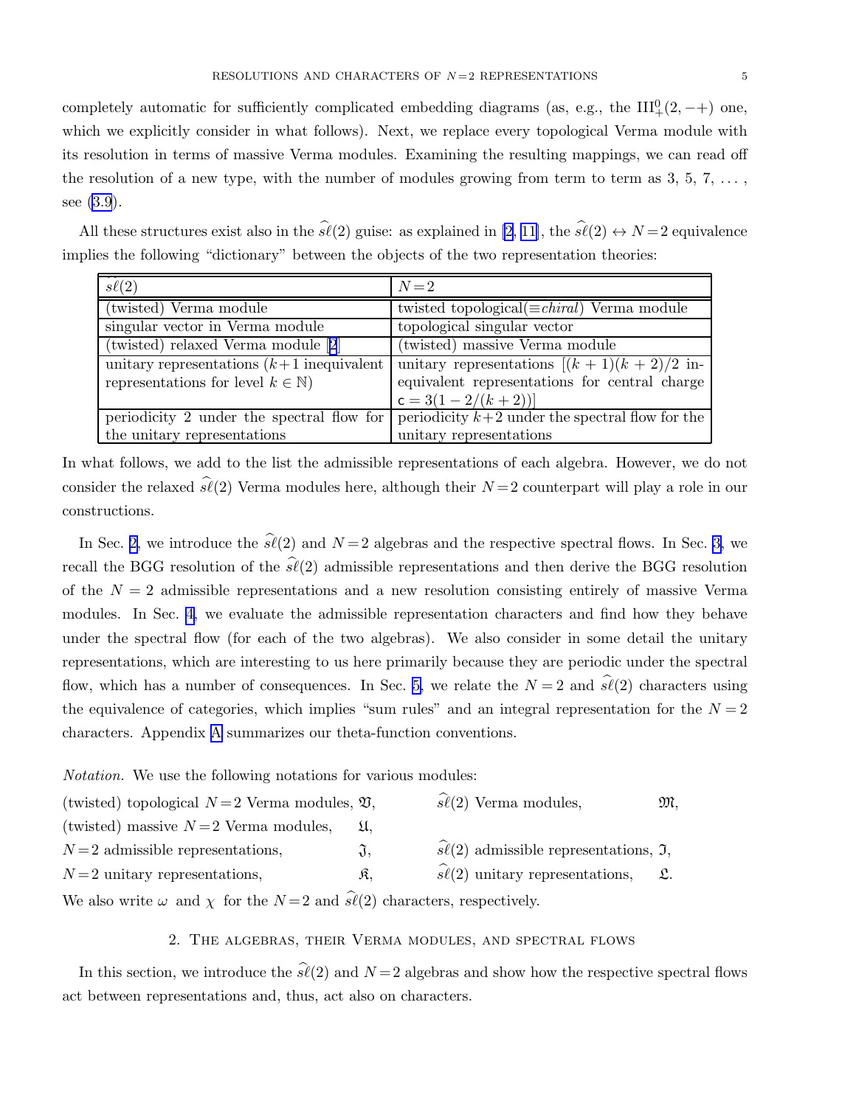<span id="page-4-0"></span>completely automatic for sufficiently complicated embedding diagrams (as, e.g., the  $III^0_+(2, -+)$ ) one, which we explicitly consider in what follows). Next, we replace every topological Verma module with its resolution in terms of massive Verma modules. Examining the resulting mappings, we can read off the resolution of a new type, with the number of modules growing from term to term as  $3, 5, 7, \ldots$ , see [\(3.9](#page-12-0)).

All these structures exist also in the  $\hat{s\ell}(2)$  guise: as explained in [\[2, 11\]](#page-33-0), the  $\hat{s\ell}(2) \leftrightarrow N=2$  equivalence implies the following "dictionary" between the objects of the two representation theories:

| $s\ell(2)$                                     | $N=2$                                                      |
|------------------------------------------------|------------------------------------------------------------|
| (twisted) Verma module                         | twisted topological( $\equiv$ <i>chiral</i> ) Verma module |
| singular vector in Verma module                | topological singular vector                                |
| (twisted) relaxed Verma module [2]             | (twisted) massive Verma module                             |
| unitary representations $(k+1)$ inequivalent   | unitary representations $[(k+1)(k+2)/2$ in-                |
| representations for level $k \in \mathbb{N}$ ) | equivalent representations for central charge              |
|                                                | $c = 3(1 - 2/(k + 2))$                                     |
| periodicity 2 under the spectral flow for      | periodicity $k+2$ under the spectral flow for the          |
| the unitary representations                    | unitary representations                                    |

In what follows, we add to the list the admissible representations of each algebra. However, we do not consider the relaxed  $\hat{\mathfrak{sl}}(2)$  Verma modules here, although their  $N=2$  counterpart will play a role in our constructions.

In Sec. 2, we introduce the  $\hat{\mathfrak{sl}}(2)$  and  $N=2$  algebras and the respective spectral flows. In Sec. [3,](#page-9-0) we recall the BGG resolution of the  $\hat{sl}(2)$  admissible representations and then derive the BGG resolution of the  $N = 2$  admissible representations and a new resolution consisting entirely of massive Verma modules. In Sec. [4,](#page-16-0) we evaluate the admissible representation characters and find how they behave under the spectral flow (for each of the two algebras). We also consider in some detail the unitary representations, which are interesting to us here primarily because they are periodic under the spectral flow, which has a number of consequences. In Sec. [5,](#page-26-0) we relate the  $N=2$  and  $\hat{s\ell}(2)$  characters using the equivalence of categories, which implies "sum rules" and an integral representation for the  $N = 2$ characters. Appendix [A](#page-32-0) summarizes our theta-function conventions.

Notation. We use the following notations for various modules:

| (twisted) topological $N=2$ Verma modules, $\mathfrak{V},$                                         |                 | $s\ell(2)$ Verma modules,                                        | M,              |
|----------------------------------------------------------------------------------------------------|-----------------|------------------------------------------------------------------|-----------------|
| (twisted) massive $N=2$ Verma modules,                                                             |                 |                                                                  |                 |
| $N=2$ admissible representations,                                                                  | $\mathfrak{J},$ | $\widehat{s\ell}(2)$ admissible representations, $\mathfrak{I},$ |                 |
| $N=2$ unitary representations,                                                                     | R.              | $s\ell(2)$ unitary representations,                              | $\mathfrak{L}.$ |
| We also write $\omega$ and $\chi$ for the $N=2$ and $\widehat{s\ell}(2)$ characters, respectively. |                 |                                                                  |                 |

2. The algebras, their Verma modules, and spectral flows

In this section, we introduce the  $\widehat{\mathfrak{sl}}(2)$  and  $N=2$  algebras and show how the respective spectral flows act between representations and, thus, act also on characters.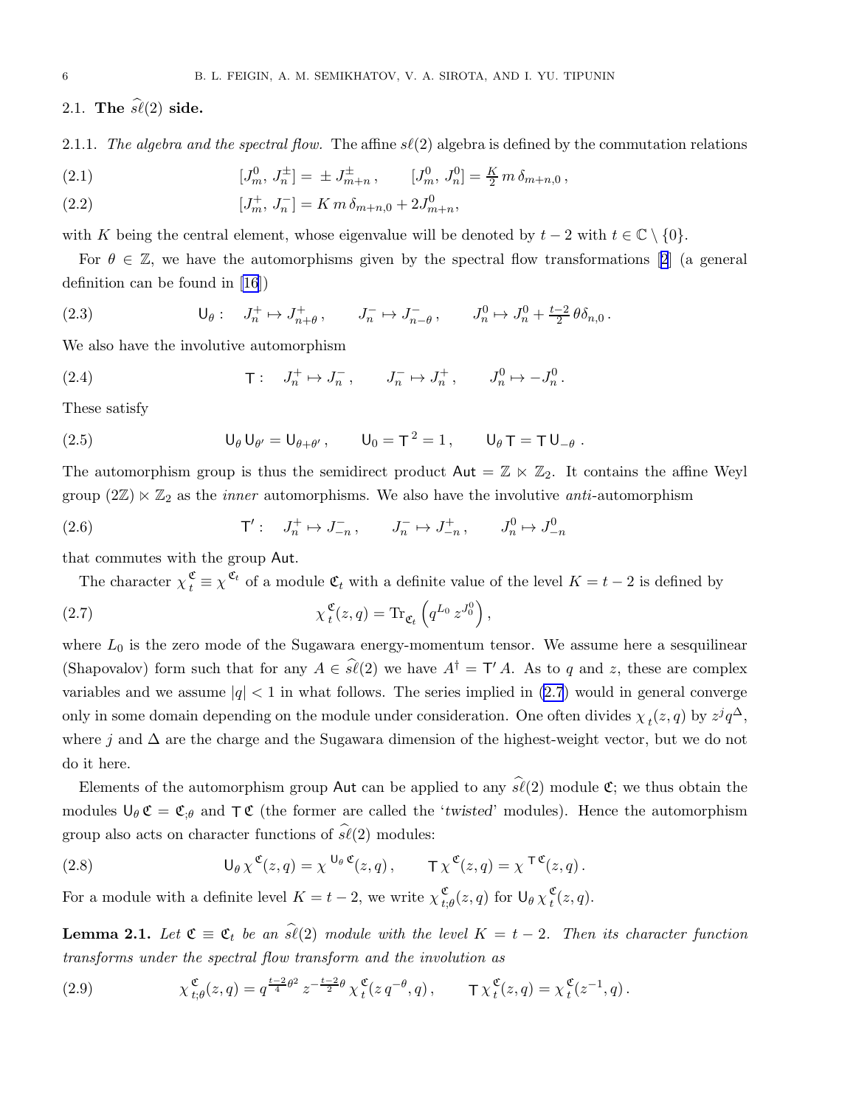<span id="page-5-0"></span>2.1. The  $\widehat{\mathfrak{sl}}(2)$  side.

2.1.1. The algebra and the spectral flow. The affine  $s\ell(2)$  algebra is defined by the commutation relations

(2.1) 
$$
[J_m^0, J_n^{\pm}] = \pm J_{m+n}^{\pm}, \qquad [J_m^0, J_n^0] = \frac{K}{2} m \delta_{m+n,0},
$$

(2.2) 
$$
[J_m^+, J_n^-] = K m \, \delta_{m+n,0} + 2J_{m+n}^0,
$$

with K being the central element, whose eigenvalue will be denoted by  $t - 2$  with  $t \in \mathbb{C} \setminus \{0\}$ .

For $\theta \in \mathbb{Z}$ , we have the automorphisms given by the spectral flow transformations [[2](#page-33-0)] (a general definition can be found in [\[16](#page-33-0)])

(2.3) 
$$
\mathsf{U}_{\theta}: \quad J_n^+ \mapsto J_{n+\theta}^+, \qquad J_n^- \mapsto J_{n-\theta}^-, \qquad J_n^0 \mapsto J_n^0 + \tfrac{t-2}{2} \theta \delta_{n,0}.
$$

We also have the involutive automorphism

(2.4) 
$$
\qquad \qquad \mathsf{T}: \quad J_n^+ \mapsto J_n^-, \qquad J_n^- \mapsto J_n^+, \qquad J_n^0 \mapsto -J_n^0.
$$

These satisfy

(2.5) 
$$
U_{\theta} U_{\theta'} = U_{\theta + \theta'}, \qquad U_0 = T^2 = 1, \qquad U_{\theta} T = T U_{-\theta}.
$$

The automorphism group is thus the semidirect product  $\mathsf{Aut} = \mathbb{Z} \ltimes \mathbb{Z}_2$ . It contains the affine Weyl group  $(2\mathbb{Z}) \times \mathbb{Z}_2$  as the *inner* automorphisms. We also have the involutive *anti*-automorphism

(2.6) 
$$
\mathsf{T}' : \quad J_n^+ \mapsto J_{-n}^-, \qquad J_n^- \mapsto J_{-n}^+, \qquad J_n^0 \mapsto J_{-n}^0
$$

that commutes with the group Aut.

The character  $\chi_t^{\mathfrak{C}} \equiv \chi^{\mathfrak{C}_t}$  of a module  $\mathfrak{C}_t$  with a definite value of the level  $K = t - 2$  is defined by

(2.7) 
$$
\chi_t^{\mathfrak{C}}(z,q) = \text{Tr}_{\mathfrak{C}_t} \left( q^{L_0} z^{J_0^0} \right),
$$

where  $L_0$  is the zero mode of the Sugawara energy-momentum tensor. We assume here a sesquilinear (Shapovalov) form such that for any  $A \in s\ell(2)$  we have  $A^{\dagger} = \mathsf{T}' A$ . As to q and z, these are complex variables and we assume  $|q| < 1$  in what follows. The series implied in (2.7) would in general converge only in some domain depending on the module under consideration. One often divides  $\chi_t(z,q)$  by  $z^j q^{\Delta}$ , where j and  $\Delta$  are the charge and the Sugawara dimension of the highest-weight vector, but we do not do it here.

Elements of the automorphism group Aut can be applied to any  $\hat{\mathfrak{sl}}(2)$  module  $\mathfrak{C}$ ; we thus obtain the modules  $\bigcup_{\theta} \mathfrak{C} = \mathfrak{C}_{\theta}$  and  $\top \mathfrak{C}$  (the former are called the 'twisted' modules). Hence the automorphism group also acts on character functions of  $\widehat{s\ell}(2)$  modules:

(2.8) 
$$
\mathsf{U}_{\theta} \chi^{\mathfrak{C}}(z,q) = \chi^{\mathsf{U}_{\theta} \mathfrak{C}}(z,q), \qquad \mathsf{T} \chi^{\mathfrak{C}}(z,q) = \chi^{\mathsf{T} \mathfrak{C}}(z,q).
$$

For a module with a definite level  $K = t - 2$ , we write  $\chi$ <sup>c</sup><sub>t</sub>,  $\frac{\mathfrak{C}}{t;\theta}(z,q)$  for  $\mathsf{U}_\theta\,\chi\frac{\mathfrak{C}}{t}$  $\mathcal{L}(z,q).$ 

**Lemma 2.1.** Let  $\mathfrak{C} \equiv \mathfrak{C}_t$  be an  $\widehat{\mathfrak{sl}}(2)$  module with the level  $K = t - 2$ . Then its character function transforms under the spectral flow transform and the involution as

(2.9) 
$$
\chi_{t;\theta}^{\mathfrak{C}}(z,q) = q^{\frac{t-2}{4}\theta^2} z^{-\frac{t-2}{2}\theta} \chi_{t}^{\mathfrak{C}}(z q^{-\theta}, q), \qquad \mathsf{T} \chi_{t}^{\mathfrak{C}}(z,q) = \chi_{t}^{\mathfrak{C}}(z^{-1}, q).
$$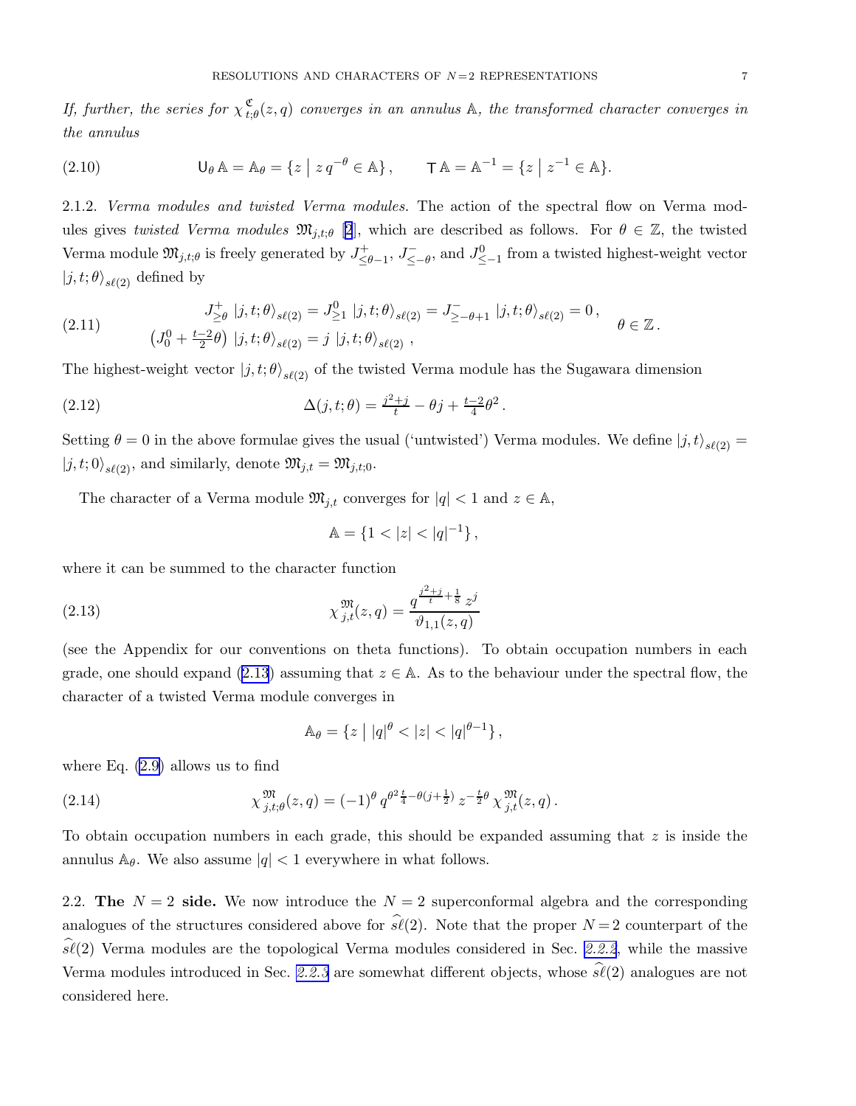<span id="page-6-0"></span>If, further, the series for  $\chi_t^{\mathfrak{C}}$  $\mathfrak{C}_{t; \theta}(z,q)$  converges in an annulus  $\mathbb A$ , the transformed character converges in the annulus

(2.10) 
$$
\mathsf{U}_{\theta} \mathbb{A} = \mathbb{A}_{\theta} = \{ z \mid z q^{-\theta} \in \mathbb{A} \}, \qquad \mathsf{T} \mathbb{A} = \mathbb{A}^{-1} = \{ z \mid z^{-1} \in \mathbb{A} \}.
$$

2.1.2. Verma modules and twisted Verma modules. The action of the spectral flow on Verma modules gives twisted Verma modules  $\mathfrak{M}_{i,t;\theta}$  [\[2](#page-33-0)], which are described as follows. For  $\theta \in \mathbb{Z}$ , the twisted Verma module  $\mathfrak{M}_{j,t;\theta}$  is freely generated by  $J^+_{\leq t}$  $\frac{J^+}{\leq \theta-1}$ ,  $J^-_{\leq -\theta}$ , and  $J^0_{\leq -1}$  from a twisted highest-weight vector  $|j, t; \theta\rangle_{s\ell(2)}$  defined by

(2.11) 
$$
J_{\geq \theta}^{+} |j, t; \theta\rangle_{s\ell(2)} = J_{\geq 1}^{0} |j, t; \theta\rangle_{s\ell(2)} = J_{\geq -\theta+1}^{-} |j, t; \theta\rangle_{s\ell(2)} = 0, \quad \theta \in \mathbb{Z}.
$$

$$
(J_{0}^{0} + \frac{t-2}{2}\theta) |j, t; \theta\rangle_{s\ell(2)} = j |j, t; \theta\rangle_{s\ell(2)},
$$

The highest-weight vector  $|j,t;\theta\rangle_{s\ell(2)}$  of the twisted Verma module has the Sugawara dimension

(2.12) 
$$
\Delta(j, t; \theta) = \frac{j^2 + j}{t} - \theta j + \frac{t - 2}{4} \theta^2.
$$

Setting  $\theta = 0$  in the above formulae gives the usual ('untwisted') Verma modules. We define  $|j, t\rangle_{s\ell(2)} =$  $|j, t; 0\rangle_{s\ell(2)}$ , and similarly, denote  $\mathfrak{M}_{j,t} = \mathfrak{M}_{j,t;0}$ .

The character of a Verma module  $\mathfrak{M}_{j,t}$  converges for  $|q| < 1$  and  $z \in \mathbb{A}$ ,

$$
\mathbb{A} = \{ 1 < |z| < |q|^{-1} \},
$$

where it can be summed to the character function

(2.13) 
$$
\chi_{j,t}^{\mathfrak{M}}(z,q) = \frac{q^{\frac{j^2+j}{t} + \frac{1}{8}} z^j}{\vartheta_{1,1}(z,q)}
$$

(see the Appendix for our conventions on theta functions). To obtain occupation numbers in each grade, one should expand (2.13) assuming that  $z \in A$ . As to the behaviour under the spectral flow, the character of a twisted Verma module converges in

$$
\mathbb{A}_{\theta} = \{ z \mid |q|^{\theta} < |z| < |q|^{\theta - 1} \},
$$

where Eq. [\(2.9\)](#page-5-0) allows us to find

(2.14) 
$$
\chi_{j,t;\theta}^{\mathfrak{M}}(z,q) = (-1)^{\theta} q^{\theta^2 \frac{t}{4} - \theta(j + \frac{1}{2})} z^{-\frac{t}{2}\theta} \chi_{j,t}^{\mathfrak{M}}(z,q).
$$

To obtain occupation numbers in each grade, this should be expanded assuming that z is inside the annulus  $\mathbb{A}_{\theta}$ . We also assume  $|q| < 1$  everywhere in what follows.

2.2. The  $N = 2$  side. We now introduce the  $N = 2$  superconformal algebra and the corresponding analogues of the structures considered above for  $\hat{\mathfrak{sl}}(2)$ . Note that the proper  $N = 2$  counterpart of the  $\widehat{\mathfrak{sl}}(2)$  Verma modules are the topological Verma modules considered in Sec. [2.2.2](#page-8-0), while the massive Verma modules introduced in Sec. [2.2.3](#page-9-0) are somewhat different objects, whose  $\hat{s\ell}(2)$  analogues are not considered here.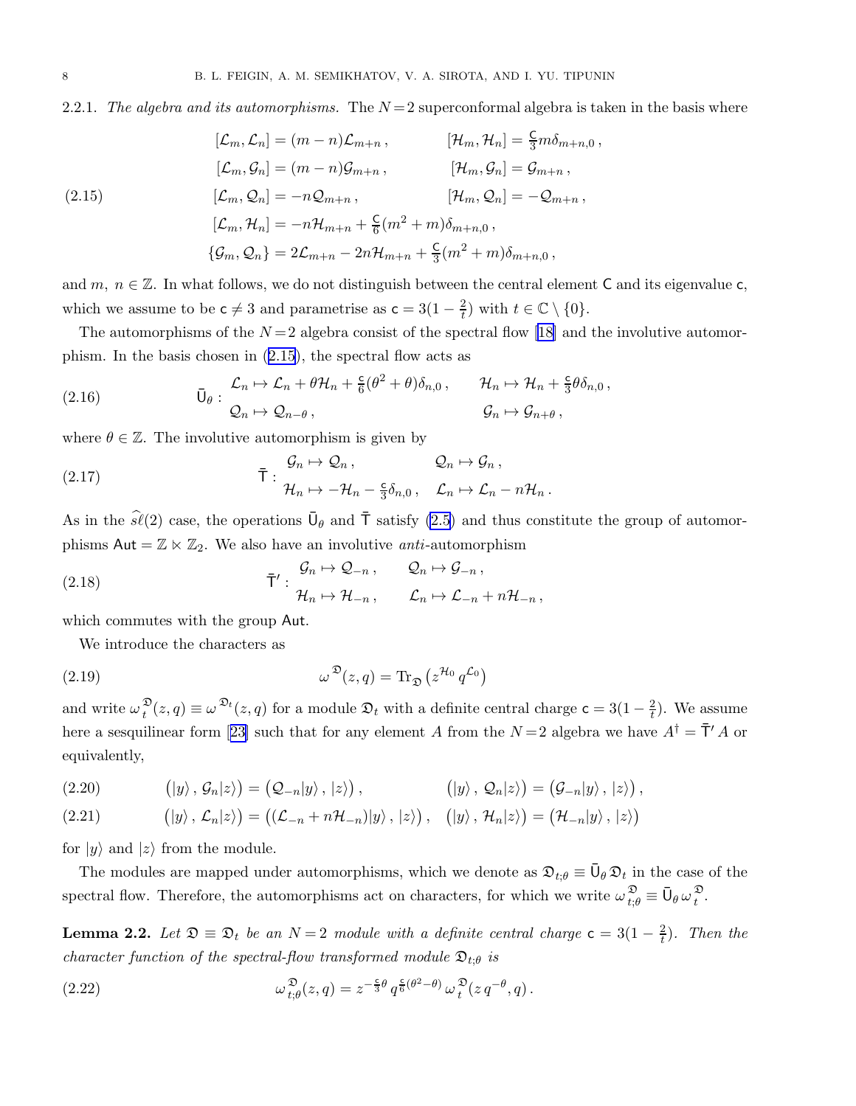### <span id="page-7-0"></span>2.2.1. The algebra and its automorphisms. The  $N=2$  superconformal algebra is taken in the basis where

(2.15)  
\n
$$
[\mathcal{L}_m, \mathcal{L}_n] = (m - n)\mathcal{L}_{m+n}, \qquad [\mathcal{H}_m, \mathcal{H}_n] = \frac{C}{3}m\delta_{m+n,0},
$$
\n
$$
[\mathcal{L}_m, \mathcal{G}_n] = (m - n)\mathcal{G}_{m+n}, \qquad [\mathcal{H}_m, \mathcal{G}_n] = \mathcal{G}_{m+n},
$$
\n
$$
[\mathcal{L}_m, \mathcal{Q}_n] = -n\mathcal{Q}_{m+n}, \qquad [\mathcal{H}_m, \mathcal{Q}_n] = -\mathcal{Q}_{m+n},
$$
\n
$$
[\mathcal{L}_m, \mathcal{H}_n] = -n\mathcal{H}_{m+n} + \frac{C}{6}(m^2 + m)\delta_{m+n,0},
$$
\n
$$
\{\mathcal{G}_m, \mathcal{Q}_n\} = 2\mathcal{L}_{m+n} - 2n\mathcal{H}_{m+n} + \frac{C}{3}(m^2 + m)\delta_{m+n,0},
$$

and m,  $n \in \mathbb{Z}$ . In what follows, we do not distinguish between the central element C and its eigenvalue c, which we assume to be  $c \neq 3$  and parametrise as  $c = 3(1 - \frac{2}{t})$  $(\frac{2}{t})$  with  $t \in \mathbb{C} \setminus \{0\}.$ 

Theautomorphisms of the  $N=2$  algebra consist of the spectral flow [[18\]](#page-33-0) and the involutive automorphism. In the basis chosen in (2.15), the spectral flow acts as

(2.16) 
$$
\overline{U}_{\theta} : \begin{array}{l} \mathcal{L}_n \mapsto \mathcal{L}_n + \theta \mathcal{H}_n + \frac{c}{6} (\theta^2 + \theta) \delta_{n,0} \,, \qquad \mathcal{H}_n \mapsto \mathcal{H}_n + \frac{c}{3} \theta \delta_{n,0} \,, \\ \mathcal{Q}_n \mapsto \mathcal{Q}_{n-\theta} \,, \qquad \qquad \mathcal{G}_n \mapsto \mathcal{G}_{n+\theta} \,, \end{array}
$$

where  $\theta \in \mathbb{Z}$ . The involutive automorphism is given by

(2.17) 
$$
\bar{T}: \begin{array}{ll}\mathcal{G}_n \mapsto \mathcal{Q}_n, & \mathcal{Q}_n \mapsto \mathcal{G}_n, \\ \mathcal{H}_n \mapsto -\mathcal{H}_n - \frac{c}{3}\delta_{n,0}, & \mathcal{L}_n \mapsto \mathcal{L}_n - n\mathcal{H}_n.\end{array}
$$

As in the  $\hat{s\ell}(2)$  case, the operations  $\bar{\mathsf{U}}_{\theta}$  and  $\bar{\mathsf{T}}$  satisfy  $(2.5)$  and thus constitute the group of automorphisms  $Aut = \mathbb{Z} \ltimes \mathbb{Z}_2$ . We also have an involutive *anti*-automorphism

(2.18) 
$$
\bar{T}' : \begin{array}{ll} \mathcal{G}_n \mapsto \mathcal{Q}_{-n} \,, & \mathcal{Q}_n \mapsto \mathcal{G}_{-n} \,, \\ \mathcal{H}_n \mapsto \mathcal{H}_{-n} \,, & \mathcal{L}_n \mapsto \mathcal{L}_{-n} + n\mathcal{H}_{-n} \,, \end{array}
$$

which commutes with the group Aut.

We introduce the characters as

(2.19) 
$$
\omega^{\mathfrak{D}}(z,q) = \text{Tr}_{\mathfrak{D}}(z^{\mathcal{H}_0} q^{\mathcal{L}_0})
$$

and write  $\omega_t^{\mathfrak{D}}$  $\mathcal{L}_t^{\mathfrak{D}}(z,q) \equiv \omega^{\mathfrak{D}_t}(z,q)$  for a module  $\mathfrak{D}_t$  with a definite central charge  $\mathsf{c} = 3(1 - \frac{2}{t})$  $\frac{2}{t}$ ). We assume herea sesquilinear form [[23\]](#page-33-0) such that for any element A from the  $N=2$  algebra we have  $A^{\dagger} = \bar{\mathsf{T}}' A$  or equivalently,

$$
(2.20) \qquad (|y\rangle, \mathcal{G}_n|z\rangle) = (Q_{-n}|y\rangle, |z\rangle), \qquad (|y\rangle, \mathcal{Q}_n|z\rangle) = (G_{-n}|y\rangle, |z\rangle),
$$

(2.21) 
$$
(|y\rangle, \mathcal{L}_n|z\rangle) = ((\mathcal{L}_{-n} + n\mathcal{H}_{-n})|y\rangle, |z\rangle), (|y\rangle, \mathcal{H}_n|z\rangle) = (\mathcal{H}_{-n}|y\rangle, |z\rangle)
$$

for  $|y\rangle$  and  $|z\rangle$  from the module.

The modules are mapped under automorphisms, which we denote as  $\mathfrak{D}_{t;\theta} \equiv \bar{U}_{\theta} \mathfrak{D}_t$  in the case of the spectral flow. Therefore, the automorphisms act on characters, for which we write  $\omega_{t;\theta}^{\mathfrak{D}} \equiv \bar{\mathsf{U}}_{\theta} \omega_t^{\mathfrak{D}}$  $\frac{v}{t}$ .

**Lemma 2.2.** Let  $\mathfrak{D} \equiv \mathfrak{D}_t$  be an  $N = 2$  module with a definite central charge  $\mathsf{c} = 3(1 - \frac{2}{t})$  $\frac{2}{t}$ ). Then the character function of the spectral-flow transformed module  $\mathfrak{D}_{t;\theta}$  is

(2.22) 
$$
\omega_{t;\theta}^{\mathfrak{D}}(z,q) = z^{-\frac{\mathsf{c}}{3}\theta} q^{\frac{\mathsf{c}}{6}(\theta^2-\theta)} \omega_t^{\mathfrak{D}}(z q^{-\theta},q).
$$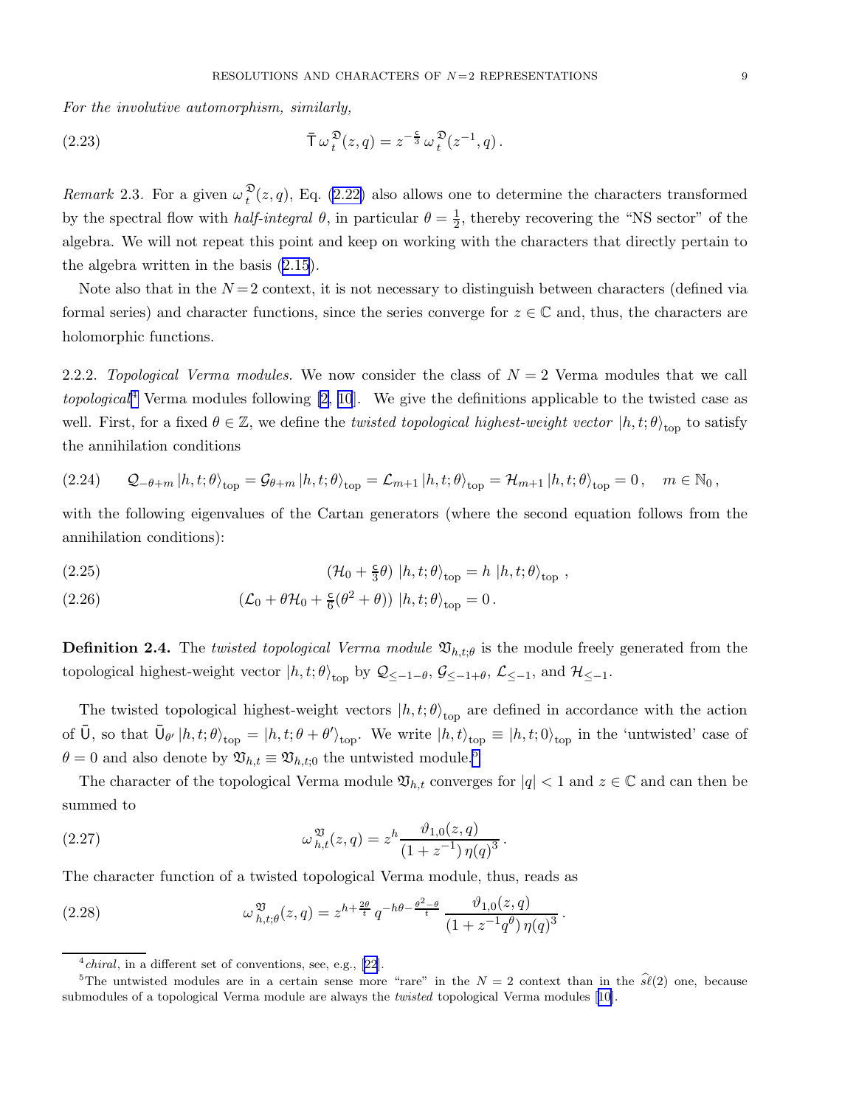<span id="page-8-0"></span>For the involutive automorphism, similarly,

(2.23) 
$$
\overline{T}\,\omega_t^{\mathfrak{D}}(z,q) = z^{-\frac{c}{3}}\,\omega_t^{\mathfrak{D}}(z^{-1},q).
$$

*Remark* 2.3. For a given  $\omega_t^{\mathfrak{D}}$  $t^2(z,q)$ , Eq. [\(2.22\)](#page-7-0) also allows one to determine the characters transformed by the spectral flow with *half-integral*  $\theta$ , in particular  $\theta = \frac{1}{2}$  $\frac{1}{2}$ , thereby recovering the "NS sector" of the algebra. We will not repeat this point and keep on working with the characters that directly pertain to the algebra written in the basis [\(2.15](#page-7-0)).

Note also that in the  $N=2$  context, it is not necessary to distinguish between characters (defined via formal series) and character functions, since the series converge for  $z \in \mathbb{C}$  and, thus, the characters are holomorphic functions.

2.2.2. Topological Verma modules. We now consider the class of  $N = 2$  Verma modules that we call *topological*<sup>4</sup> Verma modules following [\[2, 10](#page-33-0)]. We give the definitions applicable to the twisted case as well. First, for a fixed  $\theta \in \mathbb{Z}$ , we define the *twisted topological highest-weight vector*  $|h, t; \theta \rangle_{\text{top}}$  to satisfy the annihilation conditions

$$
(2.24) \qquad \mathcal{Q}_{-\theta+m}\left|h,t;\theta\right\rangle_{\rm top}=\mathcal{G}_{\theta+m}\left|h,t;\theta\right\rangle_{\rm top}=\mathcal{L}_{m+1}\left|h,t;\theta\right\rangle_{\rm top}=\mathcal{H}_{m+1}\left|h,t;\theta\right\rangle_{\rm top}=0\,,\quad m\in\mathbb{N}_0\,,
$$

with the following eigenvalues of the Cartan generators (where the second equation follows from the annihilation conditions):

(2.25) 
$$
(\mathcal{H}_0 + \frac{c}{3}\theta) |h, t; \theta\rangle_{\text{top}} = h |h, t; \theta\rangle_{\text{top}} ,
$$

(2.26) 
$$
(\mathcal{L}_0 + \theta \mathcal{H}_0 + \frac{\epsilon}{6} (\theta^2 + \theta)) |h, t; \theta \rangle_{\text{top}} = 0.
$$

**Definition 2.4.** The twisted topological Verma module  $\mathfrak{V}_{h,t;\theta}$  is the module freely generated from the topological highest-weight vector  $|h, t; \theta\rangle_{\text{top}}$  by  $\mathcal{Q}_{\leq -1-\theta}$ ,  $\mathcal{G}_{\leq -1+\theta}$ ,  $\mathcal{L}_{\leq -1}$ , and  $\mathcal{H}_{\leq -1}$ .

The twisted topological highest-weight vectors  $|h, t; \theta\rangle_{\text{top}}$  are defined in accordance with the action of  $\overline{U}$ , so that  $\overline{U}_{\theta'} | h, t; \theta \rangle_{\text{top}} = |h, t; \theta + \theta' \rangle_{\text{top}}$ . We write  $|h, t \rangle_{\text{top}} \equiv |h, t; 0 \rangle_{\text{top}}$  in the 'untwisted' case of  $\theta = 0$  and also denote by  $\mathfrak{V}_{h,t} \equiv \mathfrak{V}_{h,t,0}$  the untwisted module.<sup>5</sup>

The character of the topological Verma module  $\mathfrak{V}_{h,t}$  converges for  $|q| < 1$  and  $z \in \mathbb{C}$  and can then be summed to

(2.27) 
$$
\omega_{h,t}^{\mathfrak{V}}(z,q) = z^h \frac{\vartheta_{1,0}(z,q)}{(1+z^{-1}) \eta(q)^3}.
$$

The character function of a twisted topological Verma module, thus, reads as

(2.28) 
$$
\omega_{h,t;\theta}^{\mathfrak{V}}(z,q) = z^{h+\frac{2\theta}{t}} q^{-h\theta - \frac{\theta^2 - \theta}{t}} \frac{\vartheta_{1,0}(z,q)}{(1 + z^{-1}q^{\theta})\eta(q)^3}.
$$

 $^{4}$ *chiral*,in a different set of conventions, see, e.g., [[22](#page-33-0)].

<sup>&</sup>lt;sup>5</sup>The untwisted modules are in a certain sense more "rare" in the  $N = 2$  context than in the  $\hat{s\ell}(2)$  one, because submodulesof a topological Verma module are always the *twisted* topological Verma modules [[10](#page-33-0)].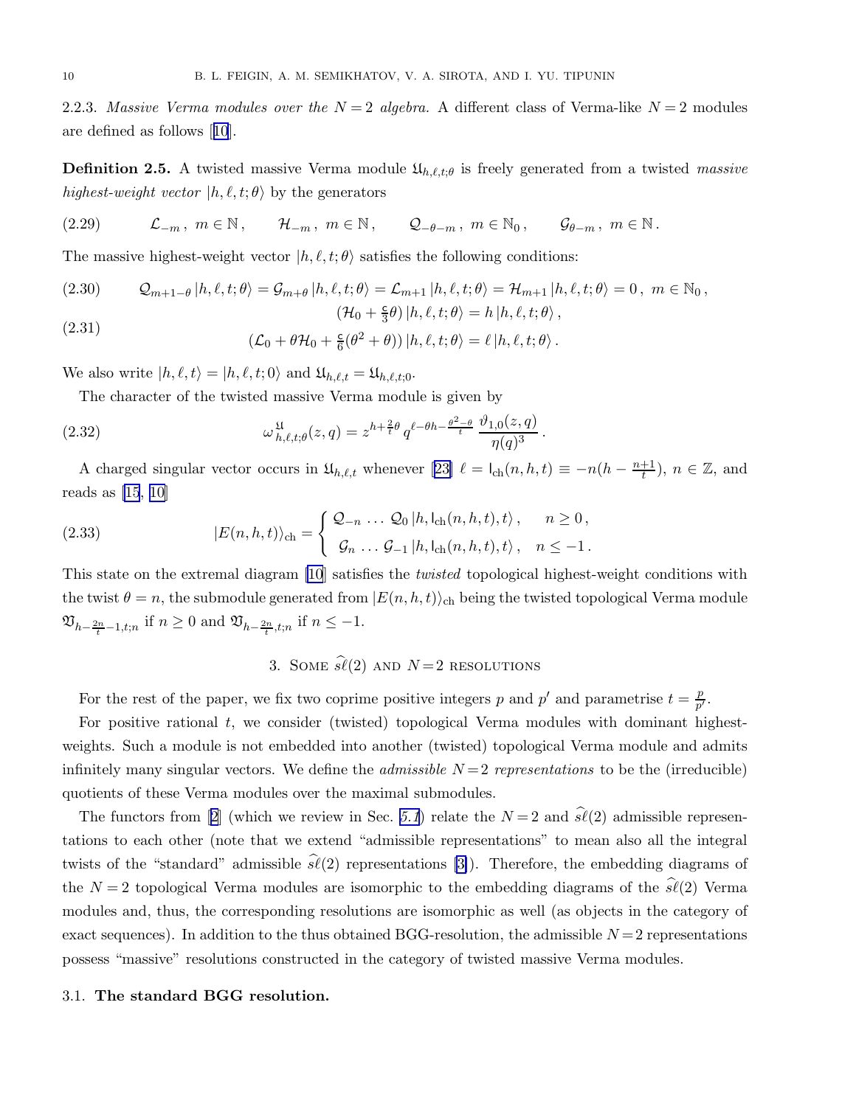<span id="page-9-0"></span>2.2.3. Massive Verma modules over the  $N=2$  algebra. A different class of Verma-like  $N=2$  modules are defined as follows[[10](#page-33-0)].

**Definition 2.5.** A twisted massive Verma module  $\mathfrak{U}_{h,\ell,t;\theta}$  is freely generated from a twisted massive highest-weight vector  $|h, \ell, t; \theta \rangle$  by the generators

(2.29) 
$$
\mathcal{L}_{-m}, m \in \mathbb{N}, \qquad \mathcal{H}_{-m}, m \in \mathbb{N}, \qquad \mathcal{Q}_{-\theta-m}, m \in \mathbb{N}_0, \qquad \mathcal{G}_{\theta-m}, m \in \mathbb{N}.
$$

The massive highest-weight vector  $|h, \ell, t; \theta\rangle$  satisfies the following conditions:

(2.30) 
$$
\mathcal{Q}_{m+1-\theta}|h,\ell,t;\theta\rangle = \mathcal{G}_{m+\theta}|h,\ell,t;\theta\rangle = \mathcal{L}_{m+1}|h,\ell,t;\theta\rangle = \mathcal{H}_{m+1}|h,\ell,t;\theta\rangle = 0, \quad m \in \mathbb{N}_0,
$$

$$
(\mathcal{H}_0 + \frac{c}{3}\theta)|h,\ell,t;\theta\rangle = h|h,\ell,t;\theta\rangle,
$$

(2.31) 
$$
(\mathcal{L}_0 + \theta \mathcal{H}_0 + \frac{c}{6}(\theta^2 + \theta)) |h, \ell, t; \theta \rangle = \ell |h, \ell, t; \theta \rangle.
$$

We also write  $|h, \ell, t\rangle = |h, \ell, t; 0\rangle$  and  $\mathfrak{U}_{h, \ell, t} = \mathfrak{U}_{h, \ell, t; 0}$ .

The character of the twisted massive Verma module is given by

(2.32) 
$$
\omega_{h,\ell,t;\theta}^{\mathfrak{U}}(z,q) = z^{h+\frac{2}{t}\theta} q^{\ell-\theta h - \frac{\theta^2-\theta}{t}} \frac{\vartheta_{1,0}(z,q)}{\eta(q)^3}.
$$

Acharged singular vector occurs in  $\mathfrak{U}_{h,\ell,t}$  whenever [[23\]](#page-33-0)  $\ell = \mathsf{I}_{ch}(n,h,t) \equiv -n(h - \frac{n+1}{t})$  $\frac{+1}{t}$ ),  $n \in \mathbb{Z}$ , and reads as [\[15](#page-33-0), [10\]](#page-33-0)

(2.33) 
$$
|E(n,h,t)\rangle_{\text{ch}} = \begin{cases} \mathcal{Q}_{-n} \dots \mathcal{Q}_0 |h, l_{\text{ch}}(n,h,t), t \rangle, & n \ge 0, \\ \mathcal{G}_n \dots \mathcal{G}_{-1} |h, l_{\text{ch}}(n,h,t), t \rangle, & n \le -1. \end{cases}
$$

This state on the extremal diagram [\[10](#page-33-0)] satisfies the *twisted* topological highest-weight conditions with the twist  $\theta = n$ , the submodule generated from  $|E(n, h, t)\rangle$ <sub>ch</sub> being the twisted topological Verma module  $\mathfrak{V}_{h-\frac{2n}{t}-1,t;n}$  if  $n \geq 0$  and  $\mathfrak{V}_{h-\frac{2n}{t},t;n}$  if  $n \leq -1$ .

# 3. SOME  $\widehat{\mathfrak{sl}}(2)$  AND  $N=2$  RESOLUTIONS

For the rest of the paper, we fix two coprime positive integers p and p' and parametrise  $t = \frac{p}{n'}$  $\frac{p}{p^{\prime }}.$ 

For positive rational  $t$ , we consider (twisted) topological Verma modules with dominant highestweights. Such a module is not embedded into another (twisted) topological Verma module and admits infinitely many singular vectors. We define the *admissible*  $N=2$  representations to be the (irreducible) quotients of these Verma modules over the maximal submodules.

Thefunctors from [[2](#page-33-0)] (which we review in Sec. [5.1](#page-26-0)) relate the  $N=2$  and  $\hat{\mathfrak{sl}}(2)$  admissible representations to each other (note that we extend "admissible representations" to mean also all the integral twists of the "standard" admissible  $\hat{\mathcal{S}}(2)$  representations [\[3\]](#page-33-0)). Therefore, the embedding diagrams of the  $N = 2$  topological Verma modules are isomorphic to the embedding diagrams of the  $\hat{s}\ell(2)$  Verma modules and, thus, the corresponding resolutions are isomorphic as well (as objects in the category of exact sequences). In addition to the thus obtained BGG-resolution, the admissible  $N=2$  representations possess "massive" resolutions constructed in the category of twisted massive Verma modules.

#### 3.1. The standard BGG resolution.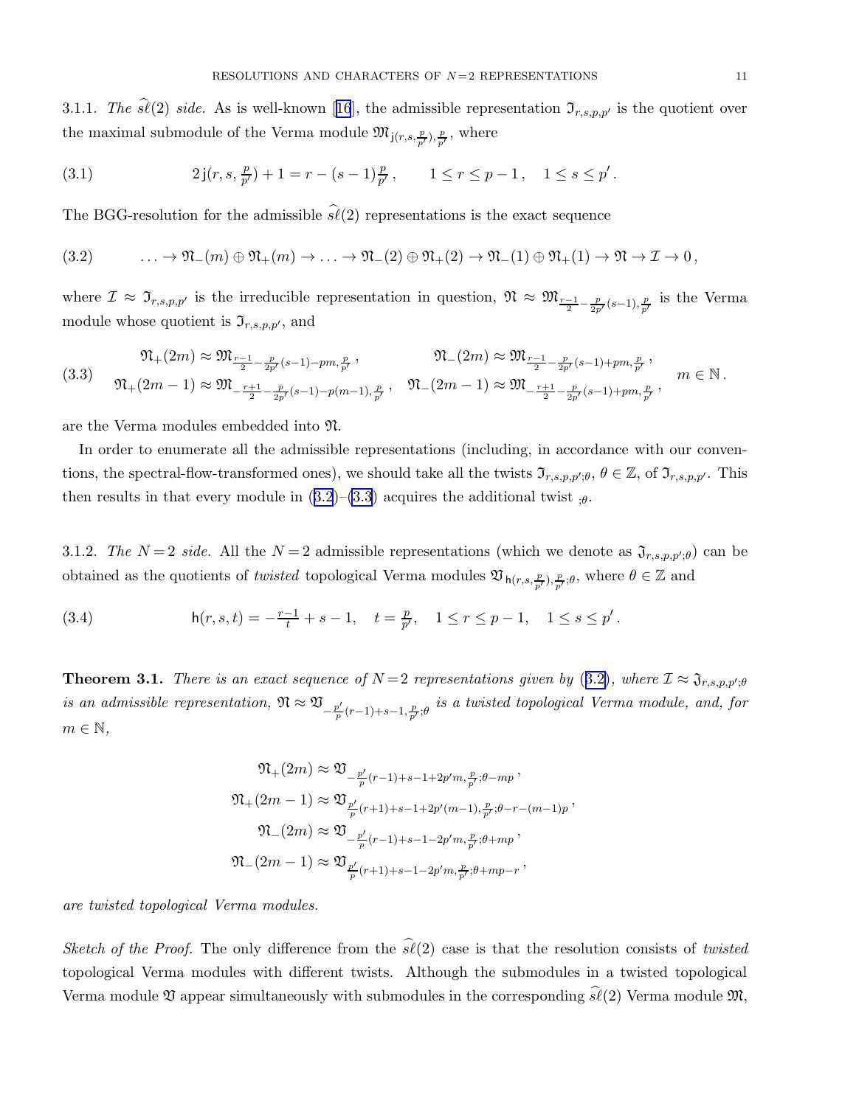<span id="page-10-0"></span>3.1.1.The  $\hat{s}\ell(2)$  side. As is well-known [[16](#page-33-0)], the admissible representation  $\mathfrak{I}_{r,s,p,p'}$  is the quotient over the maximal submodule of the Verma module  $\mathfrak{M}_{j(r,s,\frac{p}{p'}),\frac{p}{p'}}$ , where

(3.1) 
$$
2j(r, s, \frac{p}{p'}) + 1 = r - (s - 1)\frac{p}{p'}, \qquad 1 \le r \le p - 1, \quad 1 \le s \le p'.
$$

The BGG-resolution for the admissible  $\hat{\mathfrak{sl}}(2)$  representations is the exact sequence

(3.2) 
$$
\ldots \to \mathfrak{N}_{-}(m) \oplus \mathfrak{N}_{+}(m) \to \ldots \to \mathfrak{N}_{-}(2) \oplus \mathfrak{N}_{+}(2) \to \mathfrak{N}_{-}(1) \oplus \mathfrak{N}_{+}(1) \to \mathfrak{N} \to \mathcal{I} \to 0,
$$

where  $\mathcal{I} \approx \mathfrak{I}_{r,s,p,p'}$  is the irreducible representation in question,  $\mathfrak{N} \approx \mathfrak{M}_{\frac{r-1}{2}-\frac{p}{2p'}(s-1),\frac{p}{p'}}$  is the Verma module whose quotient is  $\mathfrak{I}_{r,s,p,p'}$ , and

$$
(3.3) \quad \mathfrak{N}_{+}(2m) \approx \mathfrak{M}_{\frac{r-1}{2} - \frac{p}{2p'}(s-1) - pm, \frac{p}{p'}}, \qquad \mathfrak{N}_{-}(2m) \approx \mathfrak{M}_{\frac{r-1}{2} - \frac{p}{2p'}(s-1) + pm, \frac{p}{p'}},
$$
\n
$$
(3.3) \quad \mathfrak{N}_{+}(2m-1) \approx \mathfrak{M}_{-\frac{r+1}{2} - \frac{p}{2p'}(s-1) - p(m-1), \frac{p}{p'}}, \qquad \mathfrak{N}_{-}(2m-1) \approx \mathfrak{M}_{-\frac{r+1}{2} - \frac{p}{2p'}(s-1) + pm, \frac{p}{p'}}, \qquad m \in \mathbb{N}.
$$

are the Verma modules embedded into N.

In order to enumerate all the admissible representations (including, in accordance with our conventions, the spectral-flow-transformed ones), we should take all the twists  $\mathfrak{I}_{r,s,p,p';\theta}$ ,  $\theta \in \mathbb{Z}$ , of  $\mathfrak{I}_{r,s,p,p'}$ . This then results in that every module in  $(3.2)$ – $(3.3)$  acquires the additional twist  $\theta$ .

3.1.2. The  $N=2$  side. All the  $N=2$  admissible representations (which we denote as  $\mathfrak{J}_{r,s,p,p';\theta}$ ) can be obtained as the quotients of *twisted* topological Verma modules  $\mathfrak{V}_{h(r,s,\frac{p}{p'}),\frac{p}{p'};\theta}$ , where  $\theta \in \mathbb{Z}$  and

(3.4) 
$$
\mathsf{h}(r,s,t) = -\frac{r-1}{t} + s - 1, \quad t = \frac{p}{p'}, \quad 1 \leq r \leq p-1, \quad 1 \leq s \leq p'.
$$

**Theorem 3.1.** There is an exact sequence of  $N=2$  representations given by (3.2), where  $\mathcal{I} \approx \mathfrak{J}_{r,s,p,p';\theta}$ is an admissible representation,  $\mathfrak{N} \approx \mathfrak{V}_{-\frac{p'}{p}(r-1)+s-1,\frac{p}{p'};\theta}$  is a twisted topological Verma module, and, for  $m \in \mathbb{N}$ ,

$$
\begin{aligned} \mathfrak{N}_+(2m) &\approx \mathfrak{V}_{-\frac{p'}{p}(r-1)+s-1+2p'm,\frac{p}{p'};\theta-mp}, \\ \mathfrak{N}_+(2m-1) &\approx \mathfrak{V}_{\frac{p'}{p}(r+1)+s-1+2p'(m-1),\frac{p}{p'};\theta-r-(m-1)p}, \\ \mathfrak{N}_-(2m) &\approx \mathfrak{V}_{-\frac{p'}{p}(r-1)+s-1-2p'm,\frac{p}{p'};\theta+mp}, \\ \mathfrak{N}_-(2m-1) &\approx \mathfrak{V}_{\frac{p'}{p}(r+1)+s-1-2p'm,\frac{p}{p'};\theta+mp-r}, \end{aligned}
$$

are twisted topological Verma modules.

Sketch of the Proof. The only difference from the  $\hat{s\ell}(2)$  case is that the resolution consists of twisted topological Verma modules with different twists. Although the submodules in a twisted topological Verma module  $\mathfrak V$  appear simultaneously with submodules in the corresponding  $\widehat{s\ell}(2)$  Verma module  $\mathfrak M$ ,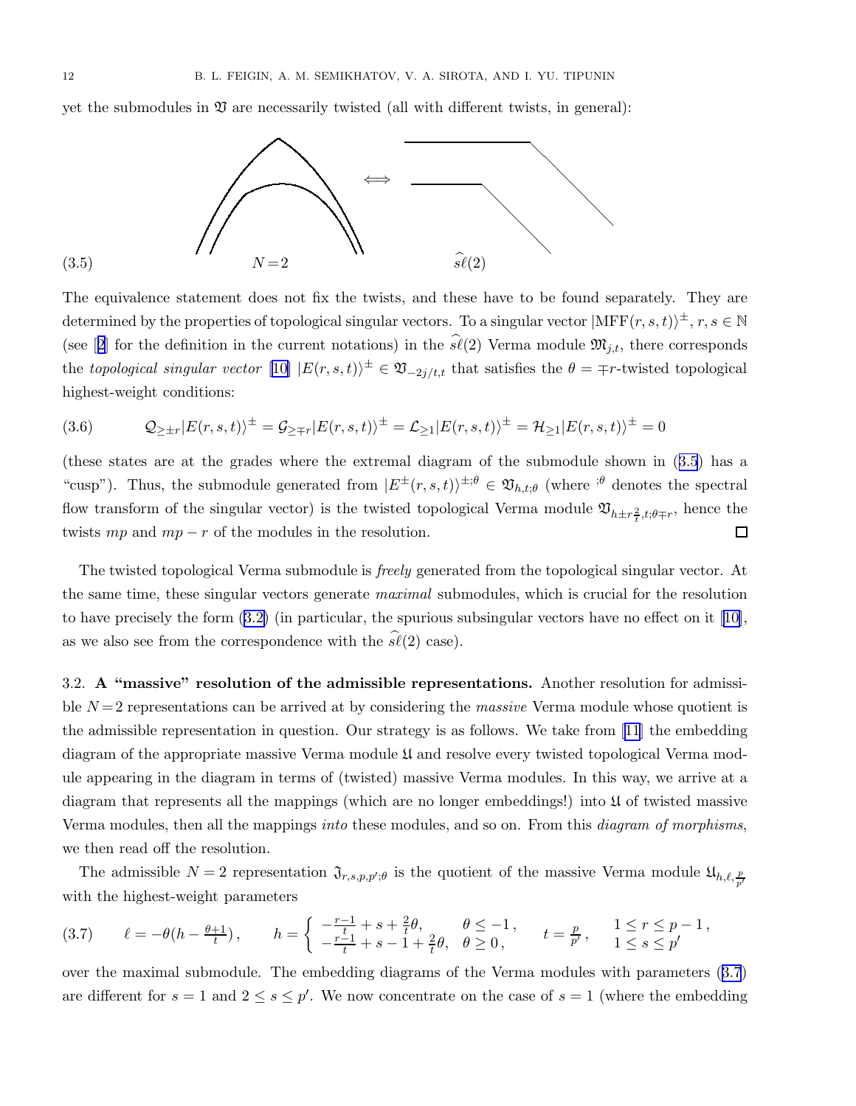<span id="page-11-0"></span>yet the submodules in  $\mathfrak V$  are necessarily twisted (all with different twists, in general):



The equivalence statement does not fix the twists, and these have to be found separately. They are determined by the properties of topological singular vectors. To a singular vector  $|\text{MFF}(r,s,t)\rangle^{\pm}$ ,  $r, s \in \mathbb{N}$ (see[[2](#page-33-0)] for the definition in the current notations) in the  $\hat{s\ell}(2)$  Verma module  $\mathfrak{M}_{j,t}$ , there corresponds the topological singular vector  $[10]$  $[10]$   $|E(r, s, t)\rangle^{\pm} \in \mathfrak{V}_{-2j/t,t}$  that satisfies the  $\theta = \mp r$ -twisted topological highest-weight conditions:

$$
(3.6) \qquad \mathcal{Q}_{\geq \pm r} |E(r, s, t)\rangle^{\pm} = \mathcal{G}_{\geq \mp r} |E(r, s, t)\rangle^{\pm} = \mathcal{L}_{\geq 1} |E(r, s, t)\rangle^{\pm} = \mathcal{H}_{\geq 1} |E(r, s, t)\rangle^{\pm} = 0
$$

(these states are at the grades where the extremal diagram of the submodule shown in (3.5) has a "cusp"). Thus, the submodule generated from  $|E^{\pm}(r, s, t)\rangle^{\pm; \theta} \in \mathfrak{V}_{h,t;\theta}$  (where  $e^{i\theta}$  denotes the spectral flow transform of the singular vector) is the twisted topological Verma module  $\mathfrak{V}_{h\pm r\frac{2}{t},t;\theta\mp r}$ , hence the twists  $mp$  and  $mp - r$  of the modules in the resolution.  $\Box$ 

The twisted topological Verma submodule is freely generated from the topological singular vector. At the same time, these singular vectors generate *maximal* submodules, which is crucial for the resolution to have precisely the form([3.2\)](#page-10-0) (in particular, the spurious subsingular vectors have no effect on it[[10\]](#page-33-0), as we also see from the correspondence with the  $\hat{\mathfrak{sl}}(2)$  case).

3.2. A "massive" resolution of the admissible representations. Another resolution for admissible  $N=2$  representations can be arrived at by considering the *massive* Verma module whose quotient is the admissible representation in question. Our strategy is as follows. We take from [\[11](#page-33-0)] the embedding diagram of the appropriate massive Verma module U and resolve every twisted topological Verma module appearing in the diagram in terms of (twisted) massive Verma modules. In this way, we arrive at a diagram that represents all the mappings (which are no longer embeddings!) into U of twisted massive Verma modules, then all the mappings *into* these modules, and so on. From this *diagram of morphisms*, we then read off the resolution.

The admissible  $N=2$  representation  $\mathfrak{J}_{r,s,p,p';\theta}$  is the quotient of the massive Verma module  $\mathfrak{U}_{h,\ell,\frac{p}{p'}}$ with the highest-weight parameters

$$
(3.7) \qquad \ell = -\theta \left( h - \frac{\theta + 1}{t} \right), \qquad h = \begin{cases} -\frac{r - 1}{t} + s + \frac{2}{t} \theta, & \theta \le -1, \\ -\frac{r - 1}{t} + s - 1 + \frac{2}{t} \theta, & \theta \ge 0, \end{cases} \qquad t = \frac{p}{p'}, \qquad 1 \le r \le p - 1,
$$

over the maximal submodule. The embedding diagrams of the Verma modules with parameters (3.7) are different for  $s = 1$  and  $2 \le s \le p'$ . We now concentrate on the case of  $s = 1$  (where the embedding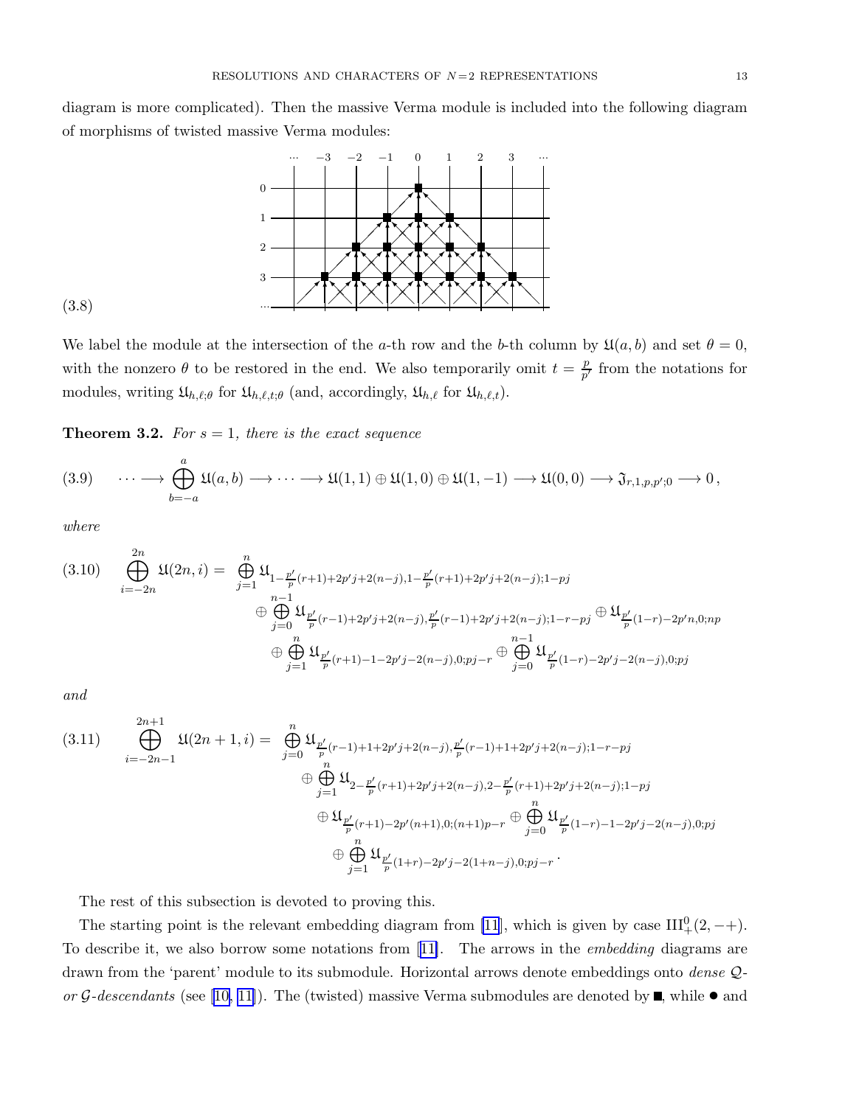<span id="page-12-0"></span>diagram is more complicated). Then the massive Verma module is included into the following diagram of morphisms of twisted massive Verma modules:



$$
(3.8)
$$

We label the module at the intersection of the a-th row and the b-th column by  $\mathfrak{U}(a, b)$  and set  $\theta = 0$ , with the nonzero  $\theta$  to be restored in the end. We also temporarily omit  $t = \frac{p}{n'}$  $\frac{p}{p'}$  from the notations for modules, writing  $\mathfrak{U}_{h,\ell;\theta}$  for  $\mathfrak{U}_{h,\ell,t;\theta}$  (and, accordingly,  $\mathfrak{U}_{h,\ell}$  for  $\mathfrak{U}_{h,\ell,t}$ ).

**Theorem 3.2.** For  $s = 1$ , there is the exact sequence

$$
(3.9) \qquad \cdots \longrightarrow \bigoplus_{b=-a}^{a} \mathfrak{U}(a,b) \longrightarrow \cdots \longrightarrow \mathfrak{U}(1,1) \oplus \mathfrak{U}(1,0) \oplus \mathfrak{U}(1,-1) \longrightarrow \mathfrak{U}(0,0) \longrightarrow \mathfrak{J}_{r,1,p,p';0} \longrightarrow 0,
$$

where

$$
(3.10) \n\bigoplus_{i=-2n}^{2n} \mathfrak{U}(2n,i) = \n\bigoplus_{j=1}^{n} \mathfrak{U}_{1-\frac{p'}{p}(r+1)+2p'j+2(n-j),1-\frac{p'}{p}(r+1)+2p'j+2(n-j);1-pj} \n\bigoplus_{j=0}^{n-1} \mathfrak{U}_{\frac{p'}{p}(r-1)+2p'j+2(n-j),\frac{p'}{p}(r-1)+2p'j+2(n-j);1-r-pj} \n\bigoplus_{j=1}^{n} \mathfrak{U}_{\frac{p'}{p}(1-r)-2p'n,0;np} \n\bigoplus_{j=1}^{n} \mathfrak{U}_{\frac{p'}{p}(r+1)-1-2p'j-2(n-j),0;pj-r} \n\bigoplus_{j=0}^{n-1} \mathfrak{U}_{\frac{p'}{p}(1-r)-2p'j-2(n-j),0;pj}
$$

and

$$
(3.11) \bigoplus_{i=-2n-1}^{2n+1} \mathfrak{U}(2n+1,i) = \bigoplus_{j=0}^{n} \mathfrak{U}_{\frac{p'}{p}(r-1)+1+2p'j+2(n-j),\frac{p'}{p}(r-1)+1+2p'j+2(n-j);1-r-pj} \oplus \bigoplus_{j=1}^{n} \mathfrak{U}_{2-\frac{p'}{p}(r+1)+2p'j+2(n-j),2-\frac{p'}{p}(r+1)+2p'j+2(n-j);1-pj} \oplus \mathfrak{U}_{\frac{p'}{p}(r+1)-2p'(n+1),0;(n+1)p-r} \oplus \bigoplus_{j=0}^{n} \mathfrak{U}_{\frac{p'}{p}(1-r)-1-2p'j-2(n-j),0;pj} \oplus \bigoplus_{j=1}^{n} \mathfrak{U}_{\frac{p'}{p}(1+r)-2p'j-2(1+n-j),0;pj-r}.
$$

The rest of this subsection is devoted to proving this.

The starting point is the relevant embedding diagram from [\[11](#page-33-0)], which is given by case  $III^0_+(2, -+)$ . Todescribe it, we also borrow some notations from [[11\]](#page-33-0). The arrows in the *embedding* diagrams are drawn from the 'parent' module to its submodule. Horizontal arrows denote embeddings onto *dense* Q-or G-descendants (see [\[10](#page-33-0), [11](#page-33-0)]). The (twisted) massive Verma submodules are denoted by  $\blacksquare$ , while  $\bullet$  and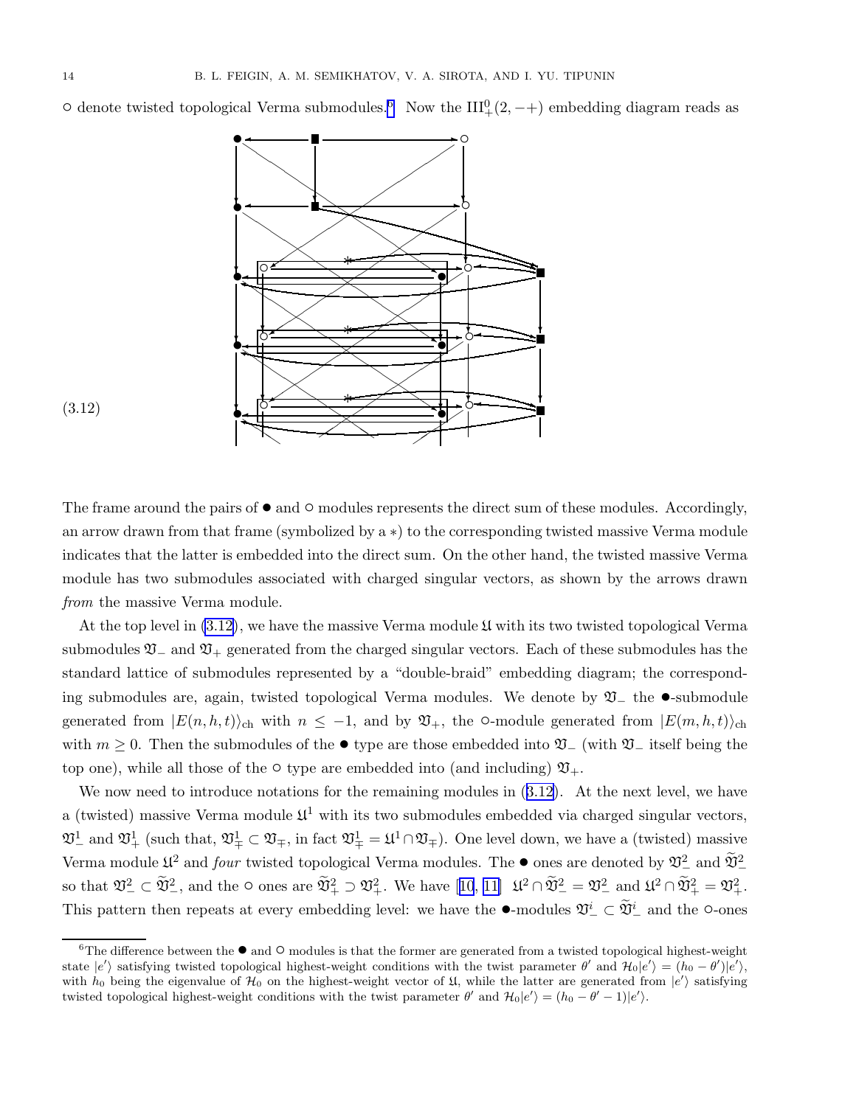<span id="page-13-0"></span> $\circ$  denote twisted topological Verma submodules.<sup>6</sup> Now the III<sup>0</sup><sub>+</sub>(2, −+) embedding diagram reads as





The frame around the pairs of  $\bullet$  and  $\circ$  modules represents the direct sum of these modules. Accordingly, an arrow drawn from that frame (symbolized by a ∗) to the corresponding twisted massive Verma module indicates that the latter is embedded into the direct sum. On the other hand, the twisted massive Verma module has two submodules associated with charged singular vectors, as shown by the arrows drawn from the massive Verma module.

At the top level in  $(3.12)$ , we have the massive Verma module  $\mathfrak U$  with its two twisted topological Verma submodules  $\mathfrak{V}_-$  and  $\mathfrak{V}_+$  generated from the charged singular vectors. Each of these submodules has the standard lattice of submodules represented by a "double-braid" embedding diagram; the corresponding submodules are, again, twisted topological Verma modules. We denote by <sup>V</sup><sup>−</sup> the •-submodule generated from  $|E(n, h, t)\rangle_{\text{ch}}$  with  $n \leq -1$ , and by  $\mathfrak{V}_+$ , the  $\circ$ -module generated from  $|E(m, h, t)\rangle_{\text{ch}}$ with  $m \geq 0$ . Then the submodules of the  $\bullet$  type are those embedded into  $\mathfrak{V}_-$  (with  $\mathfrak{V}_-$  itself being the top one), while all those of the  $\circ$  type are embedded into (and including)  $\mathfrak{V}_{+}$ .

We now need to introduce notations for the remaining modules in  $(3.12)$ . At the next level, we have a (twisted) massive Verma module  $\mathfrak{U}^1$  with its two submodules embedded via charged singular vectors,  $\mathfrak{V}_-^1$  and  $\mathfrak{V}_+^1$  (such that,  $\mathfrak{V}_+^1 \subset \mathfrak{V}_+$ , in fact  $\mathfrak{V}_+^1 = \mathfrak{U}^1 \cap \mathfrak{V}_+$ ). One level down, we have a (twisted) massive Verma module  $\mathfrak{U}^2$  and four twisted topological Verma modules. The ● ones are denoted by  $\mathfrak{V}_-^2$  and  $\mathfrak{V}_-^2$ sothat  $\mathfrak{V}^2_{-} \subset \mathfrak{V}^2_{-}$ , and the  $\circ$  ones are  $\mathfrak{V}^2_{+} \supset \mathfrak{V}^2_{+}$ . We have  $[10, 11]$  $[10, 11]$  $[10, 11]$  $[10, 11]$   $\mathfrak{U}^2 \cap \mathfrak{V}^2_{-} = \mathfrak{V}^2_{-}$  and  $\mathfrak{U}^2 \cap \mathfrak{V}^2_{+} = \mathfrak{V}^2_{+}$ . This pattern then repeats at every embedding level: we have the  $\bullet$ -modules  $\mathfrak{V}^i_-\subset \mathfrak{V}^i_-$  and the  $\circ$ -ones

 ${}^{6}$ The difference between the  ${}^{\bullet}$  and  ${}^{\circ}$  modules is that the former are generated from a twisted topological highest-weight state  $|e'\rangle$  satisfying twisted topological highest-weight conditions with the twist parameter  $\theta'$  and  $\mathcal{H}_0|e'\rangle = (h_0 - \theta')|e'\rangle$ , with  $h_0$  being the eigenvalue of  $\mathcal{H}_0$  on the highest-weight vector of  $\mathfrak{U}$ , while the latter are generated from  $|e'\rangle$  satisfying twisted topological highest-weight conditions with the twist parameter  $\theta'$  and  $\mathcal{H}_0|e'\rangle = (h_0 - \theta' - 1)|e'\rangle$ .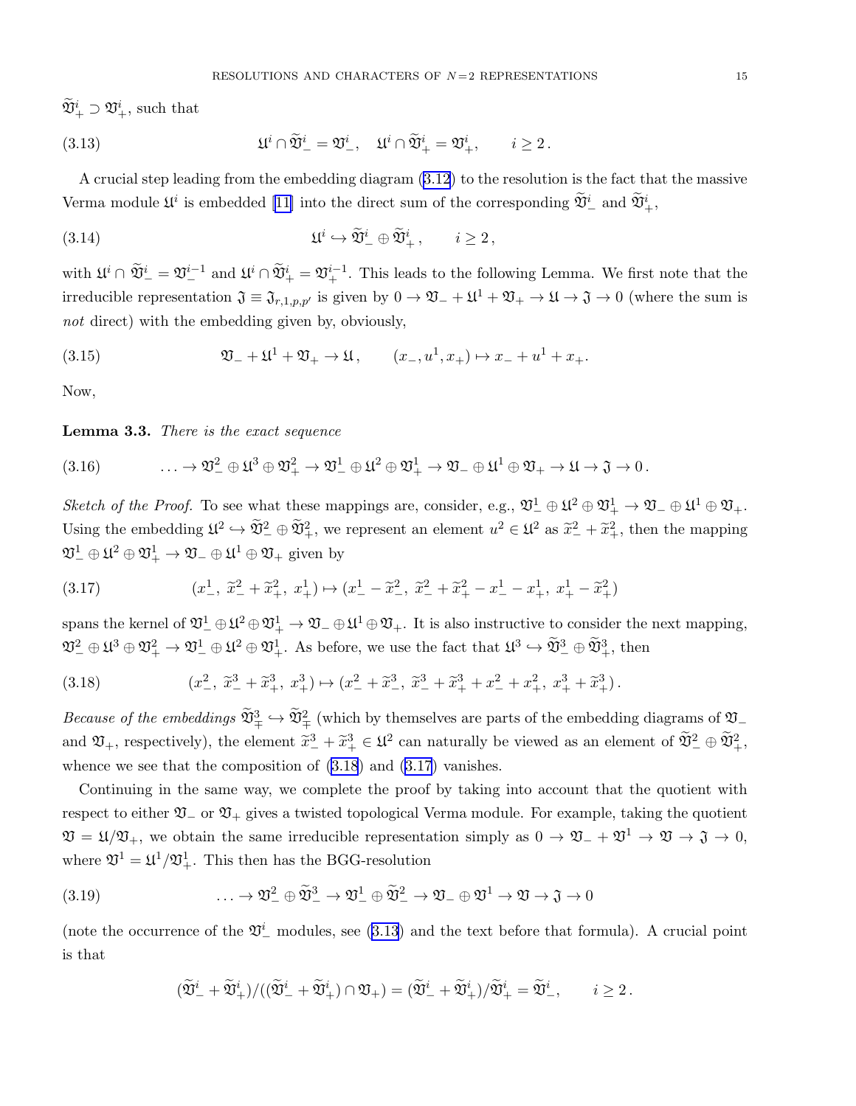<span id="page-14-0"></span> $\mathfrak{V}^i_+ \supset \mathfrak{V}^i_+$ , such that

(3.13) 
$$
\mathfrak{U}^i \cap \widetilde{\mathfrak{V}}^i_- = \mathfrak{V}^i_-, \quad \mathfrak{U}^i \cap \widetilde{\mathfrak{V}}^i_+ = \mathfrak{V}^i_+, \quad i \geq 2.
$$

A crucial step leading from the embedding diagram [\(3.12](#page-13-0)) to the resolution is the fact that the massive Verma module  $\mathfrak{U}^i$  is embedded [\[11\]](#page-33-0) into the direct sum of the corresponding  $\mathfrak{V}^i_-$  and  $\mathfrak{V}^i_+$ ,

(3.14) 
$$
\mathfrak{U}^i \hookrightarrow \widetilde{\mathfrak{V}}^i_{-} \oplus \widetilde{\mathfrak{V}}^i_{+}, \qquad i \geq 2,
$$

with  $\mathfrak{U}^i \cap \widetilde{\mathfrak{V}}^i_- = \mathfrak{V}^{i-1}_-$  and  $\mathfrak{U}^i \cap \widetilde{\mathfrak{V}}^i_+ = \mathfrak{V}^{i-1}_+$ . This leads to the following Lemma. We first note that the irreducible representation  $\mathfrak{J} \equiv \mathfrak{J}_{r,1,p,p'}$  is given by  $0 \to \mathfrak{V}_- + \mathfrak{U}^1 + \mathfrak{V}_+ \to \mathfrak{U} \to \mathfrak{J} \to 0$  (where the sum is not direct) with the embedding given by, obviously,

(3.15) 
$$
\mathfrak{V}_{-} + \mathfrak{U}^{1} + \mathfrak{V}_{+} \to \mathfrak{U}, \qquad (x_{-}, u^{1}, x_{+}) \mapsto x_{-} + u^{1} + x_{+}.
$$

Now,

#### Lemma 3.3. There is the exact sequence

(3.16) 
$$
\qquad \qquad \ldots \to \mathfrak{V}^2_- \oplus \mathfrak{U}^3 \oplus \mathfrak{V}^2_+ \to \mathfrak{V}^1_- \oplus \mathfrak{U}^2 \oplus \mathfrak{V}^1_+ \to \mathfrak{V}^- \oplus \mathfrak{U}^1 \oplus \mathfrak{V}_+ \to \mathfrak{U} \to \mathfrak{J} \to 0.
$$

Sketch of the Proof. To see what these mappings are, consider, e.g.,  $\mathfrak{V}^1_-\oplus \mathfrak{U}^2\oplus \mathfrak{V}^1_+\to \mathfrak{V}_-\oplus \mathfrak{U}^1\oplus \mathfrak{V}_+$ . Using the embedding  $\mathfrak{U}^2 \hookrightarrow \mathfrak{V}_+^2$ , we represent an element  $u^2 \in \mathfrak{U}^2$  as  $\widetilde{x}_-^2 + \widetilde{x}_+^2$ , then the mapping  $\mathfrak{V}^1_-\oplus \mathfrak{U}^2_+\oplus \mathfrak{V}^1_+\to \mathfrak{V}_-\oplus \mathfrak{U}^1_-\oplus \mathfrak{V}_+$  given by

(3.17) 
$$
(x_-^1, \ \tilde{x}_-^2 + \tilde{x}_+^2, \ x_+^1) \mapsto (x_-^1 - \tilde{x}_-^2, \ \tilde{x}_-^2 + \tilde{x}_+^2 - x_-^1 - x_+^1, \ x_+^1 - \tilde{x}_+^2)
$$

spans the kernel of  $\mathfrak{V}^1_-\oplus\mathfrak{U}^2\oplus\mathfrak{V}^1_+\to\mathfrak{V}_-\oplus\mathfrak{U}^1\oplus\mathfrak{V}_+$ . It is also instructive to consider the next mapping,  $\mathfrak{V}^2_- \oplus \mathfrak{U}^3 \oplus \mathfrak{V}^2_+ \to \mathfrak{V}^1_- \oplus \mathfrak{U}^2 \oplus \mathfrak{V}^1_+$ . As before, we use the fact that  $\mathfrak{U}^3 \hookrightarrow \widetilde{\mathfrak{V}}^3_- \oplus \widetilde{\mathfrak{V}}^3_+$ , then

(3.18) 
$$
(x_-^2, \tilde{x}_-^3 + \tilde{x}_+^3, x_+^3) \mapsto (x_-^2 + \tilde{x}_-^3, \tilde{x}_-^3 + \tilde{x}_+^3 + x_-^2 + x_+^2, x_+^3 + \tilde{x}_+^3).
$$

Because of the embeddings  $\widetilde{\mathfrak{V}}_{\mp}^3 \hookrightarrow \widetilde{\mathfrak{V}}_{\mp}^2$  (which by themselves are parts of the embedding diagrams of  $\mathfrak{V}_$ and  $\mathfrak{V}_+$ , respectively), the element  $\tilde{x}^3_-\times\tilde{x}^3_+\in\mathfrak{U}^2$  can naturally be viewed as an element of  $\tilde{\mathfrak{V}}^2_-\oplus\tilde{\mathfrak{V}}^2_+$ , whence we see that the composition of (3.18) and (3.17) vanishes.

Continuing in the same way, we complete the proof by taking into account that the quotient with respect to either  $\mathfrak{V}_-$  or  $\mathfrak{V}_+$  gives a twisted topological Verma module. For example, taking the quotient  $\mathfrak{V} = \mathfrak{U} / \mathfrak{V}_+$ , we obtain the same irreducible representation simply as  $0 \to \mathfrak{V}_- + \mathfrak{V}^1 \to \mathfrak{V} \to \mathfrak{J} \to 0$ , where  $\mathfrak{V}^1 = \mathfrak{U}^1/\mathfrak{V}^1_+$ . This then has the BGG-resolution

(3.19) 
$$
\dots \to \mathfrak{V}_-^2 \oplus \widetilde{\mathfrak{V}}_-^3 \to \mathfrak{V}_-^1 \oplus \widetilde{\mathfrak{V}}_-^2 \to \mathfrak{V}_- \oplus \mathfrak{V}^1 \to \mathfrak{V} \to \mathfrak{J} \to 0
$$

(note the occurrence of the  $\mathfrak{V}^i_-$  modules, see (3.13) and the text before that formula). A crucial point is that

$$
(\widetilde{\mathfrak{V}}_-^i + \widetilde{\mathfrak{V}}_+^i)/((\widetilde{\mathfrak{V}}_-^i + \widetilde{\mathfrak{V}}_+^i) \cap \mathfrak{V}_+) = (\widetilde{\mathfrak{V}}_-^i + \widetilde{\mathfrak{V}}_+^i)/\widetilde{\mathfrak{V}}_+^i = \widetilde{\mathfrak{V}}_-^i, \qquad i \geq 2.
$$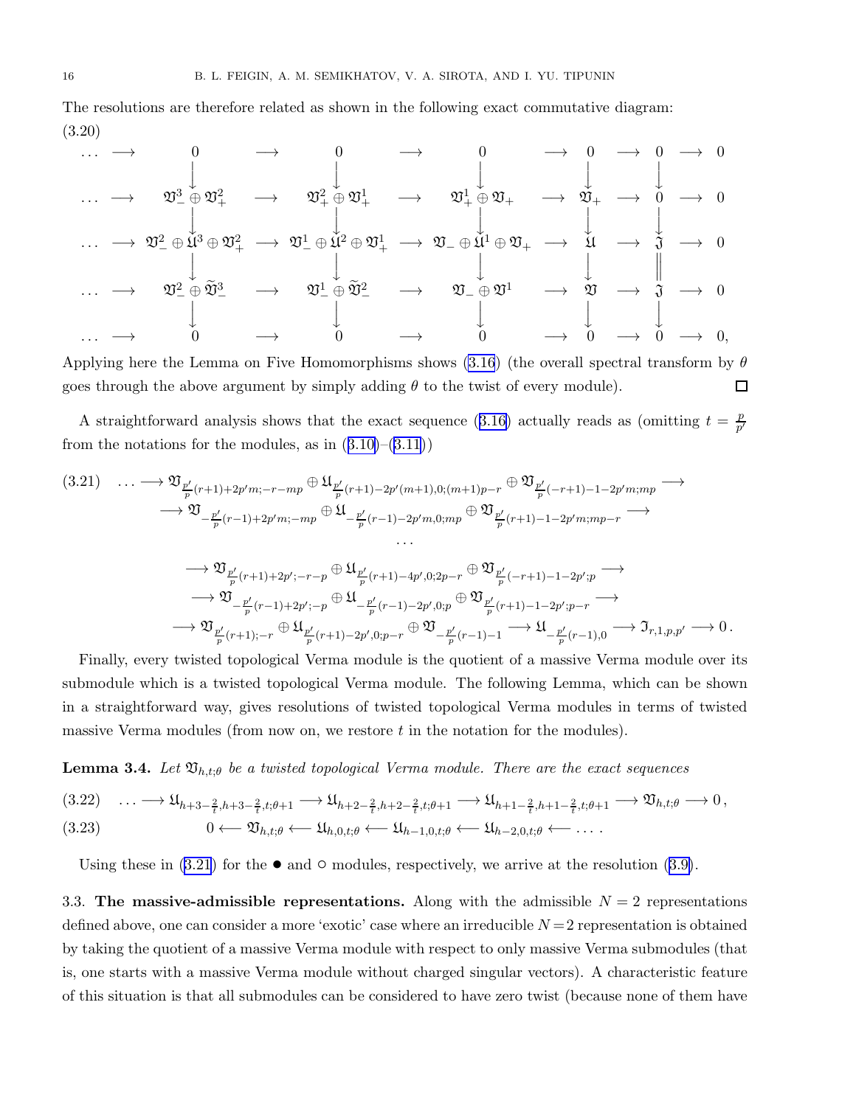<span id="page-15-0"></span>The resolutions are therefore related as shown in the following exact commutative diagram: (3.20)

. . . −→ 0 −→ 0 −→ 0 −→ 0 −→ 0 −→ 0 y y y y y . . . −→ <sup>V</sup><sup>3</sup> <sup>−</sup> <sup>⊕</sup> <sup>V</sup><sup>2</sup> <sup>+</sup> −→ <sup>V</sup><sup>2</sup> <sup>+</sup> <sup>⊕</sup> <sup>V</sup><sup>1</sup> <sup>+</sup> −→ <sup>V</sup><sup>1</sup> <sup>+</sup> ⊕ V<sup>+</sup> −→ V<sup>+</sup> −→ 0 −→ 0 y y y y y . . . −→ <sup>V</sup><sup>2</sup> <sup>−</sup> <sup>⊕</sup> <sup>U</sup> <sup>3</sup> <sup>⊕</sup> <sup>V</sup><sup>2</sup> <sup>+</sup> −→ <sup>V</sup><sup>1</sup> <sup>−</sup> <sup>⊕</sup> <sup>U</sup> <sup>2</sup> <sup>⊕</sup> <sup>V</sup><sup>1</sup> <sup>+</sup> −→ V<sup>−</sup> ⊕ U <sup>1</sup> <sup>⊕</sup> <sup>V</sup><sup>+</sup> −→ <sup>U</sup> −→ <sup>J</sup> −→ <sup>0</sup> y y y y . . . −→ <sup>V</sup><sup>2</sup> <sup>−</sup> <sup>⊕</sup> <sup>V</sup>e<sup>3</sup> <sup>−</sup> −→ <sup>V</sup><sup>1</sup> <sup>−</sup> <sup>⊕</sup> <sup>V</sup>e<sup>2</sup> <sup>−</sup> −→ <sup>V</sup><sup>−</sup> <sup>⊕</sup> <sup>V</sup><sup>1</sup> −→ <sup>V</sup> −→ <sup>J</sup> −→ <sup>0</sup> y y y y y . . . −→ 0 −→ 0 −→ 0 −→ 0 −→ 0 −→ 0,

Applying here the Lemma on Five Homomorphisms shows [\(3.16](#page-14-0)) (the overall spectral transform by  $\theta$  $\Box$ goes through the above argument by simply adding  $\theta$  to the twist of every module).

Astraightforward analysis shows that the exact sequence ([3.16](#page-14-0)) actually reads as (omitting  $t = \frac{p}{n'}$  $\overline{p'}$ fromthe notations for the modules, as in  $(3.10)$  $(3.10)$ – $(3.11)$  $(3.11)$  $(3.11)$ )

$$
(3.21) \quad \cdots \longrightarrow \mathfrak{V}_{\frac{p'}{p}(r+1)+2p'm;-r-mp} \oplus \mathfrak{U}_{\frac{p'}{p}(r+1)-2p'(m+1),0;(m+1)p-r} \oplus \mathfrak{V}_{\frac{p'}{p}(-r+1)-1-2p'm;mp} \longrightarrow
$$
  

$$
\longrightarrow \mathfrak{V}_{-\frac{p'}{p}(r-1)+2p'm;-mp} \oplus \mathfrak{U}_{-\frac{p'}{p}(r-1)-2p'm,0;mp} \oplus \mathfrak{V}_{\frac{p'}{p}(r+1)-1-2p'm;mp-r} \longrightarrow
$$
  

$$
\longrightarrow \mathfrak{V}_{\frac{p'}{p}(r+1)+2p';-r-p} \oplus \mathfrak{U}_{\frac{p'}{p}(r+1)-4p',0;2p-r} \oplus \mathfrak{V}_{\frac{p'}{p}(-r+1)-1-2p';p} \longrightarrow
$$
  

$$
\longrightarrow \mathfrak{V}_{-\frac{p'}{p}(r-1)+2p';-p} \oplus \mathfrak{U}_{-\frac{p'}{p}(r-1)-2p',0;p} \oplus \mathfrak{V}_{\frac{p'}{p}(r+1)-1-2p';p-r} \longrightarrow
$$
  

$$
\longrightarrow \mathfrak{V}_{\frac{p'}{p}(r+1);-r} \oplus \mathfrak{U}_{\frac{p'}{p}(r+1)-2p',0;p-r} \oplus \mathfrak{V}_{-\frac{p'}{p}(r-1)-1} \longrightarrow \mathfrak{U}_{-\frac{p'}{p}(r-1),0} \longrightarrow \mathfrak{I}_{r,1,p,p'} \longrightarrow 0.
$$

Finally, every twisted topological Verma module is the quotient of a massive Verma module over its submodule which is a twisted topological Verma module. The following Lemma, which can be shown in a straightforward way, gives resolutions of twisted topological Verma modules in terms of twisted massive Verma modules (from now on, we restore  $t$  in the notation for the modules).

**Lemma 3.4.** Let  $\mathfrak{V}_{h,t;\theta}$  be a twisted topological Verma module. There are the exact sequences

$$
(3.22) \quad \ldots \longrightarrow \mathfrak{U}_{h+3-\frac{2}{t},h+3-\frac{2}{t},t;\theta+1} \longrightarrow \mathfrak{U}_{h+2-\frac{2}{t},h+2-\frac{2}{t},t;\theta+1} \longrightarrow \mathfrak{U}_{h+1-\frac{2}{t},h+1-\frac{2}{t},t;\theta+1} \longrightarrow \mathfrak{V}_{h,t;\theta} \longrightarrow 0,
$$
  

$$
(3.23) \quad 0 \longleftarrow \mathfrak{V}_{h,t;\theta} \longleftarrow \mathfrak{U}_{h,0,t;\theta} \longleftarrow \mathfrak{U}_{h-1,0,t;\theta} \longleftarrow \mathfrak{U}_{h-2,0,t;\theta} \longleftarrow \ldots.
$$

Usingthese in  $(3.21)$  for the  $\bullet$  and  $\circ$  modules, respectively, we arrive at the resolution  $(3.9)$  $(3.9)$ .

3.3. The massive-admissible representations. Along with the admissible  $N = 2$  representations defined above, one can consider a more 'exotic' case where an irreducible  $N=2$  representation is obtained by taking the quotient of a massive Verma module with respect to only massive Verma submodules (that is, one starts with a massive Verma module without charged singular vectors). A characteristic feature of this situation is that all submodules can be considered to have zero twist (because none of them have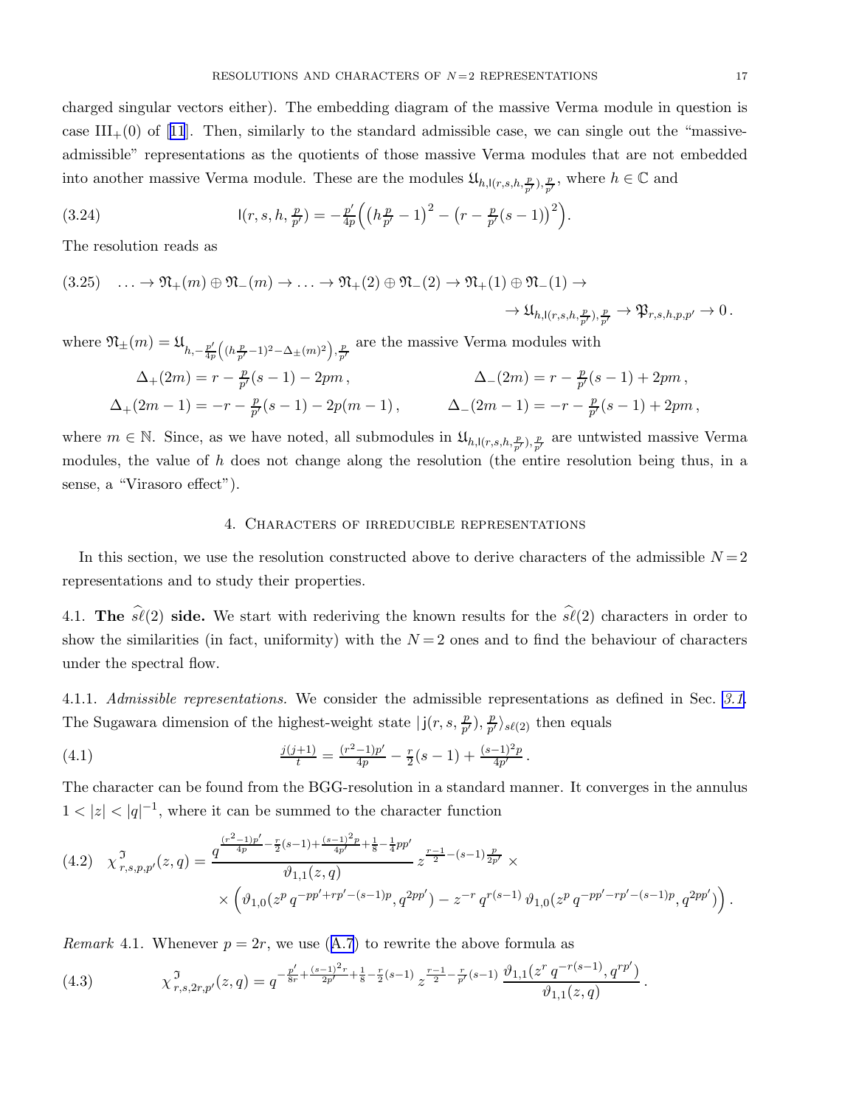<span id="page-16-0"></span>charged singular vectors either). The embedding diagram of the massive Verma module in question is case $III_{+}(0)$  of [[11](#page-33-0)]. Then, similarly to the standard admissible case, we can single out the "massiveadmissible" representations as the quotients of those massive Verma modules that are not embedded into another massive Verma module. These are the modules  $\mathfrak{U}_{h,\mathsf{l}(r,s,h,\frac{p}{p'}),\frac{p}{p'}}$ , where  $h \in \mathbb{C}$  and

(3.24) 
$$
I(r,s,h,\tfrac{p}{p'})=-\tfrac{p'}{4p}\Big(\big(h\tfrac{p}{p'}-1\big)^2-\big(r-\tfrac{p}{p'}(s-1)\big)^2\Big).
$$

The resolution reads as

 $(3.25) \quad \ldots \to \mathfrak{N}_+(m) \oplus \mathfrak{N}_-(m) \to \ldots \to \mathfrak{N}_+(2) \oplus \mathfrak{N}_-(2) \to \mathfrak{N}_+(1) \oplus \mathfrak{N}_-(1) \to$  $\rightarrow \mathfrak{U}_{h,\mathsf{l}(r,s,h,\frac{p}{p'}),\frac{p}{p'}} \rightarrow \mathfrak{P}_{r,s,h,p,p'} \rightarrow 0$ .

where  $\mathfrak{N}_{\pm}(m) = \mathfrak{U}_{h,-\frac{p'}{4p}((h\frac{p}{p'}-1)^2-\Delta_{\pm}(m)^2),\frac{p}{p'}}$  are the massive Verma modules with

$$
\begin{aligned} \Delta_+(2m) &= r - \tfrac{p}{p'}(s-1) - 2pm \,, \qquad \qquad \Delta_-(2m) = r - \tfrac{p}{p'}(s-1) + 2pm \,, \\ \Delta_+(2m-1) &= -r - \tfrac{p}{p'}(s-1) - 2p(m-1) \,, \qquad \qquad \Delta_-(2m-1) = -r - \tfrac{p}{p'}(s-1) + 2pm \,, \end{aligned}
$$

where  $m \in \mathbb{N}$ . Since, as we have noted, all submodules in  $\mathfrak{U}_{h,\mathsf{l}(r,s,h,\frac{p}{p'})},\frac{p}{p'}$  are untwisted massive Verma modules, the value of h does not change along the resolution (the entire resolution being thus, in a sense, a "Virasoro effect").

### 4. Characters of irreducible representations

In this section, we use the resolution constructed above to derive characters of the admissible  $N = 2$ representations and to study their properties.

4.1. The  $\hat{\mathscr{S}}(2)$  side. We start with rederiving the known results for the  $\hat{\mathscr{S}}(2)$  characters in order to show the similarities (in fact, uniformity) with the  $N=2$  ones and to find the behaviour of characters under the spectral flow.

4.1.1. Admissible representations. We consider the admissible representations as defined in Sec. [3.1](#page-9-0). The Sugawara dimension of the highest-weight state  $|j(r, s, \frac{p}{p'})|$  $\frac{p}{p'}), \frac{p}{p'}$  $\frac{p}{p'}\rangle_{s\ell(2)}$  then equals

(4.1) 
$$
\frac{j(j+1)}{t} = \frac{(r^2-1)p'}{4p} - \frac{r}{2}(s-1) + \frac{(s-1)^2p}{4p'}.
$$

The character can be found from the BGG-resolution in a standard manner. It converges in the annulus  $1 < |z| < |q|^{-1}$ , where it can be summed to the character function

$$
(4.2) \quad \chi^{\mathfrak{I}}_{r,s,p,p'}(z,q) = \frac{q^{\frac{(r^2-1)p'}{4p} - \frac{r}{2}(s-1) + \frac{(s-1)^2 p}{4p'} + \frac{1}{8} - \frac{1}{4}pp'}}{\vartheta_{1,1}(z,q)} z^{\frac{r-1}{2} - (s-1)\frac{p}{2p'}} \times \left( \vartheta_{1,0}(z^p q^{-pp'+rp' - (s-1)p}, q^{2pp'}) - z^{-r} q^{r(s-1)} \vartheta_{1,0}(z^p q^{-pp'-rp' - (s-1)p}, q^{2pp'}) \right).
$$

Remark4.1. Whenever  $p = 2r$ , we use ([A.7](#page-32-0)) to rewrite the above formula as

(4.3) 
$$
\chi^{\mathfrak{I}}_{r,s,2r,p'}(z,q) = q^{-\frac{p'}{8r} + \frac{(s-1)^2r}{2p'} + \frac{1}{8} - \frac{r}{2}(s-1)} z^{\frac{r-1}{2} - \frac{r}{p'}(s-1)} \frac{\vartheta_{1,1}(z^r q^{-r(s-1)}, q^{r p'})}{\vartheta_{1,1}(z,q)}.
$$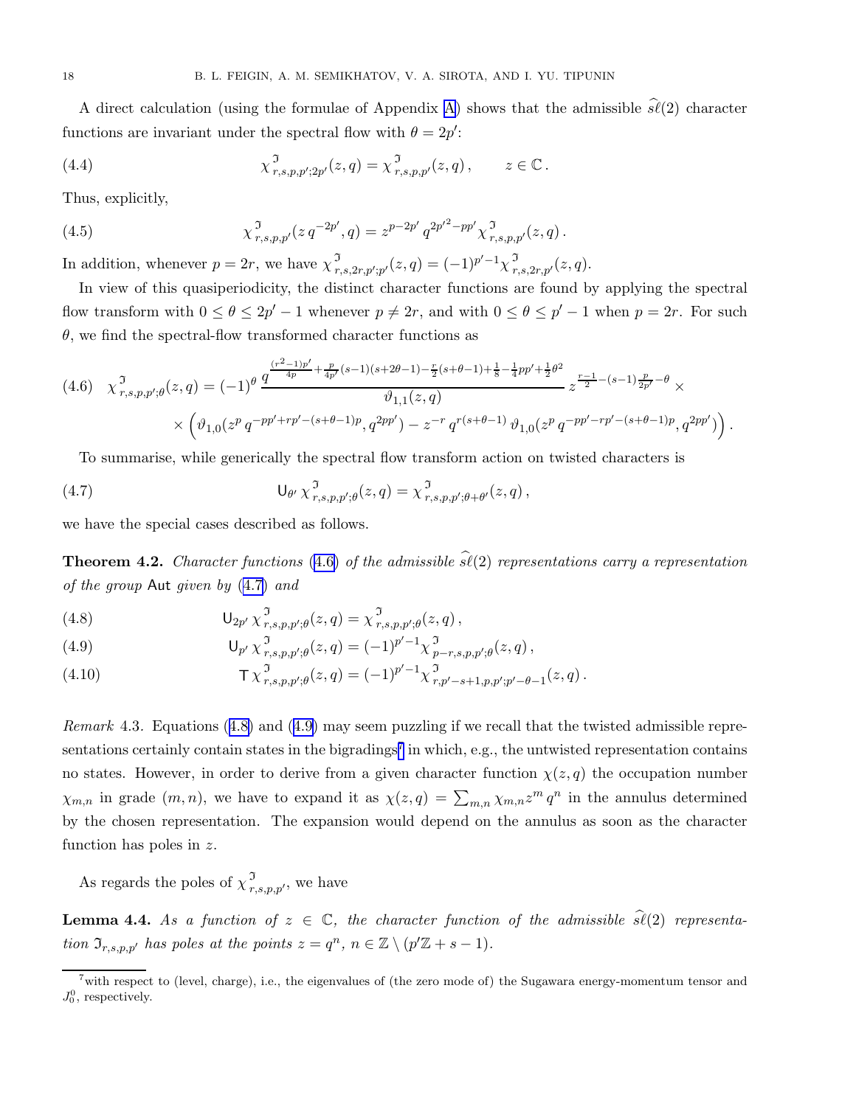<span id="page-17-0"></span>A direct calculation (using the formulae of Appendix [A\)](#page-32-0) shows that the admissible  $\hat{s\ell}(2)$  character functions are invariant under the spectral flow with  $\theta = 2p'$ :

(4.4) 
$$
\chi^{\mathfrak{I}}_{r,s,p,p';2p'}(z,q) = \chi^{\mathfrak{I}}_{r,s,p,p'}(z,q), \qquad z \in \mathbb{C}.
$$

Thus, explicitly,

(4.5) 
$$
\chi^{\mathfrak{I}}_{r,s,p,p'}(z \, q^{-2p'}, q) = z^{p-2p'} q^{2p'^2 - pp'} \chi^{\mathfrak{I}}_{r,s,p,p'}(z,q).
$$

In addition, whenever  $p = 2r$ , we have  $\chi^{\mathfrak{I}}_{r,s,2r,p';p'}(z,q) = (-1)^{p'-1} \chi^{\mathfrak{I}}_{r,s,2r,p'}(z,q)$ .

In view of this quasiperiodicity, the distinct character functions are found by applying the spectral flow transform with  $0 \le \theta \le 2p' - 1$  whenever  $p \ne 2r$ , and with  $0 \le \theta \le p' - 1$  when  $p = 2r$ . For such  $\theta$ , we find the spectral-flow transformed character functions as

$$
(4.6) \quad \chi^{\mathfrak{I}}_{r,s,p,p';\theta}(z,q) = (-1)^{\theta} \frac{q^{\frac{(r^{2}-1)p'}{4p} + \frac{p}{4p'}(s-1)(s+2\theta-1) - \frac{r}{2}(s+\theta-1) + \frac{1}{8} - \frac{1}{4}pp' + \frac{1}{2}\theta^{2}}}{\vartheta_{1,1}(z,q)} z^{\frac{r-1}{2} - (s-1)\frac{p}{2p'} - \theta} \times \times \left( \vartheta_{1,0}(z^{p} q^{-pp'+rp' - (s+\theta-1)p}, q^{2pp'}) - z^{-r} q^{r(s+\theta-1)} \vartheta_{1,0}(z^{p} q^{-pp'-rp' - (s+\theta-1)p}, q^{2pp'}) \right).
$$

To summarise, while generically the spectral flow transform action on twisted characters is

(4.7) 
$$
\mathsf{U}_{\theta'}\,\chi^{\mathfrak{I}}_{r,s,p,p';\theta}(z,q)=\chi^{\mathfrak{I}}_{r,s,p,p';\theta+\theta'}(z,q)\,,
$$

we have the special cases described as follows.

**Theorem 4.2.** Character functions (4.6) of the admissible  $\hat{\mathfrak{sl}}(2)$  representations carry a representation of the group Aut given by (4.7) and

(4.8) 
$$
\mathsf{U}_{2p'} \chi^{\mathfrak{I}}_{r,s,p,p';\theta}(z,q) = \chi^{\mathfrak{I}}_{r,s,p,p';\theta}(z,q),
$$

(4.9) 
$$
\mathsf{U}_{p'} \chi_{r,s,p,p';\theta}^{\mathfrak{I}}(z,q) = (-1)^{p'-1} \chi_{p-r,s,p,p';\theta}^{\mathfrak{I}}(z,q) ,
$$

(4.10) 
$$
\mathsf{T} \chi^{\mathfrak{I}}_{r,s,p,p';\theta}(z,q) = (-1)^{p'-1} \chi^{\mathfrak{I}}_{r,p'-s+1,p,p';p'-\theta-1}(z,q).
$$

Remark 4.3. Equations (4.8) and (4.9) may seem puzzling if we recall that the twisted admissible representations certainly contain states in the bigradings<sup>7</sup> in which, e.g., the untwisted representation contains no states. However, in order to derive from a given character function  $\chi(z, q)$  the occupation number  $\chi_{m,n}$  in grade  $(m, n)$ , we have to expand it as  $\chi(z,q) = \sum_{m,n} \chi_{m,n} z^m q^n$  in the annulus determined by the chosen representation. The expansion would depend on the annulus as soon as the character function has poles in z.

As regards the poles of  $\chi^{\mathfrak{I}}_{r,s,p,p'}$ , we have

**Lemma 4.4.** As a function of  $z \in \mathbb{C}$ , the character function of the admissible  $\hat{s}\ell(2)$  representation  $\mathfrak{I}_{r,s,p,p'}$  has poles at the points  $z = q^n$ ,  $n \in \mathbb{Z} \setminus (p'\mathbb{Z} + s - 1)$ .

<sup>&</sup>lt;sup>7</sup>with respect to (level, charge), i.e., the eigenvalues of (the zero mode of) the Sugawara energy-momentum tensor and  $J_0^0$ , respectively.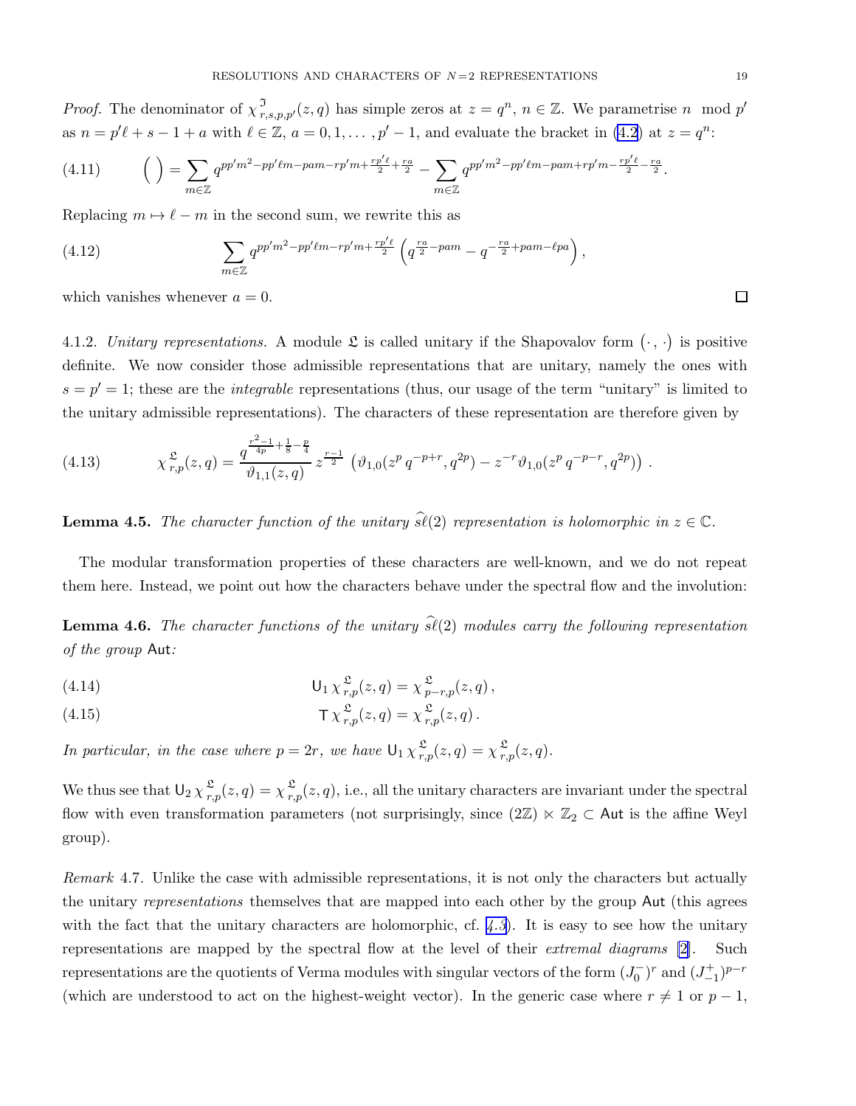<span id="page-18-0"></span>*Proof.* The denominator of  $\chi^{\mathfrak{I}}_{r,s,p,p'}(z,q)$  has simple zeros at  $z=q^n$ ,  $n \in \mathbb{Z}$ . We parametrise n mod p' as  $n = p'\ell + s - 1 + a$  with  $\ell \in \mathbb{Z}$ ,  $a = 0, 1, \ldots, p' - 1$ , and evaluate the bracket in [\(4.2](#page-16-0)) at  $z = q^n$ :

$$
(4.11) \qquad \left( \ \right) = \sum_{m \in \mathbb{Z}} q^{pp'm^2 - pp' \ell m - pam - rp'm + \frac{rp'\ell}{2} + \frac{ra}{2}} - \sum_{m \in \mathbb{Z}} q^{pp'm^2 - pp' \ell m - pam + rp'm - \frac{rp'\ell}{2} - \frac{ra}{2}}.
$$

Replacing  $m \mapsto \ell - m$  in the second sum, we rewrite this as

(4.12) 
$$
\sum_{m \in \mathbb{Z}} q^{pp'm^2 - pp'\ell m - rp'm + \frac{rp'\ell}{2}} \left( q^{\frac{ra}{2} - pam} - q^{-\frac{ra}{2} + pam - \ell pa} \right),
$$

which vanishes whenever  $a = 0$ .

4.1.2. Unitary representations. A module  $\mathfrak L$  is called unitary if the Shapovalov form  $(\cdot, \cdot)$  is positive definite. We now consider those admissible representations that are unitary, namely the ones with  $s = p' = 1$ ; these are the *integrable* representations (thus, our usage of the term "unitary" is limited to the unitary admissible representations). The characters of these representation are therefore given by

(4.13) 
$$
\chi^{\mathfrak{L}}_{r,p}(z,q) = \frac{q^{\frac{r^2-1}{4p} + \frac{1}{8} - \frac{p}{4}}}{\vartheta_{1,1}(z,q)} z^{\frac{r-1}{2}} (\vartheta_{1,0}(z^p q^{-p+r}, q^{2p}) - z^{-r} \vartheta_{1,0}(z^p q^{-p-r}, q^{2p})) .
$$

**Lemma 4.5.** The character function of the unitary  $\widehat{\mathfrak{sl}}(2)$  representation is holomorphic in  $z \in \mathbb{C}$ .

The modular transformation properties of these characters are well-known, and we do not repeat them here. Instead, we point out how the characters behave under the spectral flow and the involution:

**Lemma 4.6.** The character functions of the unitary  $\hat{\mathfrak{sl}}(2)$  modules carry the following representation of the group Aut:

(4.14) 
$$
\mathsf{U}_1 \chi_{r,p}^{\mathfrak{L}}(z,q) = \chi_{p-r,p}^{\mathfrak{L}}(z,q),
$$

(4.15) 
$$
\mathsf{T}\chi^{\mathfrak{L}}_{r,p}(z,q) = \chi^{\mathfrak{L}}_{r,p}(z,q).
$$

In particular, in the case where  $p = 2r$ , we have  $\mathsf{U}_1 \chi_{r,p}^{\mathfrak{L}}(z,q) = \chi_{r,p}^{\mathfrak{L}}(z,q)$ .

We thus see that  $\mathsf{U}_2 \chi_{r}^{\mathfrak{L}}$  $\frac{\mathfrak{L}}{r,p}(z,q)=\chi\frac{\mathfrak{L}}{r,}$  $\sum_{r,p}^{\infty}(z,q)$ , i.e., all the unitary characters are invariant under the spectral flow with even transformation parameters (not surprisingly, since  $(2\mathbb{Z}) \ltimes \mathbb{Z}_2 \subset$  Aut is the affine Weyl group).

Remark 4.7. Unlike the case with admissible representations, it is not only the characters but actually the unitary *representations* themselves that are mapped into each other by the group Aut (this agrees with the fact that the unitary characters are holomorphic, cf.  $(4.3)$  $(4.3)$  $(4.3)$ . It is easy to see how the unitary representations are mapped by the spectral flow at the level of their *extremal diagrams* [\[2](#page-33-0)]. Such representations are the quotients of Verma modules with singular vectors of the form  $(J_0^-)^r$  and  $(J_{-1}^+)^{p-r}$ (which are understood to act on the highest-weight vector). In the generic case where  $r \neq 1$  or  $p - 1$ ,

 $\Box$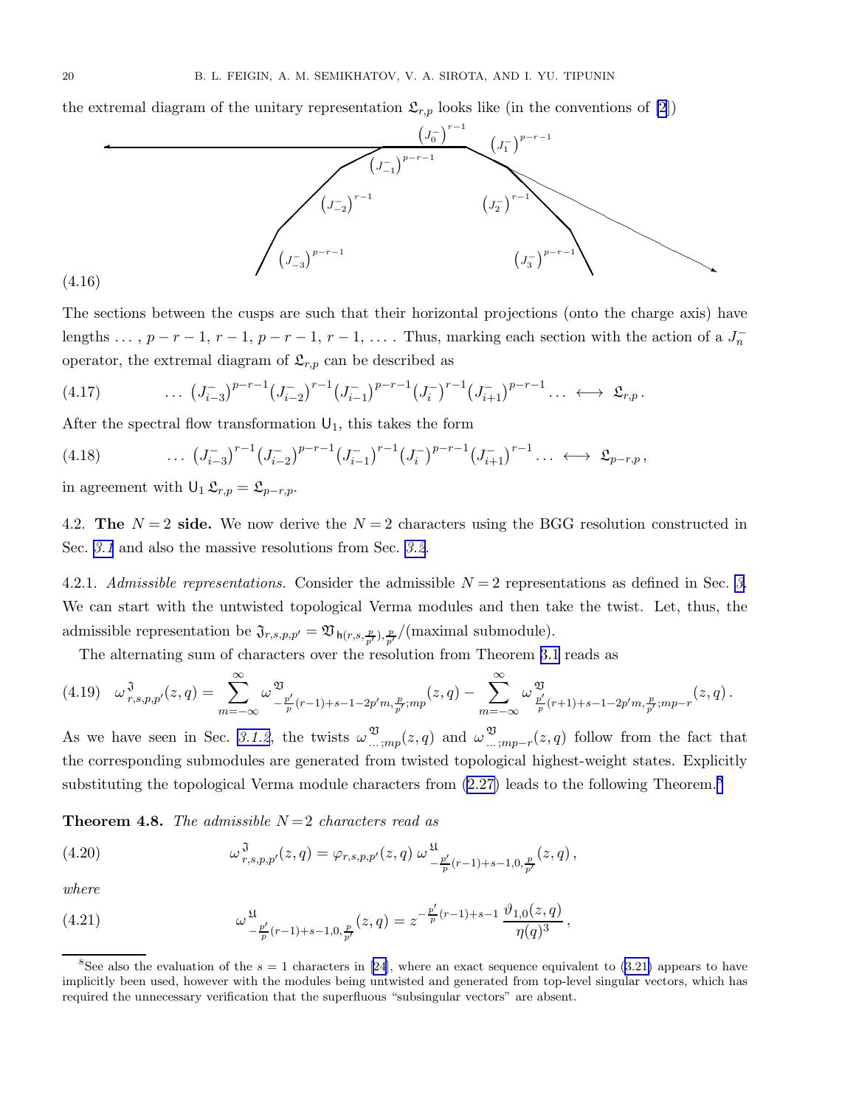<span id="page-19-0"></span>the extremal diagram of the unitary representation  $\mathfrak{L}_{r,p}$  looks like (in the conventions of [\[2](#page-33-0)])



The sections between the cusps are such that their horizontal projections (onto the charge axis) have lengths ...,  $p-r-1$ ,  $r-1$ ,  $p-r-1$ ,  $r-1$ , .... Thus, marking each section with the action of a  $J_n^$ operator, the extremal diagram of  $\mathfrak{L}_{r,p}$  can be described as

$$
(4.17) \qquad \qquad \ldots \ \left( J_{i-3}^{-} \right)^{p-r-1} \left( J_{i-2}^{-} \right)^{r-1} \left( J_{i-1}^{-} \right)^{p-r-1} \left( J_{i}^{-} \right)^{r-1} \left( J_{i+1}^{-} \right)^{p-r-1} \ldots \ \leftrightarrow \ \mathfrak{L}_{r,p} \, .
$$

After the spectral flow transformation  $U_1$ , this takes the form

$$
(4.18) \qquad \qquad \ldots \ \left( J_{i-3}^{-} \right)^{r-1} \left( J_{i-2}^{-} \right)^{p-r-1} \left( J_{i-1}^{-} \right)^{r-1} \left( J_{i}^{-} \right)^{p-r-1} \left( J_{i+1}^{-} \right)^{r-1} \ldots \ \leftrightarrow \ \mathfrak{L}_{p-r,p} \, ,
$$

in agreement with  $\mathsf{U}_1 \mathfrak{L}_{r,p} = \mathfrak{L}_{p-r,p}$ .

4.2. The  $N = 2$  side. We now derive the  $N = 2$  characters using the BGG resolution constructed in Sec. [3.1](#page-9-0) and also the massive resolutions from Sec. [3.2](#page-11-0).

4.2.1. Admissible representations. Consider the admissible  $N = 2$  representations as defined in Sec. [3](#page-9-0). We can start with the untwisted topological Verma modules and then take the twist. Let, thus, the admissible representation be  $\mathfrak{J}_{r,s,p,p'} = \mathfrak{V}_{\mathsf{h}(r,s,\frac{p}{p'},p)}($  maximal submodule).

The alternating sum of characters over the resolution from Theorem [3.1](#page-10-0) reads as

$$
(4.19)\quad \omega^{\mathfrak{J}}_{r,s,p,p'}(z,q) = \sum_{m=-\infty}^{\infty} \omega^{\mathfrak{V}}_{-\frac{p'}{p}(r-1)+s-1-2p'm,\frac{p}{p'};mp}(z,q) - \sum_{m=-\infty}^{\infty} \omega^{\mathfrak{V}}_{\frac{p'}{p}(r+1)+s-1-2p'm,\frac{p}{p'};mp-r}(z,q)\,.
$$

As we have seen in Sec. [3.1.2](#page-10-0), the twists  $\omega^{\mathfrak{V}}$  $\mathfrak{Y}_{\ldots,mp}(z,q)$  and  $\omega \frac{\mathfrak{Y}}{\ldots}$  $\sum_{m=1}^{\infty}$  ;*mp*−r(*z*, *q*) follow from the fact that the corresponding submodules are generated from twisted topological highest-weight states. Explicitly substituting the topological Verma module characters from  $(2.27)$  leads to the following Theorem.<sup>8</sup>

**Theorem 4.8.** The admissible  $N=2$  characters read as

(4.20) 
$$
\omega^{\mathfrak{J}}_{r,s,p,p'}(z,q) = \varphi_{r,s,p,p'}(z,q) \omega^{\mathfrak{U}}_{-\frac{p'}{p}(r-1)+s-1,0,\frac{p}{p'}}(z,q),
$$

where

(4.21) 
$$
\omega^{\mathfrak{U}}_{-\frac{p'}{p}(r-1)+s-1,0,\frac{p}{p'}}(z,q) = z^{-\frac{p'}{p}(r-1)+s-1} \frac{\vartheta_{1,0}(z,q)}{\eta(q)^3},
$$

<sup>&</sup>lt;sup>8</sup>See also the evaluation of the  $s = 1$  characters in [\[24](#page-33-0)], where an exact sequence equivalent to [\(3.21\)](#page-15-0) appears to have implicitly been used, however with the modules being untwisted and generated from top-level singular vectors, which has required the unnecessary verification that the superfluous "subsingular vectors" are absent.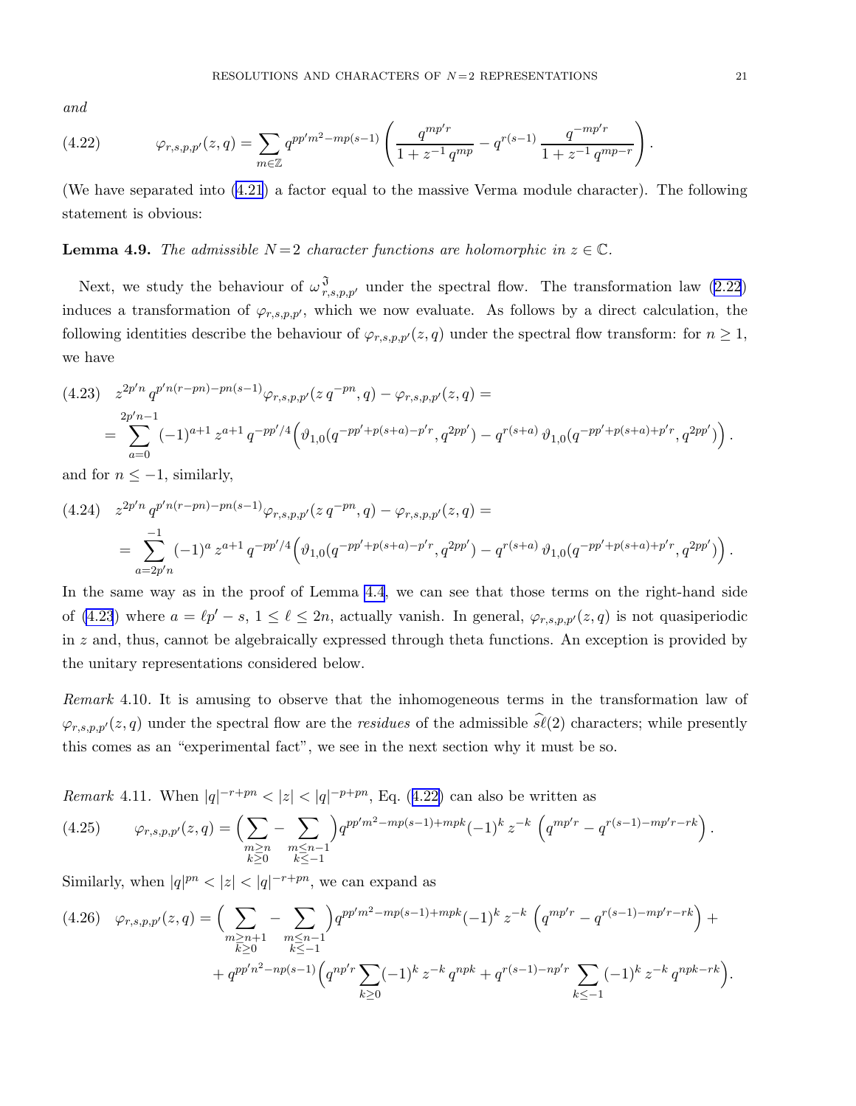<span id="page-20-0"></span>and

(4.22) 
$$
\varphi_{r,s,p,p'}(z,q) = \sum_{m \in \mathbb{Z}} q^{pp'm^2 - mp(s-1)} \left( \frac{q^{mp'r}}{1 + z^{-1} q^{mp}} - q^{r(s-1)} \frac{q^{-mp'r}}{1 + z^{-1} q^{mp-r}} \right).
$$

(We have separated into [\(4.21](#page-19-0)) a factor equal to the massive Verma module character). The following statement is obvious:

**Lemma 4.9.** The admissible  $N = 2$  character functions are holomorphic in  $z \in \mathbb{C}$ .

Next, we study the behaviour of  $\omega_{r,s,p,p'}^{\mathfrak{J}}$  under the spectral flow. The transformation law [\(2.22](#page-7-0)) induces a transformation of  $\varphi_{r,s,p,p'}$ , which we now evaluate. As follows by a direct calculation, the following identities describe the behaviour of  $\varphi_{r,s,p,p'}(z,q)$  under the spectral flow transform: for  $n \geq 1$ , we have

$$
(4.23) \quad z^{2p'n} q^{p'n(r-pn)-pn(s-1)} \varphi_{r,s,p,p'}(z q^{-pn}, q) - \varphi_{r,s,p,p'}(z,q) =
$$
  
= 
$$
\sum_{a=0}^{2p'n-1} (-1)^{a+1} z^{a+1} q^{-pp'/4} \left( \vartheta_{1,0}(q^{-pp'+p(s+a)-p'r}, q^{2pp'}) - q^{r(s+a)} \vartheta_{1,0}(q^{-pp'+p(s+a)+p'r}, q^{2pp'}) \right).
$$

and for  $n \leq -1$ , similarly,

$$
(4.24) \quad z^{2p'n} q^{p'n(r-pn)-pn(s-1)} \varphi_{r,s,p,p'}(z q^{-pn}, q) - \varphi_{r,s,p,p'}(z,q) =
$$
  
= 
$$
\sum_{a=2p'n}^{-1} (-1)^a z^{a+1} q^{-pp'/4} \left( \vartheta_{1,0}(q^{-pp'+p(s+a)-p'r}, q^{2pp'}) - q^{r(s+a)} \vartheta_{1,0}(q^{-pp'+p(s+a)+p'r}, q^{2pp'}) \right).
$$

In the same way as in the proof of Lemma [4.4](#page-17-0), we can see that those terms on the right-hand side of (4.23) where  $a = \ell p' - s$ ,  $1 \leq \ell \leq 2n$ , actually vanish. In general,  $\varphi_{r,s,p,p'}(z,q)$  is not quasiperiodic in  $z$  and, thus, cannot be algebraically expressed through theta functions. An exception is provided by the unitary representations considered below.

Remark 4.10. It is amusing to observe that the inhomogeneous terms in the transformation law of  $\varphi_{r,s,p,p'}(z,q)$  under the spectral flow are the *residues* of the admissible  $\widehat{s\ell}(2)$  characters; while presently this comes as an "experimental fact", we see in the next section why it must be so.

*Remark* 4.11. When  $|q|^{-r+pn} < |z| < |q|^{-p+pn}$ , Eq. (4.22) can also be written as

$$
(4.25) \qquad \varphi_{r,s,p,p'}(z,q) = \left(\sum_{\substack{m \ge n \\ k \ge 0}} - \sum_{\substack{m \le n-1 \\ k \le -1}}\right) q^{pp'm^2 - mp(s-1) + mpk} (-1)^k z^{-k} \left(q^{mp'r} - q^{r(s-1) - mp'r - rk}\right).
$$

Similarly, when  $|q|^{pn} < |z| < |q|^{-r+pn}$ , we can expand as

$$
(4.26) \quad \varphi_{r,s,p,p'}(z,q) = \left(\sum_{\substack{m \ge n+1 \\ k \ge 0}} - \sum_{\substack{m \le n-1 \\ k \le -1}} \right) q^{pp'm^2 - mp(s-1) + mpk} (-1)^k z^{-k} \left( q^{mp'r} - q^{r(s-1) - mp'r - rk} \right) +
$$
  
+ 
$$
q^{pp'n^2 - np(s-1)} \left( q^{np'r} \sum_{k \ge 0} (-1)^k z^{-k} q^{npk} + q^{r(s-1) - np'r} \sum_{k \le -1} (-1)^k z^{-k} q^{npk - rk} \right)
$$

.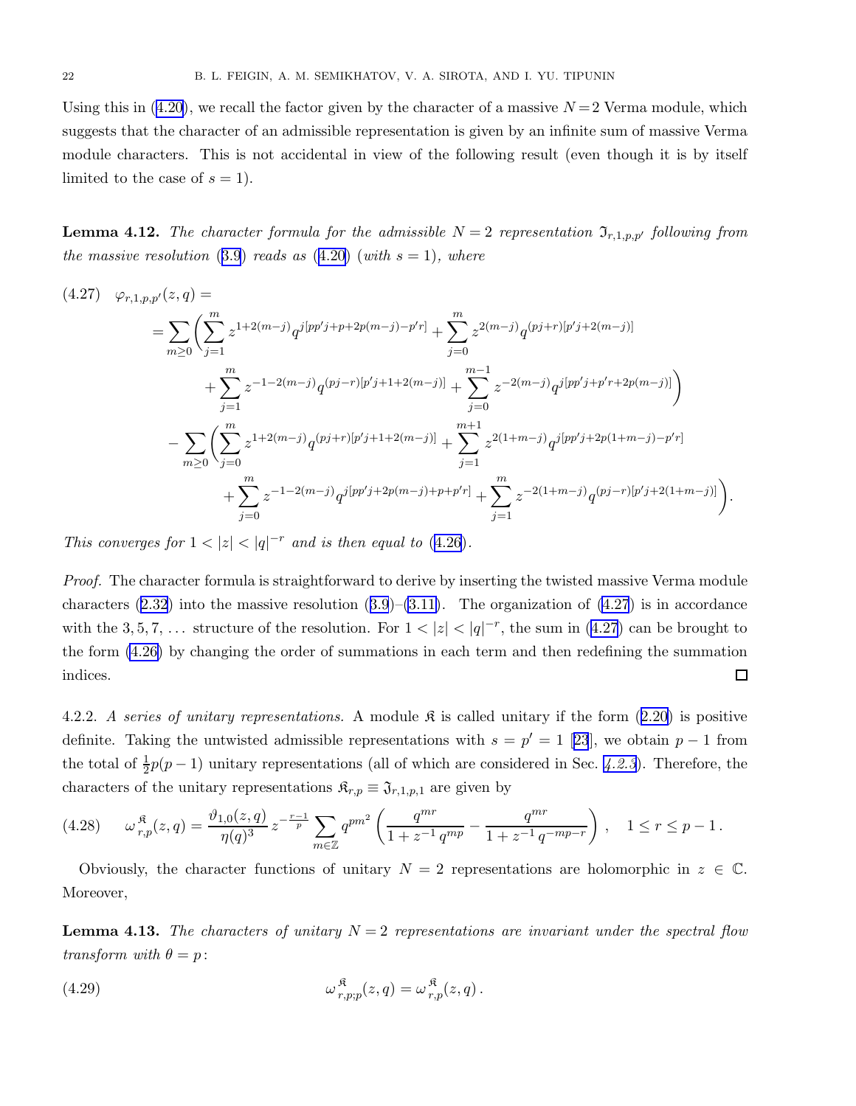<span id="page-21-0"></span>Usingthis in  $(4.20)$  $(4.20)$ , we recall the factor given by the character of a massive  $N=2$  Verma module, which suggests that the character of an admissible representation is given by an infinite sum of massive Verma module characters. This is not accidental in view of the following result (even though it is by itself limited to the case of  $s = 1$ .

**Lemma 4.12.** The character formula for the admissible  $N = 2$  representation  $\mathfrak{I}_{r,1,p,p'}$  following from the massive resolution ([3.9](#page-12-0)) reads as  $(4.20)$  $(4.20)$  $(4.20)$  (with  $s = 1$ ), where

$$
(4.27) \quad \varphi_{r,1,p,p'}(z,q) =
$$
\n
$$
= \sum_{m\geq 0} \left( \sum_{j=1}^{m} z^{1+2(m-j)} q^{j[pp'j+p+2p(m-j)-p'r]} + \sum_{j=0}^{m} z^{2(m-j)} q^{(pj+r)[p'j+2(m-j)]} + \sum_{j=1}^{m} z^{-1-2(m-j)} q^{(pj-r)[p'j+1+2(m-j)]} + \sum_{j=0}^{m-1} z^{-2(m-j)} q^{j[pp'j+p'r+2p(m-j)]} \right)
$$
\n
$$
- \sum_{m\geq 0} \left( \sum_{j=0}^{m} z^{1+2(m-j)} q^{(pj+r)[p'j+1+2(m-j)]} + \sum_{j=1}^{m+1} z^{2(1+m-j)} q^{j[pp'j+2p(1+m-j)-p'r]} + \sum_{j=0}^{m} z^{-1-2(m-j)} q^{j[pp'j+2p(m-j)+p+p'r]} + \sum_{j=1}^{m} z^{-2(1+m-j)} q^{(pj-r)[p'j+2(1+m-j)]} \right).
$$

This converges for  $1 < |z| < |q|^{-r}$  and is then equal to ([4.26](#page-20-0)).

Proof. The character formula is straightforward to derive by inserting the twisted massive Verma module characters $(2.32)$  $(2.32)$  into the massive resolution  $(3.9)$  $(3.9)$  $(3.9)$ – $(3.11)$ . The organization of  $(4.27)$  is in accordance with the 3, 5, 7, ... structure of the resolution. For  $1 < |z| < |q|^{-r}$ , the sum in (4.27) can be brought to the form [\(4.26\)](#page-20-0) by changing the order of summations in each term and then redefining the summation indices.  $\Box$ 

4.2.2.A series of unitary representations. A module  $\mathfrak{K}$  is called unitary if the form ([2.20\)](#page-7-0) is positive definite.Taking the untwisted admissible representations with  $s = p' = 1$  [[23](#page-33-0)], we obtain  $p - 1$  from the total of  $\frac{1}{2}p(p-1)$  unitary representations (all of which are considered in Sec. [4.2.3](#page-23-0)). Therefore, the characters of the unitary representations  $\mathfrak{K}_{r,p} \equiv \mathfrak{J}_{r,1,p,1}$  are given by

$$
(4.28) \qquad \omega_{r,p}^{\mathfrak{K}}(z,q) = \frac{\vartheta_{1,0}(z,q)}{\eta(q)^3} z^{-\frac{r-1}{p}} \sum_{m \in \mathbb{Z}} q^{pm^2} \left( \frac{q^{mr}}{1 + z^{-1} q^{mp}} - \frac{q^{mr}}{1 + z^{-1} q^{-mp-r}} \right), \quad 1 \le r \le p-1.
$$

Obviously, the character functions of unitary  $N = 2$  representations are holomorphic in  $z \in \mathbb{C}$ . Moreover,

**Lemma 4.13.** The characters of unitary  $N = 2$  representations are invariant under the spectral flow transform with  $\theta = p$ :

(4.29) 
$$
\omega_{r,p;p}^{\mathfrak{K}}(z,q) = \omega_{r,p}^{\mathfrak{K}}(z,q).
$$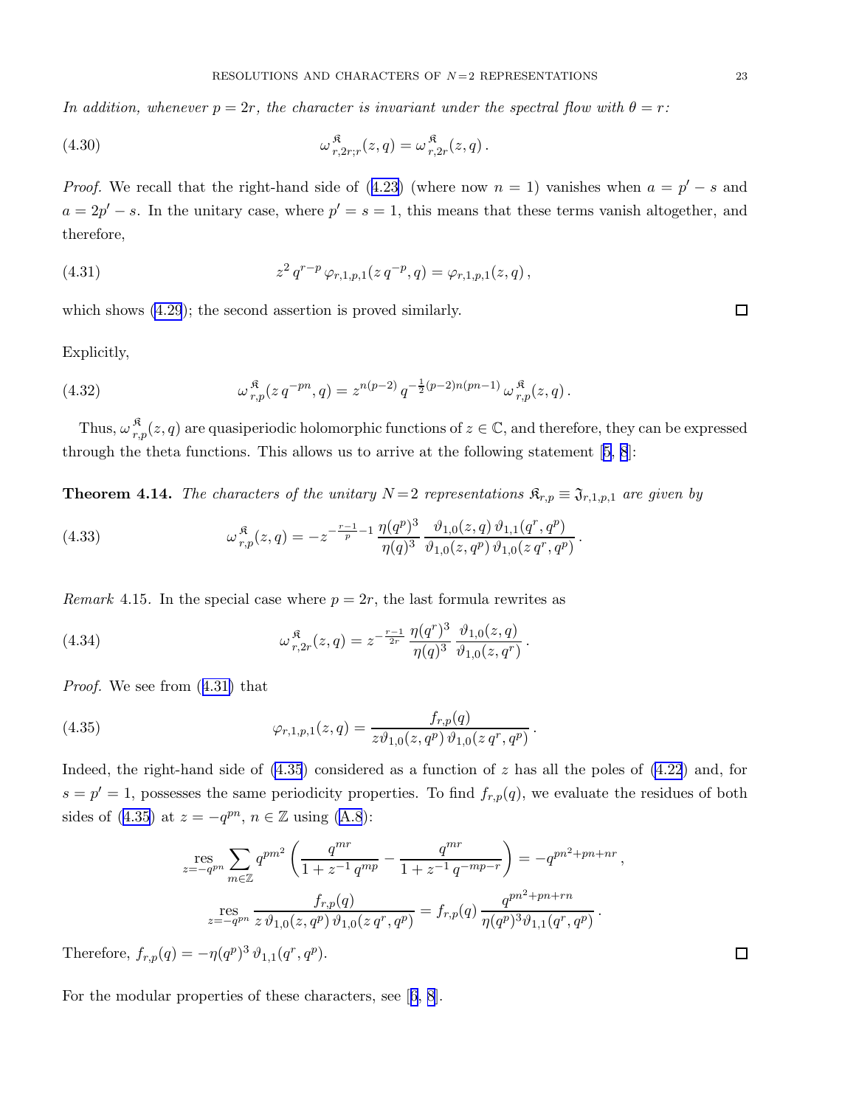<span id="page-22-0"></span>In addition, whenever  $p = 2r$ , the character is invariant under the spectral flow with  $\theta = r$ :

(4.30) 
$$
\omega_{r,2r;r}^{\mathfrak{K}}(z,q) = \omega_{r,2r}^{\mathfrak{K}}(z,q).
$$

*Proof.*We recall that the right-hand side of  $(4.23)$  $(4.23)$  (where now  $n = 1$ ) vanishes when  $a = p' - s$  and  $a = 2p' - s$ . In the unitary case, where  $p' = s = 1$ , this means that these terms vanish altogether, and therefore,

(4.31) 
$$
z^2 q^{r-p} \varphi_{r,1,p,1}(z q^{-p}, q) = \varphi_{r,1,p,1}(z,q),
$$

which shows [\(4.29](#page-21-0)); the second assertion is proved similarly.

Explicitly,

(4.32) 
$$
\omega_{r,p}^{\mathfrak{K}}(z q^{-pn}, q) = z^{n(p-2)} q^{-\frac{1}{2}(p-2)n(pn-1)} \omega_{r,p}^{\mathfrak{K}}(z,q).
$$

Thus,  $\omega_r^{\mathfrak{K}}$  $r_{r,p}(z,q)$  are quasiperiodic holomorphic functions of  $z \in \mathbb{C}$ , and therefore, they can be expressed through the theta functions. This allows us to arrive at the following statement[[5](#page-33-0), [8](#page-33-0)]:

**Theorem 4.14.** The characters of the unitary  $N = 2$  representations  $\mathfrak{K}_{r,p} \equiv \mathfrak{J}_{r,1,p,1}$  are given by

(4.33) 
$$
\omega_{r,p}^{\mathfrak{K}}(z,q) = -z^{-\frac{r-1}{p}-1} \frac{\eta(q^p)^3}{\eta(q)^3} \frac{\vartheta_{1,0}(z,q) \vartheta_{1,1}(q^r,q^p)}{\vartheta_{1,0}(z,q^p) \vartheta_{1,0}(z q^r,q^p)}.
$$

*Remark* 4.15. In the special case where  $p = 2r$ , the last formula rewrites as

(4.34) 
$$
\omega_{r,2r}^{\mathfrak{K}}(z,q) = z^{-\frac{r-1}{2r}} \frac{\eta(q^r)^3}{\eta(q)^3} \frac{\vartheta_{1,0}(z,q)}{\vartheta_{1,0}(z,q^r)}.
$$

Proof. We see from (4.31) that

(4.35) 
$$
\varphi_{r,1,p,1}(z,q) = \frac{f_{r,p}(q)}{z \vartheta_{1,0}(z,q^p) \vartheta_{1,0}(z q^r,q^p)}.
$$

Indeed, the right-hand side of  $(4.35)$  considered as a function of z has all the poles of  $(4.22)$  and, for  $s = p' = 1$ , possesses the same periodicity properties. To find  $f_{r,p}(q)$ , we evaluate the residues of both sidesof (4.35) at  $z = -q^{pn}$ ,  $n \in \mathbb{Z}$  using ([A.8](#page-32-0)):

$$
\mathop{\rm res}_{z=-q^{pn}} \sum_{m\in\mathbb{Z}} q^{pm^2} \left( \frac{q^{mr}}{1+z^{-1}q^{mp}} - \frac{q^{mr}}{1+z^{-1}q^{-mp-r}} \right) = -q^{pn^2+pn+nr},
$$
  

$$
\mathop{\rm res}_{z=-q^{pn}} \frac{f_{r,p}(q)}{z \vartheta_{1,0}(z,q^p) \vartheta_{1,0}(z q^r, q^p)} = f_{r,p}(q) \frac{q^{pn^2+pn+rn}}{\eta(q^p)^3 \vartheta_{1,1}(q^r, q^p)}.
$$

Therefore,  $f_{r,p}(q) = -\eta(q^p)^3 \vartheta_{1,1}(q^r, q^p)$ .

For the modular properties of these characters, see[[6](#page-33-0), [8](#page-33-0)].

 $\Box$ 

 $\Box$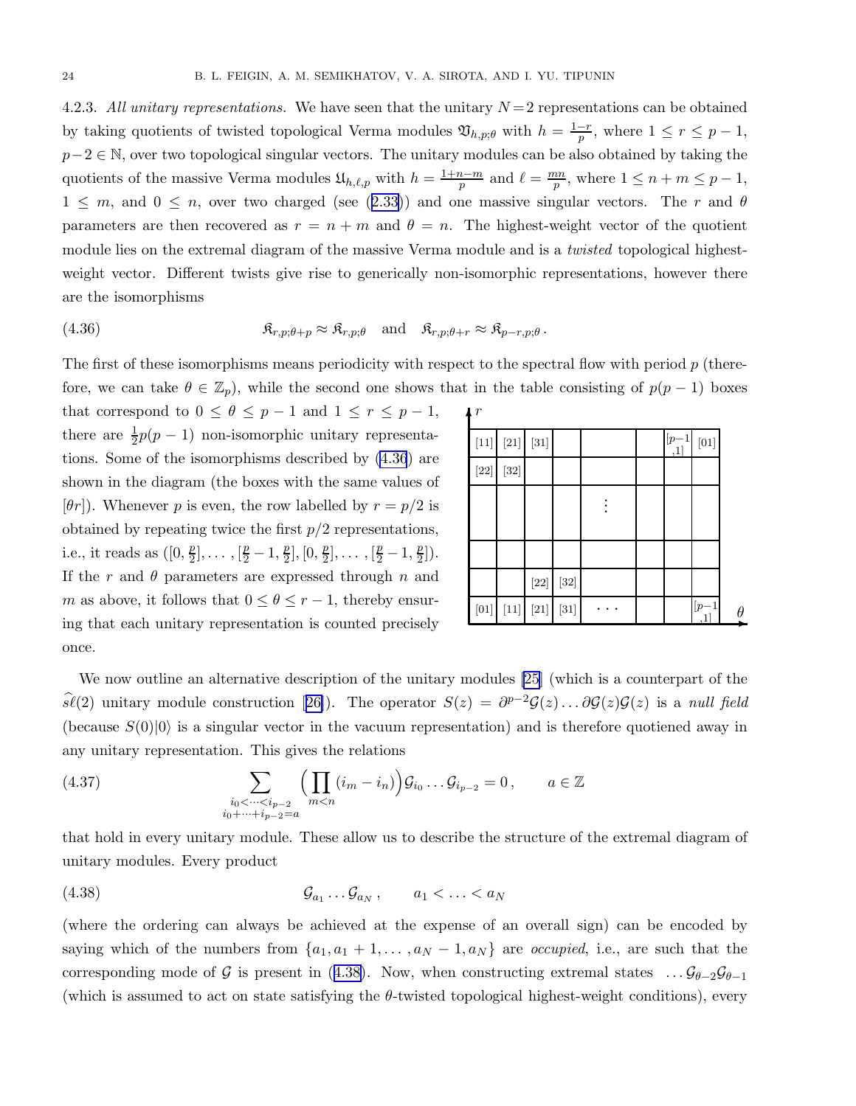<span id="page-23-0"></span>4.2.3. All unitary representations. We have seen that the unitary  $N = 2$  representations can be obtained by taking quotients of twisted topological Verma modules  $\mathfrak{V}_{h,p;\theta}$  with  $h = \frac{1-r}{p}$ , where  $1 \leq r \leq p-1$ ,  $p-2 \in \mathbb{N}$ , over two topological singular vectors. The unitary modules can be also obtained by taking the quotients of the massive Verma modules  $\mathfrak{U}_{h,\ell,p}$  with  $h = \frac{1+n-m}{p}$  and  $\ell = \frac{mn}{p}$  $\frac{m}{p}$ , where  $1 \leq n+m \leq p-1$ ,  $1 \leq m$  $1 \leq m$  $1 \leq m$ , and  $0 \leq n$ , over two charged (see ([2.33\)](#page-9-0)) and one massive singular vectors. The r and  $\theta$ parameters are then recovered as  $r = n + m$  and  $\theta = n$ . The highest-weight vector of the quotient module lies on the extremal diagram of the massive Verma module and is a *twisted* topological highestweight vector. Different twists give rise to generically non-isomorphic representations, however there are the isomorphisms

(4.36) 
$$
\mathfrak{K}_{r,p;\theta+p} \approx \mathfrak{K}_{r,p;\theta} \quad \text{and} \quad \mathfrak{K}_{r,p;\theta+r} \approx \mathfrak{K}_{p-r,p;\theta}.
$$

The first of these isomorphisms means periodicity with respect to the spectral flow with period  $p$  (therefore, we can take  $\theta \in \mathbb{Z}_p$ , while the second one shows that in the table consisting of  $p(p-1)$  boxes

that correspond to  $0 \le \theta \le p-1$  and  $1 \le r \le p-1$ , there are  $\frac{1}{2}p(p-1)$  non-isomorphic unitary representations. Some of the isomorphisms described by (4.36) are shown in the diagram (the boxes with the same values of  $[\theta r]$ ). Whenever p is even, the row labelled by  $r = p/2$  is obtained by repeating twice the first  $p/2$  representations, i.e., it reads as  $([0, \frac{p}{2}$  $\frac{p}{2}$ ],...,  $\left[\frac{p}{2}-1,\frac{p}{2}\right]$  $\frac{p}{2}$ ], [0,  $\frac{p}{2}$  $\frac{p}{2}$ ],...,  $\left[\frac{p}{2}-1,\frac{p}{2}\right]$  $\frac{p}{2}$ . If the  $r$  and  $\theta$  parameters are expressed through  $n$  and m as above, it follows that  $0 \leq \theta \leq r-1$ , thereby ensuring that each unitary representation is counted precisely once.

| $\mathbf{r}$                                                                                                                                                                                                                                                                                                                                                                                                                                                                                                                                                                                                                                                                                                                                                                                                                                                                                       |                    |                                                                                                                                                                                                                                                                                               |                    |  |               |                   |   |
|----------------------------------------------------------------------------------------------------------------------------------------------------------------------------------------------------------------------------------------------------------------------------------------------------------------------------------------------------------------------------------------------------------------------------------------------------------------------------------------------------------------------------------------------------------------------------------------------------------------------------------------------------------------------------------------------------------------------------------------------------------------------------------------------------------------------------------------------------------------------------------------------------|--------------------|-----------------------------------------------------------------------------------------------------------------------------------------------------------------------------------------------------------------------------------------------------------------------------------------------|--------------------|--|---------------|-------------------|---|
|                                                                                                                                                                                                                                                                                                                                                                                                                                                                                                                                                                                                                                                                                                                                                                                                                                                                                                    | $\left[ 21\right]$ | $\left[ 31\right]$                                                                                                                                                                                                                                                                            |                    |  | $[p-1]$<br>,1 | $\left[01\right]$ |   |
| $[22] \centering% \includegraphics[width=1\textwidth]{images/TransY.pdf}% \caption{The figure shows the first text to the first text to the right, the first text is the same as in the right, the second text is the same as in the right, the second text is the same as in the right, and the third text is the same as in the right, the second text is the same as in the right, the second text is the same as in the right, the second text is the same as in the right, the second text is the same as in the right, the second text is the same as in the right, the third text is the same as in the right, the third text is the same as in the right, the third text is the same as in the right, the third text is the same as in the right, the third text is the same as in the right, the third text is the same as in the right, the third text is the same as in the right, the$ | $\left[ 32\right]$ |                                                                                                                                                                                                                                                                                               |                    |  |               |                   |   |
|                                                                                                                                                                                                                                                                                                                                                                                                                                                                                                                                                                                                                                                                                                                                                                                                                                                                                                    |                    |                                                                                                                                                                                                                                                                                               |                    |  |               |                   |   |
|                                                                                                                                                                                                                                                                                                                                                                                                                                                                                                                                                                                                                                                                                                                                                                                                                                                                                                    |                    |                                                                                                                                                                                                                                                                                               |                    |  |               |                   |   |
|                                                                                                                                                                                                                                                                                                                                                                                                                                                                                                                                                                                                                                                                                                                                                                                                                                                                                                    |                    |                                                                                                                                                                                                                                                                                               |                    |  |               |                   |   |
|                                                                                                                                                                                                                                                                                                                                                                                                                                                                                                                                                                                                                                                                                                                                                                                                                                                                                                    |                    | $[22] \centering% \includegraphics[width=1.0\textwidth]{figs/fig_03a.pdf} \caption{Example of the 2D (blue) and the 2D (blue) are shown in the left and right. The left is the same time, the right is the same time. The right is the same time, the right is the same time.} \label{fig:3}$ | $\left[ 32\right]$ |  |               |                   |   |
| $\left[01\right]$                                                                                                                                                                                                                                                                                                                                                                                                                                                                                                                                                                                                                                                                                                                                                                                                                                                                                  |                    | $[21] % \includegraphics[width=0.9\columnwidth]{figures/fig_2b.pdf} \caption{The 2D maps of the parameter $\Omega$ in the left and right. The left is the same time, the right is the same time.} \label{fig:1c}$                                                                             | $[31]$             |  |               | $[p-1]$           | Ĥ |

We now outline an alternative description of the unitary modules [\[25](#page-33-0)] (which is a counterpart of the  $\widehat{s\ell}(2)$ unitary module construction [[26\]](#page-33-0)). The operator  $S(z) = \partial^{p-2} \mathcal{G}(z) \dots \partial \mathcal{G}(z) \mathcal{G}(z)$  is a null field (because  $S(0)|0\rangle$  is a singular vector in the vacuum representation) and is therefore quotiened away in any unitary representation. This gives the relations

(4.37) 
$$
\sum_{\substack{i_0 < \dots < i_{p-2} \\ i_0 + \dots + i_{p-2} = a}} \left( \prod_{m < n} (i_m - i_n) \right) \mathcal{G}_{i_0} \dots \mathcal{G}_{i_{p-2}} = 0, \qquad a \in \mathbb{Z}
$$

that hold in every unitary module. These allow us to describe the structure of the extremal diagram of unitary modules. Every product

Ga<sup>1</sup> . . . Ga<sup>N</sup> (4.38) , a<sup>1</sup> < . . . < a<sup>N</sup>

(where the ordering can always be achieved at the expense of an overall sign) can be encoded by saying which of the numbers from  $\{a_1, a_1 + 1, \ldots, a_N - 1, a_N\}$  are *occupied*, i.e., are such that the corresponding mode of G is present in (4.38). Now, when constructing extremal states  $\ldots$   $\mathcal{G}_{\theta-2}\mathcal{G}_{\theta-1}$ (which is assumed to act on state satisfying the  $\theta$ -twisted topological highest-weight conditions), every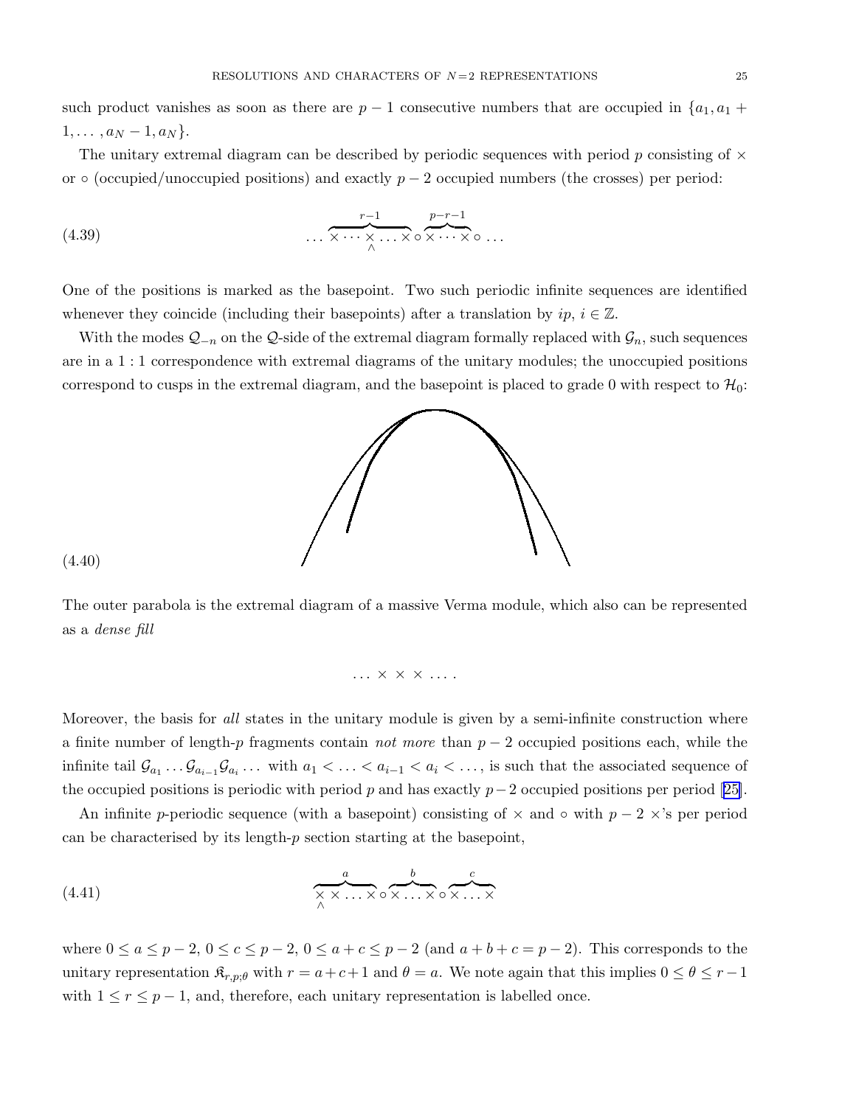such product vanishes as soon as there are  $p-1$  consecutive numbers that are occupied in  $\{a_1, a_1 +$  $1, \ldots, a_N - 1, a_N$ .

The unitary extremal diagram can be described by periodic sequences with period p consisting of  $\times$ or  $\circ$  (occupied/unoccupied positions) and exactly  $p-2$  occupied numbers (the crosses) per period:

(4.39) 
$$
\dots \overbrace{\times \cdots \times \dots \times}_{\wedge} \cdots \times \circ \overbrace{\times \cdots \times}_{\wedge} \circ \dots
$$

One of the positions is marked as the basepoint. Two such periodic infinite sequences are identified whenever they coincide (including their basepoints) after a translation by  $ip, i \in \mathbb{Z}$ .

With the modes  $Q_{-n}$  on the  $Q$ -side of the extremal diagram formally replaced with  $\mathcal{G}_n$ , such sequences are in a 1 : 1 correspondence with extremal diagrams of the unitary modules; the unoccupied positions correspond to cusps in the extremal diagram, and the basepoint is placed to grade 0 with respect to  $\mathcal{H}_0$ :



(4.40)

The outer parabola is the extremal diagram of a massive Verma module, which also can be represented as a dense fill

$$
\ldots \times \times \times \ldots
$$

Moreover, the basis for all states in the unitary module is given by a semi-infinite construction where a finite number of length-p fragments contain *not more* than  $p-2$  occupied positions each, while the infinite tail  $\mathcal{G}_{a_1} \dots \mathcal{G}_{a_{i-1}} \mathcal{G}_{a_i} \dots$  with  $a_1 < \dots < a_{i-1} < a_i < \dots$ , is such that the associated sequence of theoccupied positions is periodic with period p and has exactly  $p-2$  occupied positions per period [[25\]](#page-33-0).

An infinite p-periodic sequence (with a basepoint) consisting of  $\times$  and  $\circ$  with  $p-2\times$ 's per period can be characterised by its length- $p$  section starting at the basepoint,

(4.41) 
$$
\overbrace{\underset{\wedge}{\times \times \dots \times}}^{a} \circ \overbrace{\underset{\wedge}{\times \dots \times}}^{b} \circ \overbrace{\underset{\wedge}{\times \dots \times}}^{c}
$$

where  $0 \le a \le p-2$ ,  $0 \le c \le p-2$ ,  $0 \le a+c \le p-2$  (and  $a+b+c=p-2$ ). This corresponds to the unitary representation  $\mathfrak{K}_{r,p;\theta}$  with  $r = a+c+1$  and  $\theta = a$ . We note again that this implies  $0 \le \theta \le r-1$ with  $1 \le r \le p-1$ , and, therefore, each unitary representation is labelled once.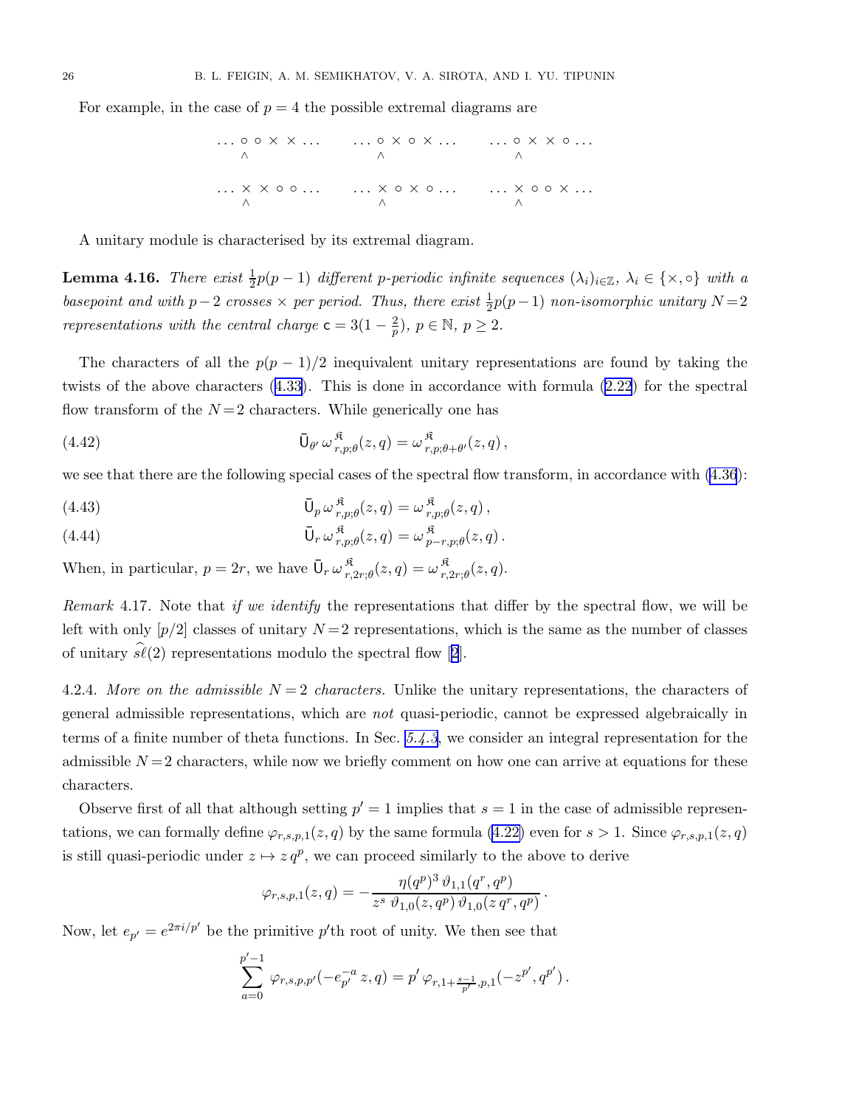<span id="page-25-0"></span>For example, in the case of  $p = 4$  the possible extremal diagrams are

. . . ◦ ◦ × × . . . . . . ◦ × ◦ × . . . . . . ◦ × × ◦ . . . ∧ ∧ ∧ . . . × × ◦ ◦ . . . . . . × ◦ × ◦ . . . . . . × ◦ ◦ × . . . ∧ ∧ ∧

A unitary module is characterised by its extremal diagram.

**Lemma 4.16.** There exist  $\frac{1}{2}p(p-1)$  different p-periodic infinite sequences  $(\lambda_i)_{i\in\mathbb{Z}}$ ,  $\lambda_i \in \{\times, \circ\}$  with a basepoint and with  $p-2$  crosses  $\times$  per period. Thus, there exist  $\frac{1}{2}p(p-1)$  non-isomorphic unitary  $N=2$ representations with the central charge  $c = 3(1 - \frac{2}{p})$  $\frac{2}{p}$ ),  $p \in \mathbb{N}, p \ge 2$ .

The characters of all the  $p(p-1)/2$  inequivalent unitary representations are found by taking the twists of the above characters([4.33\)](#page-22-0). This is done in accordance with formula [\(2.22](#page-7-0)) for the spectral flow transform of the  $N=2$  characters. While generically one has

(4.42) 
$$
\overline{U}_{\theta'} \,\omega_{r,p;\theta}^{\mathfrak{K}}(z,q) = \omega_{r,p;\theta+\theta'}^{\mathfrak{K}}(z,q),
$$

we see that there are the following special cases of the spectral flow transform, in accordance with [\(4.36](#page-23-0)):

(4.43) 
$$
\overline{U}_p \omega_{r,p;\theta}^{\mathfrak{K}}(z,q) = \omega_{r,p;\theta}^{\mathfrak{K}}(z,q),
$$

(4.44) 
$$
\overline{U}_r \omega_{r,p;\theta}^{\mathfrak{K}}(z,q) = \omega_{p-r,p;\theta}^{\mathfrak{K}}(z,q).
$$

When, in particular,  $p = 2r$ , we have  $\overline{\mathsf{U}}_r \omega_{r}^{*}$  $\frac{\mathfrak{K}}{r,2r;\theta}(z,q)=\omega\frac{\mathfrak{K}}{r,}$  $r^{\mathcal{R}}_{r,2r;\theta}(z,q).$ 

Remark 4.17. Note that if we identify the representations that differ by the spectral flow, we will be left with only  $[p/2]$  classes of unitary  $N=2$  representations, which is the same as the number of classes ofunitary  $\hat{\mathfrak{sl}}(2)$  $\hat{\mathfrak{sl}}(2)$  $\hat{\mathfrak{sl}}(2)$  representations modulo the spectral flow [2].

4.2.4. More on the admissible  $N = 2$  characters. Unlike the unitary representations, the characters of general admissible representations, which are not quasi-periodic, cannot be expressed algebraically in terms of a finite number of theta functions. In Sec. [5.4.3](#page-29-0), we consider an integral representation for the admissible  $N=2$  characters, while now we briefly comment on how one can arrive at equations for these characters.

Observe first of all that although setting  $p' = 1$  implies that  $s = 1$  in the case of admissible representations, we can formally define  $\varphi_{r,s,p,1}(z,q)$  by the same formula [\(4.22\)](#page-20-0) even for  $s > 1$ . Since  $\varphi_{r,s,p,1}(z,q)$ is still quasi-periodic under  $z \mapsto z q^p$ , we can proceed similarly to the above to derive

$$
\varphi_{r,s,p,1}(z,q) = -\frac{\eta(q^p)^3 \,\vartheta_{1,1}(q^r,q^p)}{z^s \,\vartheta_{1,0}(z,q^p) \,\vartheta_{1,0}(z\,q^r,q^p)}
$$

.

Now, let  $e_{p'} = e^{2\pi i/p'}$  be the primitive  $p'$ th root of unity. We then see that

$$
\sum_{a=0}^{p'-1} \varphi_{r,s,p,p'}(-e_{p'}^{-a} z, q) = p' \varphi_{r,1+\frac{s-1}{p'},p,1}(-z^{p'},q^{p'}) .
$$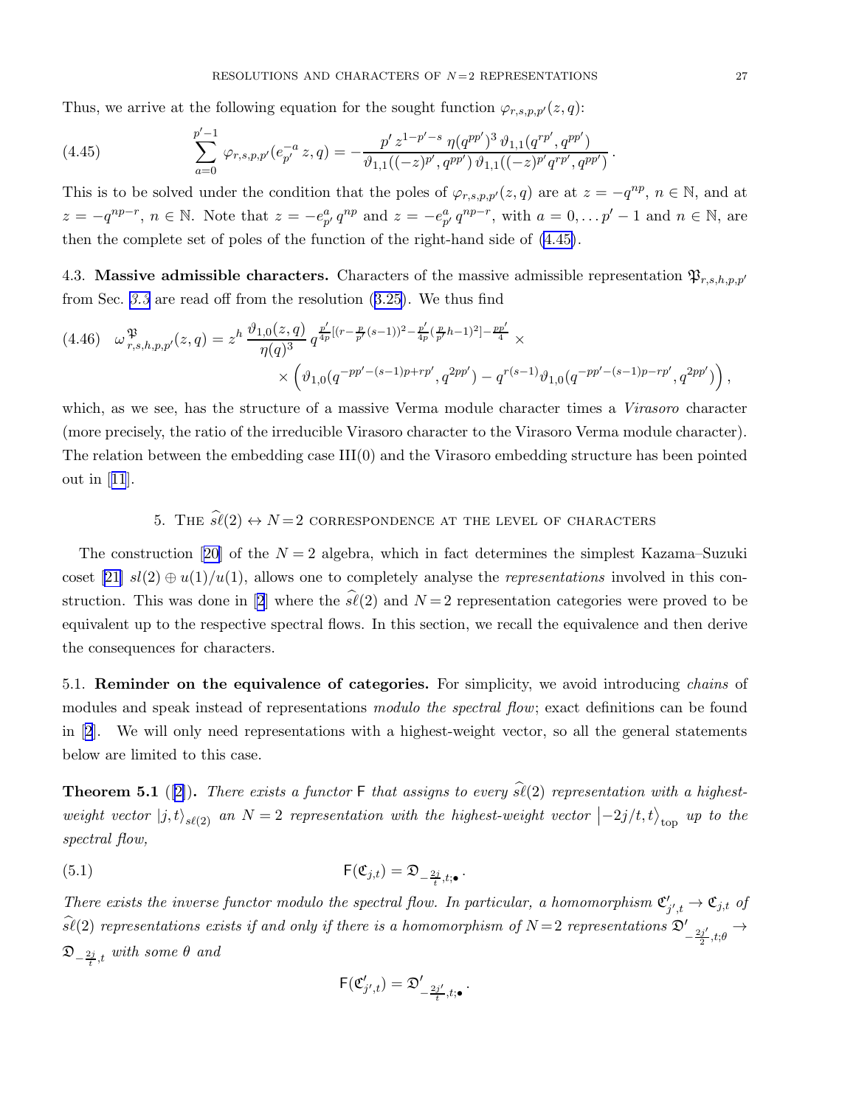<span id="page-26-0"></span>Thus, we arrive at the following equation for the sought function  $\varphi_{r,s,p,p'}(z,q)$ :

(4.45) 
$$
\sum_{a=0}^{p'-1} \varphi_{r,s,p,p'}(e_{p'}^{-a} z, q) = -\frac{p' z^{1-p'-s} \eta(q^{pp'})^3 \vartheta_{1,1}(q^{rp'}, q^{pp'})}{\vartheta_{1,1}((-z)^{p'}, q^{pp'}) \vartheta_{1,1}((-z)^{p'} q^{rp'}, q^{pp'})}.
$$

This is to be solved under the condition that the poles of  $\varphi_{r,s,p,p'}(z,q)$  are at  $z = -q^{np}, n \in \mathbb{N}$ , and at  $z = -q^{np-r}$ ,  $n \in \mathbb{N}$ . Note that  $z = -e_p^a q^{np}$  and  $z = -e_p^a q^{np-r}$ , with  $a = 0, \ldots p' - 1$  and  $n \in \mathbb{N}$ , are then the complete set of poles of the function of the right-hand side of (4.45).

4.3. Massive admissible characters. Characters of the massive admissible representation  $\mathfrak{P}_{r,s,h,p,p'}$ from Sec. [3.3](#page-15-0) are read off from the resolution([3.25](#page-16-0)). We thus find

$$
(4.46) \quad \omega_{r,s,h,p,p'}^{\mathfrak{P}}(z,q) = z^h \frac{\vartheta_{1,0}(z,q)}{\eta(q)^3} q^{\frac{p'}{4p}[(r-\frac{p}{p'}(s-1))^2 - \frac{p'}{4p}(\frac{p}{p'}h-1)^2] - \frac{pp'}{4}} \times \newline \times \left( \vartheta_{1,0}(q^{-pp'-(s-1)p+rp'}, q^{2pp'}) - q^{r(s-1)} \vartheta_{1,0}(q^{-pp'-(s-1)p-rp'}, q^{2pp'}) \right),
$$

which, as we see, has the structure of a massive Verma module character times a Virasoro character (more precisely, the ratio of the irreducible Virasoro character to the Virasoro Verma module character). The relation between the embedding case III(0) and the Virasoro embedding structure has been pointed out in[[11](#page-33-0)].

# 5. THE  $\hat{\mathscr{S}}(2) \leftrightarrow N=2$  correspondence at the level of characters

Theconstruction [[20\]](#page-33-0) of the  $N = 2$  algebra, which in fact determines the simplest Kazama–Suzuki coset [\[21\]](#page-33-0)  $sl(2) \oplus u(1)/u(1)$ , allows one to completely analyse the *representations* involved in this con-struction.This was done in [[2](#page-33-0)] where the  $\hat{s\ell}(2)$  and  $N=2$  representation categories were proved to be equivalent up to the respective spectral flows. In this section, we recall the equivalence and then derive the consequences for characters.

5.1. **Reminder on the equivalence of categories.** For simplicity, we avoid introducing *chains* of modules and speak instead of representations modulo the spectral flow; exact definitions can be found in[[2](#page-33-0)]. We will only need representations with a highest-weight vector, so all the general statements below are limited to this case.

**Theorem 5.1** ([\[2\]](#page-33-0)). There exists a functor  $\mathsf{F}$  that assigns to every  $\widehat{\mathfrak{sl}}(2)$  representation with a highestweight vector  $|j,t\rangle_{s\ell(2)}$  an  $N=2$  representation with the highest-weight vector  $\left|-2j/t,t\right\rangle_{\text{top}}$  up to the spectral flow,

(5.1) 
$$
\mathsf{F}(\mathfrak{C}_{j,t}) = \mathfrak{D}_{-\frac{2j}{t},t;\bullet}.
$$

There exists the inverse functor modulo the spectral flow. In particular, a homomorphism  $\mathfrak{C}'_{j',t} \to \mathfrak{C}_{j,t}$  of  $sl(2)$  representations exists if and only if there is a homomorphism of  $N=2$  representations  $\mathfrak{D}'_{-\frac{2j'}{2}}$  $\frac{y'}{2},t;\theta$ <sup> $\rightarrow$ </sup>  $\mathfrak{D}_{-\frac{2j}{t},t}$  with some  $\theta$  and

$$
\mathsf{F}(\mathfrak{C}'_{j',t})=\mathfrak{D}'_{-\frac{2j'}{t},t;\bullet}.
$$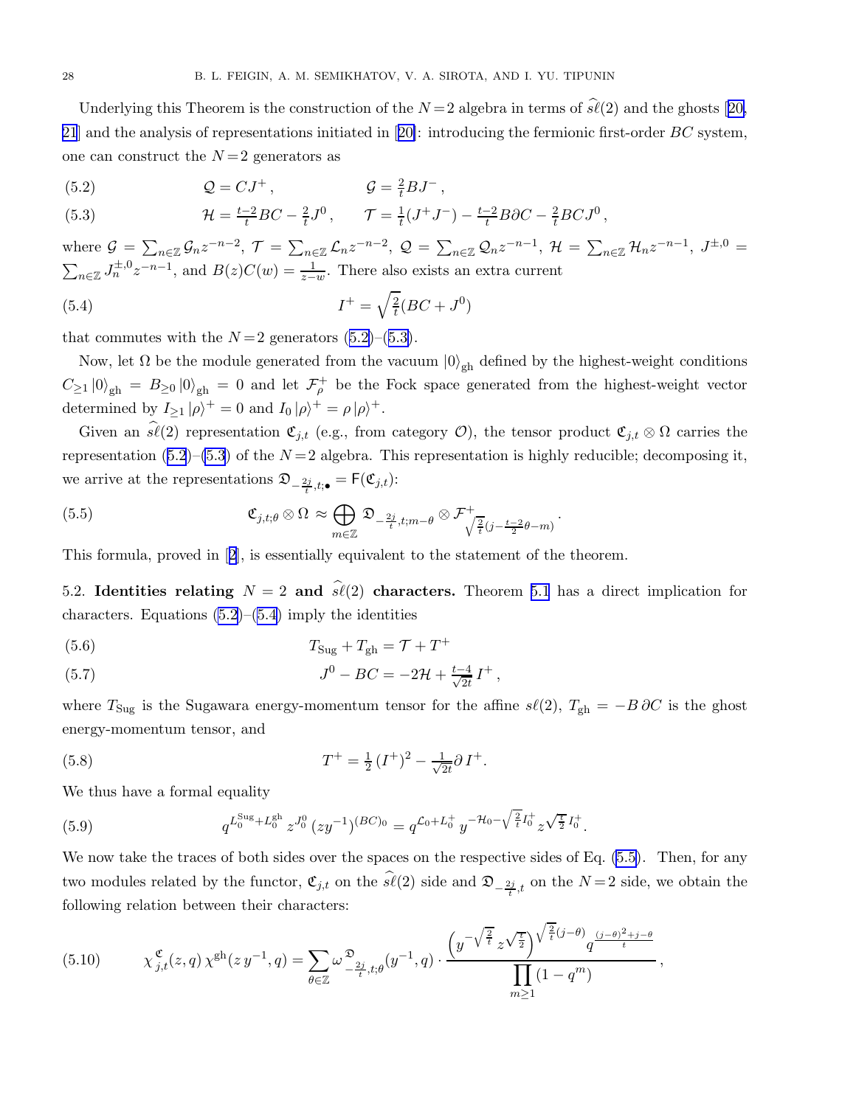<span id="page-27-0"></span>Underlyingthis Theorem is the construction of the  $N=2$  algebra in terms of  $\hat{\mathfrak{sl}}(2)$  and the ghosts [[20,](#page-33-0) [21](#page-33-0)]and the analysis of representations initiated in  $[20]$  $[20]$ : introducing the fermionic first-order  $BC$  system, one can construct the  $N=2$  generators as

(5.2)  $Q = CJ^+, \qquad \qquad \mathcal{G} = \frac{2}{t}BJ^-,$ 

(5.3) 
$$
\mathcal{H} = \frac{t-2}{t}BC - \frac{2}{t}J^0, \qquad \mathcal{T} = \frac{1}{t}(J^+J^-) - \frac{t-2}{t}B\partial C - \frac{2}{t}BCJ^0,
$$

where  $\mathcal{G} = \sum_{n \in \mathbb{Z}} \mathcal{G}_n z^{-n-2}$ ,  $\mathcal{T} = \sum_{n \in \mathbb{Z}} \mathcal{L}_n z^{-n-2}$ ,  $\mathcal{Q} = \sum_{n \in \mathbb{Z}} \mathcal{Q}_n z^{-n-1}$ ,  $\mathcal{H} = \sum_{n \in \mathbb{Z}} \mathcal{H}_n z^{-n-1}$ ,  $J^{\pm,0} =$  $\sum_{n\in\mathbb{Z}} J_n^{\pm,0} z^{-n-1}$ , and  $B(z)C(w) = \frac{1}{z-w}$ . There also exists an extra current

(5.4) 
$$
I^{+} = \sqrt{\frac{2}{t}}(BC + J^{0})
$$

that commutes with the  $N=2$  generators  $(5.2)$ – $(5.3)$ .

Now, let  $\Omega$  be the module generated from the vacuum  $|0\rangle_{\text{gh}}$  defined by the highest-weight conditions  $C_{\geq1}$  |0)<sub>gh</sub> =  $B_{\geq0}$  |0)<sub>gh</sub> = 0 and let  $\mathcal{F}_{\rho}^+$  be the Fock space generated from the highest-weight vector determined by  $I_{\geq 1} |\rho\rangle^+ = 0$  and  $I_0 |\rho\rangle^+ = \rho |\rho\rangle^+$ .

Given an  $\widehat{s\ell}(2)$  representation  $\mathfrak{C}_{j,t}$  (e.g., from category  $\mathcal{O}$ ), the tensor product  $\mathfrak{C}_{j,t} \otimes \Omega$  carries the representation (5.2)–(5.3) of the  $N=2$  algebra. This representation is highly reducible; decomposing it, we arrive at the representations  $\mathfrak{D}_{-\frac{2j}{t},t;\bullet} = \mathsf{F}(\mathfrak{C}_{j,t})$ :

(5.5) 
$$
\mathfrak{C}_{j,t;\theta} \otimes \Omega \approx \bigoplus_{m \in \mathbb{Z}} \mathfrak{D}_{-\frac{2j}{t},t;m-\theta} \otimes \mathcal{F}^+_{\sqrt{\frac{2}{t}}(j-\frac{t-2}{2}\theta-m)}.
$$

This formula, proved in[[2](#page-33-0)], is essentially equivalent to the statement of the theorem.

5.2. Identities relating  $N = 2$  and  $\hat{s\ell}(2)$  characters. Theorem [5.1](#page-26-0) has a direct implication for characters. Equations  $(5.2)$ – $(5.4)$  imply the identities

$$
(5.6) \t\t TSug + Tgh = T + T+
$$

(5.7) 
$$
J^0 - BC = -2\mathcal{H} + \frac{t-4}{\sqrt{2t}}I^+,
$$

where  $T_{\text{Sug}}$  is the Sugawara energy-momentum tensor for the affine  $s\ell(2)$ ,  $T_{\text{gh}} = -B \partial C$  is the ghost energy-momentum tensor, and

(5.8) 
$$
T^{+} = \frac{1}{2} (I^{+})^{2} - \frac{1}{\sqrt{2t}} \partial I^{+}.
$$

We thus have a formal equality

(5.9) 
$$
q^{L_0^{\text{Sug}} + L_0^{\text{gh}}} z^{J_0^0} (zy^{-1})^{(BC)_{0}} = q^{\mathcal{L}_0 + L_0^+} y^{-\mathcal{H}_0 - \sqrt{\frac{2}{t}} I_0^+} z^{\sqrt{\frac{t}{2}} I_0^+}.
$$

We now take the traces of both sides over the spaces on the respective sides of Eq.  $(5.5)$ . Then, for any two modules related by the functor,  $\mathfrak{C}_{j,t}$  on the  $s\ell(2)$  side and  $\mathfrak{D}_{-\frac{2j}{t},t}$  on the  $N=2$  side, we obtain the following relation between their characters:

(5.10) 
$$
\chi_{j,t}^{\mathfrak{C}}(z,q)\chi^{\text{gh}}(z y^{-1},q) = \sum_{\theta \in \mathbb{Z}} \omega \frac{\mathfrak{D}_{z}}{-\frac{2j}{t},t;\theta}(y^{-1},q) \cdot \frac{\left(y^{-\sqrt{\frac{2}{t}}}\,z^{\sqrt{\frac{t}{2}}}\right)^{\sqrt{\frac{2}{t}}(j-\theta)}q^{\frac{(j-\theta)^2+j-\theta}{t}}}{\prod_{m\geq 1}(1-q^m)},
$$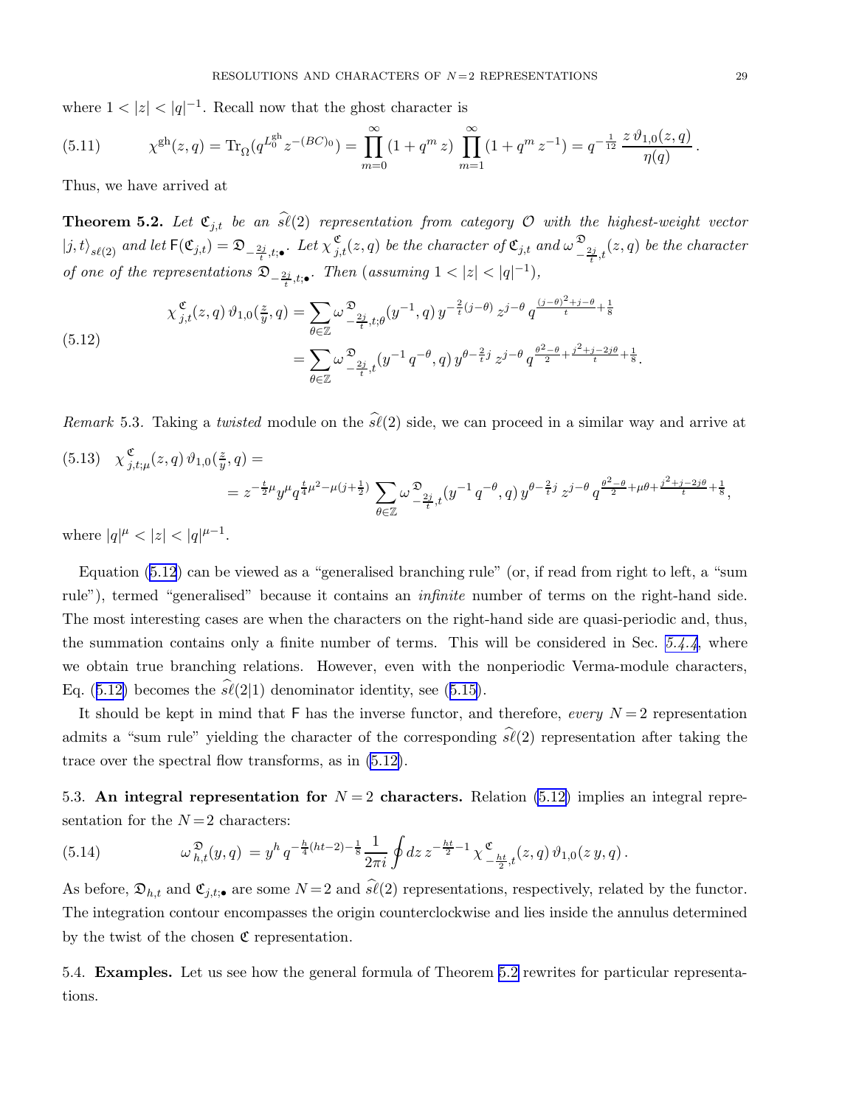<span id="page-28-0"></span>where  $1 < |z| < |q|^{-1}$ . Recall now that the ghost character is

(5.11) 
$$
\chi^{\text{gh}}(z,q) = \text{Tr}_{\Omega}(q^{L_0^{\text{gh}}}z^{-(BC)_0}) = \prod_{m=0}^{\infty} (1+q^m z) \prod_{m=1}^{\infty} (1+q^m z^{-1}) = q^{-\frac{1}{12}} \frac{z \vartheta_{1,0}(z,q)}{\eta(q)}.
$$

Thus, we have arrived at

**Theorem 5.2.** Let  $\mathfrak{C}_{j,t}$  be an  $\widehat{\mathfrak{sl}}(2)$  representation from category  $\mathcal O$  with the highest-weight vector  $|j,t\rangle_{s\ell(2)}$  and let  $\mathsf{F}(\mathfrak{C}_{j,t})=\mathfrak{D}_{-\frac{2j}{t},t;\bullet}$ . Let  $\chi_{j,t}^{\mathfrak{C}}(z,q)$  be the character of  $\mathfrak{C}_{j,t}$  and  $\omega\frac{\mathfrak{D}_{j,t}}{\zeta_{j,t}}$  $\sum_{-\frac{2j}{t},t}^{\infty}(z,q)$  be the character of one of the representations  $\mathfrak{D}_{-\frac{2j}{t},t;\bullet}$ . Then (assuming  $1 < |z| < |q|^{-1}$ ),

$$
\chi_{j,t}^{\mathfrak{C}}(z,q) \vartheta_{1,0}(\frac{z}{y},q) = \sum_{\theta \in \mathbb{Z}} \omega \frac{\mathfrak{D}_{2j}}{-\frac{2j}{t},t;\theta}(y^{-1},q) y^{-\frac{2}{t}(j-\theta)} z^{j-\theta} q^{\frac{(j-\theta)^2+j-\theta}{t}+\frac{1}{8}}
$$
\n
$$
= \sum_{\theta \in \mathbb{Z}} \omega \frac{\mathfrak{D}_{2j}}{-\frac{2j}{t},t}(y^{-1} q^{-\theta},q) y^{\theta-\frac{2}{t}j} z^{j-\theta} q^{\frac{\theta^2-\theta}{2}+\frac{j^2+j-2j\theta}{t}+\frac{1}{8}}.
$$

Remark 5.3. Taking a twisted module on the  $\widehat{sl}(2)$  side, we can proceed in a similar way and arrive at  $(5.13) \quad \chi_i^{\mathfrak{C}}$  $^{\mathfrak{C}}_{j,t;\mu}(z,q)\,\vartheta_{1,0}(\frac{z}{y}% ,u)=-\frac{1}{\pi\hbar\omega t}% \int_{-\infty}^{\infty}(u-s)\,\vartheta_{s}(s)\vartheta_{s}(s)ds,$  $\frac{z}{y},q) =$  $= z^{-\frac{t}{2}\mu}y^{\mu}q^{\frac{t}{4}\mu^2-\mu(j+\frac{1}{2})}\sum$  $\omega^{\mathfrak{D}}$  $\sum_{\substack{2j \ -\frac{2j}{t},t}}^{\infty} (y^{-1}q^{-\theta}, q) y^{\theta - \frac{2}{t}j} z^{j-\theta} q^{\frac{\theta^2 - \theta}{2} + \mu \theta + \frac{j^2 + j - 2j \theta}{t} + \frac{1}{8}},$ 

 $\theta \in \mathbb{Z}$ 

where  $|q|^{\mu} < |z| < |q|^{\mu-1}$ .

Equation (5.12) can be viewed as a "generalised branching rule" (or, if read from right to left, a "sum rule"), termed "generalised" because it contains an *infinite* number of terms on the right-hand side. The most interesting cases are when the characters on the right-hand side are quasi-periodic and, thus, the summation contains only a finite number of terms. This will be considered in Sec. [5.4.4](#page-30-0), where we obtain true branching relations. However, even with the nonperiodic Verma-module characters, Eq.(5.12) becomes the  $s\ell(2|1)$  denominator identity, see ([5.15\)](#page-29-0).

It should be kept in mind that  $\mathsf F$  has the inverse functor, and therefore, every  $N=2$  representation admits a "sum rule" yielding the character of the corresponding  $\hat{s\ell}(2)$  representation after taking the trace over the spectral flow transforms, as in (5.12).

5.3. An integral representation for  $N=2$  characters. Relation (5.12) implies an integral representation for the  $N=2$  characters:

(5.14) 
$$
\omega_{h,t}^{\mathfrak{D}}(y,q) = y^h q^{-\frac{h}{4}(ht-2) - \frac{1}{8}} \frac{1}{2\pi i} \oint dz \, z^{-\frac{ht}{2} - 1} \chi_{-\frac{ht}{2},t}^{\mathfrak{C}}(z,q) \, \vartheta_{1,0}(z\,y,q) \, .
$$

As before,  $\mathfrak{D}_{h,t}$  and  $\mathfrak{C}_{j,t; \bullet}$  are some  $N=2$  and  $\widehat{s\ell}(2)$  representations, respectively, related by the functor. The integration contour encompasses the origin counterclockwise and lies inside the annulus determined by the twist of the chosen  $\mathfrak C$  representation.

5.4. Examples. Let us see how the general formula of Theorem 5.2 rewrites for particular representations.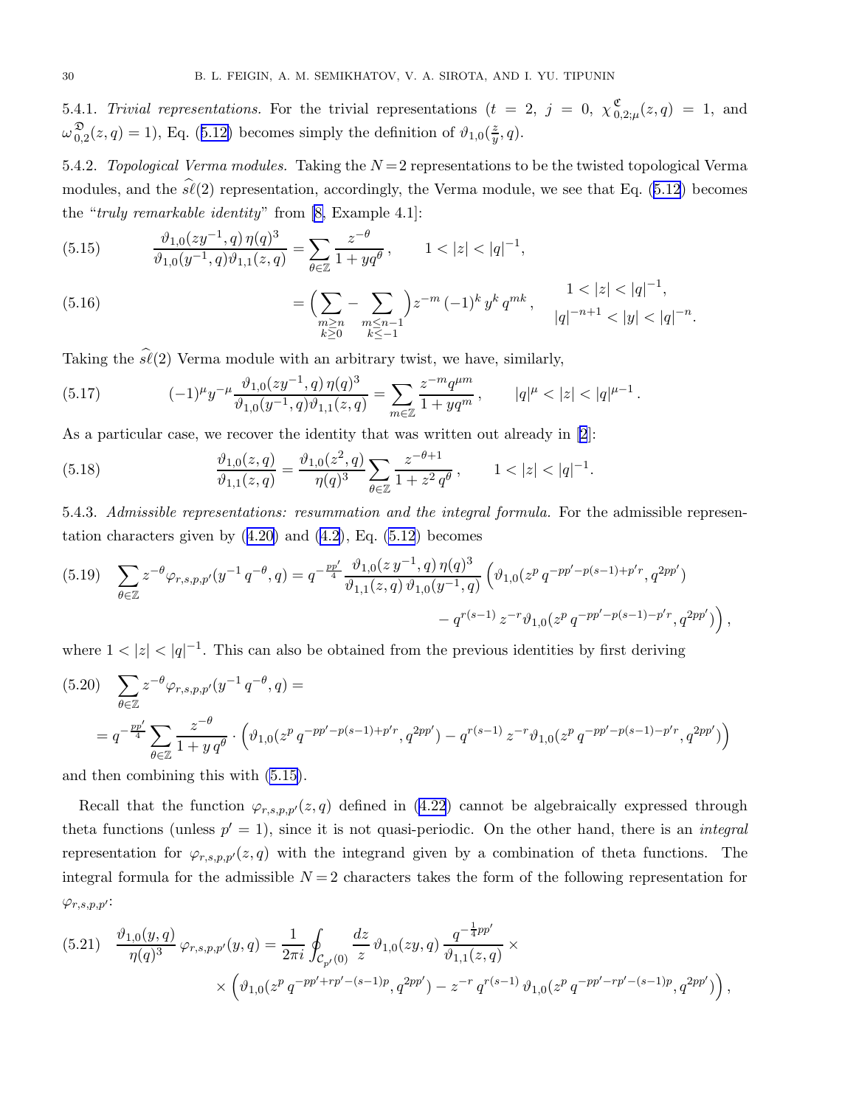<span id="page-29-0"></span>5.4.1. Trivial representations. For the trivial representations  $(t = 2, j = 0, \chi_0^{\mathfrak{C}})$  $\sum_{0,2;\mu}^{\infty}(z,q) = 1$ , and  $\omega_{0}^{\mathfrak{D}}$  $\mathcal{L}_{0,2}^{\mathfrak{D}}(z,q) = 1$  $\mathcal{L}_{0,2}^{\mathfrak{D}}(z,q) = 1$  $\mathcal{L}_{0,2}^{\mathfrak{D}}(z,q) = 1$ , Eq. ([5.12\)](#page-28-0) becomes simply the definition of  $\vartheta_{1,0}(\frac{z}{y})$  $\frac{z}{y}, q$ ).

5.4.2. Topological Verma modules. Taking the  $N=2$  representations to be the twisted topological Verma modules,and the  $\hat{\mathfrak{sl}}(2)$  representation, accordingly, the Verma module, we see that Eq. ([5.12\)](#page-28-0) becomes the "truly remarkable identity" from [\[8,](#page-33-0) Example 4.1]:

(5.15) 
$$
\frac{\vartheta_{1,0}(zy^{-1},q)\,\eta(q)^3}{\vartheta_{1,0}(y^{-1},q)\vartheta_{1,1}(z,q)} = \sum_{\theta\in\mathbb{Z}}\frac{z^{-\theta}}{1+ yq^{\theta}}, \qquad 1<|z|<|q|^{-1},
$$

(5.16) 
$$
= \left(\sum_{\substack{m \ge n \\ k \ge 0}} - \sum_{\substack{m \le n-1 \\ k \le -1}}\right) z^{-m} (-1)^k y^k q^{mk}, \qquad \frac{1 < |z| < |q|^{-1}}{|q|^{-n+1} < |y| < |q|^{-n}.
$$

Taking the  $\hat{\mathfrak{sl}}(2)$  Verma module with an arbitrary twist, we have, similarly,

(5.17) 
$$
(-1)^{\mu} y^{-\mu} \frac{\vartheta_{1,0}(zy^{-1}, q) \eta(q)^3}{\vartheta_{1,0}(y^{-1}, q) \vartheta_{1,1}(z, q)} = \sum_{m \in \mathbb{Z}} \frac{z^{-m} q^{\mu m}}{1 + y q^m}, \qquad |q|^{\mu} < |z| < |q|^{\mu - 1}.
$$

As a particular case, we recover the identity that was written out already in [\[2](#page-33-0)]:

(5.18) 
$$
\frac{\vartheta_{1,0}(z,q)}{\vartheta_{1,1}(z,q)} = \frac{\vartheta_{1,0}(z^2,q)}{\eta(q)^3} \sum_{\theta \in \mathbb{Z}} \frac{z^{-\theta+1}}{1+z^2 q^{\theta}}, \qquad 1 < |z| < |q|^{-1}.
$$

5.4.3. Admissible representations: resummation and the integral formula. For the admissible representationcharacters given by  $(4.20)$  $(4.20)$  and  $(4.2)$ , Eq.  $(5.12)$  becomes

$$
(5.19) \sum_{\theta \in \mathbb{Z}} z^{-\theta} \varphi_{r,s,p,p'}(y^{-1} q^{-\theta}, q) = q^{-\frac{pp'}{4}} \frac{\vartheta_{1,0}(z \, y^{-1}, q) \, \eta(q)^3}{\vartheta_{1,1}(z,q) \, \vartheta_{1,0}(y^{-1}, q)} \left( \vartheta_{1,0}(z^p \, q^{-pp'-p(s-1)+p'r}, q^{2pp'}) - q^{r(s-1)} \, z^{-r} \vartheta_{1,0}(z^p \, q^{-pp'-p(s-1)-p'r}, q^{2pp'}) \right),
$$

where  $1 < |z| < |q|^{-1}$ . This can also be obtained from the previous identities by first deriving

$$
(5.20) \sum_{\theta \in \mathbb{Z}} z^{-\theta} \varphi_{r,s,p,p'}(y^{-1} q^{-\theta}, q) =
$$
  
=  $q^{-\frac{pp'}{4}} \sum_{\theta \in \mathbb{Z}} \frac{z^{-\theta}}{1 + y q^{\theta}} \cdot \left( \vartheta_{1,0}(z^p q^{-pp'-p(s-1)+p'r}, q^{2pp'}) - q^{r(s-1)} z^{-r} \vartheta_{1,0}(z^p q^{-pp'-p(s-1)-p'r}, q^{2pp'}) \right)$ 

and then combining this with (5.15).

Recall that the function  $\varphi_{r,s,p,p'}(z,q)$  defined in [\(4.22](#page-20-0)) cannot be algebraically expressed through theta functions (unless  $p' = 1$ ), since it is not quasi-periodic. On the other hand, there is an *integral* representation for  $\varphi_{r,s,p,p'}(z,q)$  with the integrand given by a combination of theta functions. The integral formula for the admissible  $N = 2$  characters takes the form of the following representation for  $\varphi_{r,s,p,p'}$ :

$$
(5.21) \quad \frac{\vartheta_{1,0}(y,q)}{\eta(q)^3} \varphi_{r,s,p,p'}(y,q) = \frac{1}{2\pi i} \oint_{\mathcal{C}_{p'}(0)} \frac{dz}{z} \vartheta_{1,0}(zy,q) \frac{q^{-\frac{1}{4}pp'}}{\vartheta_{1,1}(z,q)} \times \left( \vartheta_{1,0}(z^p q^{-pp'+rp'-(s-1)p}, q^{2pp'}) - z^{-r} q^{r(s-1)} \vartheta_{1,0}(z^p q^{-pp'-rp'-(s-1)p}, q^{2pp'}) \right),
$$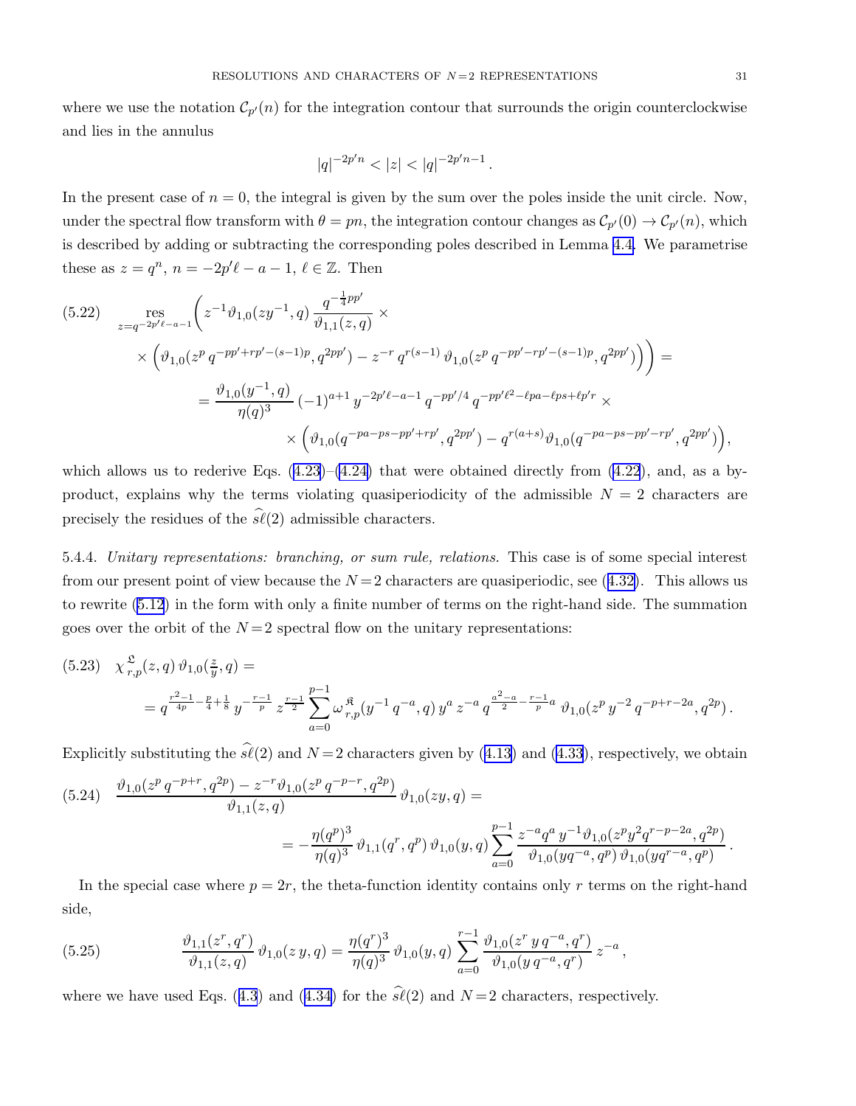<span id="page-30-0"></span>where we use the notation  $\mathcal{C}_{p'}(n)$  for the integration contour that surrounds the origin counterclockwise and lies in the annulus

$$
|q|^{-2p'n} < |z| < |q|^{-2p'n-1} \, .
$$

In the present case of  $n = 0$ , the integral is given by the sum over the poles inside the unit circle. Now, under the spectral flow transform with  $\theta = pn$ , the integration contour changes as  $\mathcal{C}_{p'}(0) \to \mathcal{C}_{p'}(n)$ , which is described by adding or subtracting the corresponding poles described in Lemma [4.4.](#page-17-0) We parametrise these as  $z = q^n$ ,  $n = -2p'\ell - a - 1$ ,  $\ell \in \mathbb{Z}$ . Then

$$
(5.22) \quad \underset{z=q^{-2p'e-a-1}}{\text{res}} \left( z^{-1} \vartheta_{1,0}(zy^{-1}, q) \frac{q^{-\frac{1}{4}pp'}}{\vartheta_{1,1}(z, q)} \times \right.
$$
\n
$$
\times \left( \vartheta_{1,0}(z^p q^{-pp'+rp'-(s-1)p}, q^{2pp'}) - z^{-r} q^{r(s-1)} \vartheta_{1,0}(z^p q^{-pp'-rp'-(s-1)p}, q^{2pp'}) \right) =
$$
\n
$$
= \frac{\vartheta_{1,0}(y^{-1}, q)}{\eta(q)^3} (-1)^{a+1} y^{-2p'e-a-1} q^{-pp'/4} q^{-pp'e^2 - \ell pa - \ell ps + \ell p'r} \times \left( \vartheta_{1,0}(q^{-pa - ps - pp' + rp'}, q^{2pp'}) - q^{r(a+s)} \vartheta_{1,0}(q^{-pa - ps - pp' - rp'}, q^{2pp'}) \right),
$$

whichallows us to rederive Eqs.  $(4.23)$ – $(4.24)$  that were obtained directly from  $(4.22)$  $(4.22)$  $(4.22)$ , and, as a byproduct, explains why the terms violating quasiperiodicity of the admissible  $N = 2$  characters are precisely the residues of the  $\hat{\mathfrak{sl}}(2)$  admissible characters.

5.4.4. Unitary representations: branching, or sum rule, relations. This case is of some special interest fromour present point of view because the  $N=2$  characters are quasiperiodic, see ([4.32\)](#page-22-0). This allows us to rewrite [\(5.12](#page-28-0)) in the form with only a finite number of terms on the right-hand side. The summation goes over the orbit of the  $N=2$  spectral flow on the unitary representations:

$$
(5.23) \quad \chi_{r,p}^{\mathfrak{L}}(z,q) \vartheta_{1,0}(\frac{z}{y},q) =
$$
\n
$$
= q^{\frac{r^2-1}{4p} - \frac{p}{4} + \frac{1}{8}} y^{-\frac{r-1}{p}} z^{\frac{r-1}{2}} \sum_{a=0}^{p-1} \omega_{r,p}^{\mathfrak{K}}(y^{-1} q^{-a}, q) y^a z^{-a} q^{\frac{a^2-a}{2} - \frac{r-1}{p}a} \vartheta_{1,0}(z^p y^{-2} q^{-p+r-2a}, q^{2p}).
$$

Explicitlysubstituting the  $\hat{s\ell}(2)$  and  $N=2$  characters given by ([4.13\)](#page-18-0) and [\(4.33](#page-22-0)), respectively, we obtain

$$
(5.24) \quad \frac{\vartheta_{1,0}(z^p \, q^{-p+r}, q^{2p}) - z^{-r} \vartheta_{1,0}(z^p \, q^{-p-r}, q^{2p})}{\vartheta_{1,1}(z,q)} \vartheta_{1,0}(zy,q) =
$$
\n
$$
= -\frac{\eta(q^p)^3}{\eta(q)^3} \vartheta_{1,1}(q^r, q^p) \vartheta_{1,0}(y,q) \sum_{a=0}^{p-1} \frac{z^{-a} q^a \, y^{-1} \vartheta_{1,0}(z^p y^2 q^{r-p-2a}, q^{2p})}{\vartheta_{1,0}(yq^{-a}, q^p) \vartheta_{1,0}(yq^{r-a}, q^p)}
$$

In the special case where  $p = 2r$ , the theta-function identity contains only r terms on the right-hand side,

(5.25) 
$$
\frac{\vartheta_{1,1}(z^r,q^r)}{\vartheta_{1,1}(z,q)}\,\vartheta_{1,0}(z\,y,q)=\frac{\eta(q^r)^3}{\eta(q)^3}\,\vartheta_{1,0}(y,q)\,\sum_{a=0}^{r-1}\frac{\vartheta_{1,0}(z^r\,y\,q^{-a},q^r)}{\vartheta_{1,0}(y\,q^{-a},q^r)}\,z^{-a}\,,
$$

wherewe have used Eqs. ([4.3](#page-16-0)) and ([4.34\)](#page-22-0) for the  $\hat{\mathfrak{sl}}(2)$  and  $N=2$  characters, respectively.

.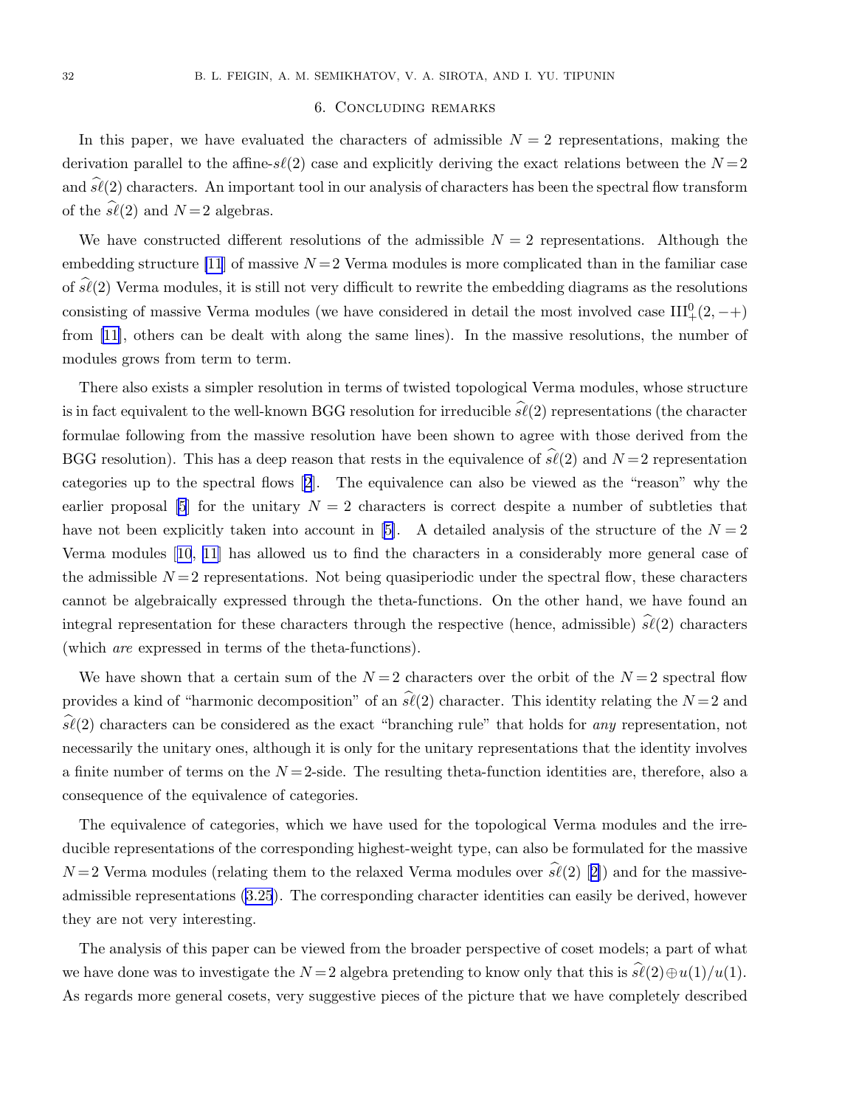### 6. Concluding remarks

<span id="page-31-0"></span>In this paper, we have evaluated the characters of admissible  $N = 2$  representations, making the derivation parallel to the affine- $s\ell(2)$  case and explicitly deriving the exact relations between the  $N=2$ and  $\widehat{s\ell}(2)$  characters. An important tool in our analysis of characters has been the spectral flow transform of the  $s\ell(2)$  and  $N=2$  algebras.

We have constructed different resolutions of the admissible  $N = 2$  representations. Although the embedding structure [\[11](#page-33-0)] of massive  $N = 2$  Verma modules is more complicated than in the familiar case of  $s\ell(2)$  Verma modules, it is still not very difficult to rewrite the embedding diagrams as the resolutions consisting of massive Verma modules (we have considered in detail the most involved case  $III^0_+(2, -+)$ from [\[11\]](#page-33-0), others can be dealt with along the same lines). In the massive resolutions, the number of modules grows from term to term.

There also exists a simpler resolution in terms of twisted topological Verma modules, whose structure is in fact equivalent to the well-known BGG resolution for irreducible  $\widehat{s\ell}(2)$  representations (the character formulae following from the massive resolution have been shown to agree with those derived from the BGG resolution). This has a deep reason that rests in the equivalence of  $\hat{\mathfrak{sl}}(2)$  and  $N=2$  representation categories up to the spectral flows[[2](#page-33-0)]. The equivalence can also be viewed as the "reason" why the earlierproposal [[5](#page-33-0)] for the unitary  $N = 2$  characters is correct despite a number of subtleties that have not been explicitly taken into account in [\[5\]](#page-33-0). A detailed analysis of the structure of the  $N = 2$ Verma modules[[10](#page-33-0), [11](#page-33-0)] has allowed us to find the characters in a considerably more general case of the admissible  $N=2$  representations. Not being quasiperiodic under the spectral flow, these characters cannot be algebraically expressed through the theta-functions. On the other hand, we have found an integral representation for these characters through the respective (hence, admissible)  $\widehat{s\ell}(2)$  characters (which are expressed in terms of the theta-functions).

We have shown that a certain sum of the  $N=2$  characters over the orbit of the  $N=2$  spectral flow provides a kind of "harmonic decomposition" of an  $\hat{\mathfrak{sl}}(2)$  character. This identity relating the  $N=2$  and  $s\ell(2)$  characters can be considered as the exact "branching rule" that holds for any representation, not necessarily the unitary ones, although it is only for the unitary representations that the identity involves a finite number of terms on the  $N=2$ -side. The resulting theta-function identities are, therefore, also a consequence of the equivalence of categories.

The equivalence of categories, which we have used for the topological Verma modules and the irreducible representations of the corresponding highest-weight type, can also be formulated for the massive  $N=2$ Verma modules (relating them to the relaxed Verma modules over  $\hat{\mathfrak{sl}}(2)$  [[2\]](#page-33-0)) and for the massiveadmissible representations [\(3.25](#page-16-0)). The corresponding character identities can easily be derived, however they are not very interesting.

The analysis of this paper can be viewed from the broader perspective of coset models; a part of what we have done was to investigate the  $N = 2$  algebra pretending to know only that this is  $\widehat{s\ell}(2) \oplus u(1)/u(1)$ . As regards more general cosets, very suggestive pieces of the picture that we have completely described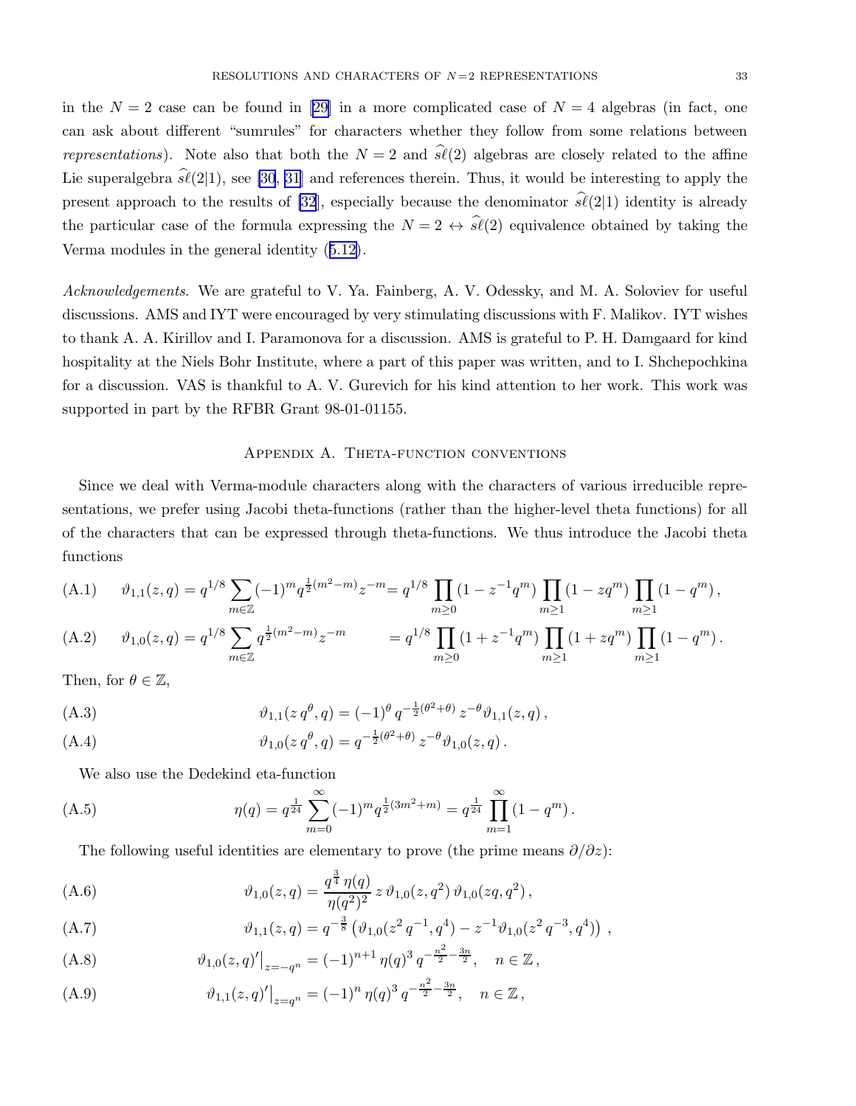<span id="page-32-0"></span>inthe  $N = 2$  case can be found in [[29\]](#page-33-0) in a more complicated case of  $N = 4$  algebras (in fact, one can ask about different "sumrules" for characters whether they follow from some relations between representations). Note also that both the  $N = 2$  and  $\hat{s\ell}(2)$  algebras are closely related to the affine Lie superalgebra  $\hat{\mathfrak{sl}}(2|1)$ , see [\[30](#page-33-0), [31\]](#page-34-0) and references therein. Thus, it would be interesting to apply the present approach to the results of [\[32](#page-34-0)], especially because the denominator  $\hat{\mathfrak{sl}}(2|1)$  identity is already the particular case of the formula expressing the  $N = 2 \leftrightarrow \hat{s\ell}(2)$  equivalence obtained by taking the Verma modules in the general identity([5.12\)](#page-28-0).

Acknowledgements. We are grateful to V. Ya. Fainberg, A. V. Odessky, and M. A. Soloviev for useful discussions. AMS and IYT were encouraged by very stimulating discussions with F. Malikov. IYT wishes to thank A. A. Kirillov and I. Paramonova for a discussion. AMS is grateful to P. H. Damgaard for kind hospitality at the Niels Bohr Institute, where a part of this paper was written, and to I. Shchepochkina for a discussion. VAS is thankful to A. V. Gurevich for his kind attention to her work. This work was supported in part by the RFBR Grant 98-01-01155.

#### Appendix A. Theta-function conventions

Since we deal with Verma-module characters along with the characters of various irreducible representations, we prefer using Jacobi theta-functions (rather than the higher-level theta functions) for all of the characters that can be expressed through theta-functions. We thus introduce the Jacobi theta functions

(A.1) 
$$
\vartheta_{1,1}(z,q) = q^{1/8} \sum_{m \in \mathbb{Z}} (-1)^m q^{\frac{1}{2}(m^2 - m)} z^{-m} = q^{1/8} \prod_{m \ge 0} (1 - z^{-1} q^m) \prod_{m \ge 1} (1 - z q^m) \prod_{m \ge 1} (1 - q^m),
$$

(A.2) 
$$
\vartheta_{1,0}(z,q) = q^{1/8} \sum_{m \in \mathbb{Z}} q^{\frac{1}{2}(m^2 - m)} z^{-m} = q^{1/8} \prod_{m \ge 0} (1 + z^{-1} q^m) \prod_{m \ge 1} (1 + z q^m) \prod_{m \ge 1} (1 - q^m).
$$

Then, for  $\theta \in \mathbb{Z}$ ,

(A.3) 
$$
\vartheta_{1,1}(z q^{\theta}, q) = (-1)^{\theta} q^{-\frac{1}{2}(\theta^2 + \theta)} z^{-\theta} \vartheta_{1,1}(z, q),
$$

(A.4) 
$$
\vartheta_{1,0}(z q^{\theta}, q) = q^{-\frac{1}{2}(\theta^2 + \theta)} z^{-\theta} \vartheta_{1,0}(z, q).
$$

We also use the Dedekind eta-function

(A.5) 
$$
\eta(q) = q^{\frac{1}{24}} \sum_{m=0}^{\infty} (-1)^m q^{\frac{1}{2}(3m^2 + m)} = q^{\frac{1}{24}} \prod_{m=1}^{\infty} (1 - q^m).
$$

The following useful identities are elementary to prove (the prime means  $\partial/\partial z$ ):

(A.6) 
$$
\vartheta_{1,0}(z,q) = \frac{q^{\frac{3}{4}} \eta(q)}{\eta(q^2)^2} z \vartheta_{1,0}(z,q^2) \vartheta_{1,0}(zq,q^2) ,
$$

(A.7) 
$$
\vartheta_{1,1}(z,q) = q^{-\frac{3}{8}} \left( \vartheta_{1,0}(z^2 q^{-1}, q^4) - z^{-1} \vartheta_{1,0}(z^2 q^{-3}, q^4) \right) ,
$$

(A.8) 
$$
\vartheta_{1,0}(z,q)'|_{z=-q^n} = (-1)^{n+1} \eta(q)^3 q^{-\frac{n^2}{2} - \frac{3n}{2}}, \quad n \in \mathbb{Z},
$$

(A.9) 
$$
\vartheta_{1,1}(z,q)' \big|_{z=q^n} = (-1)^n \eta(q)^3 q^{-\frac{n^2}{2} - \frac{3n}{2}}, \quad n \in \mathbb{Z},
$$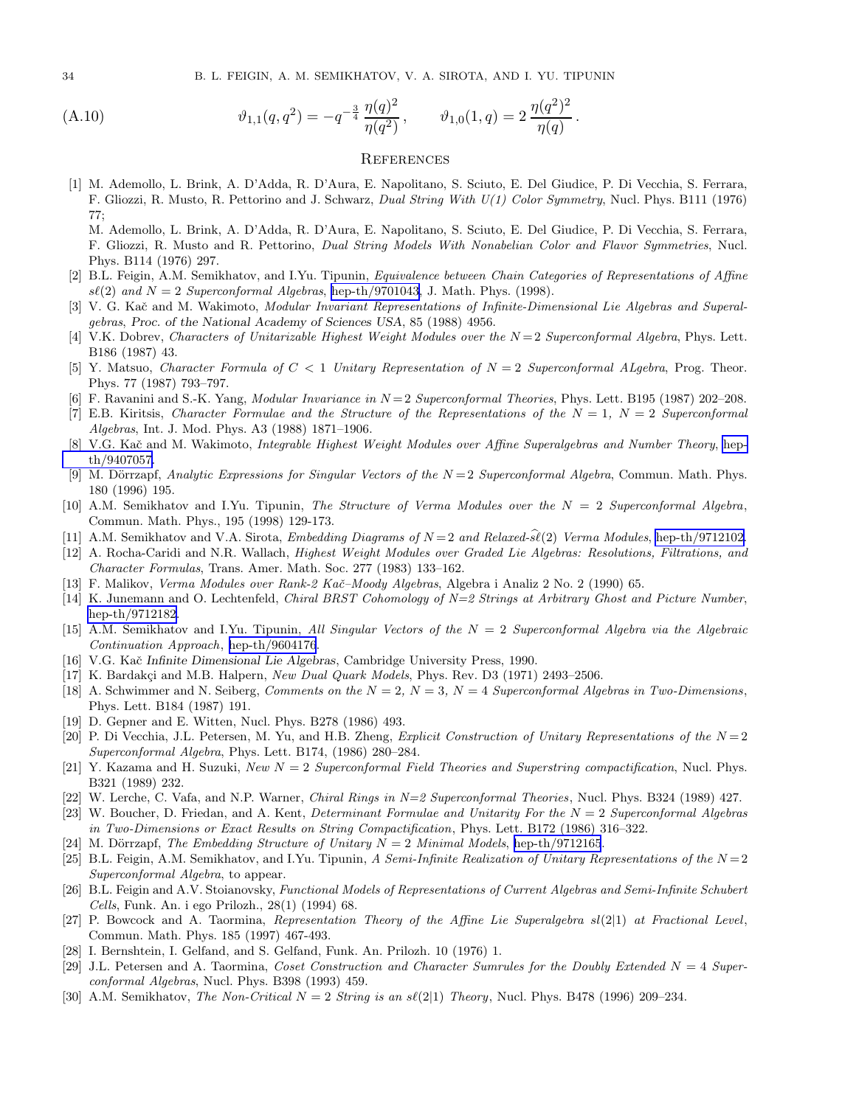<span id="page-33-0"></span>34 B. L. FEIGIN, A. M. SEMIKHATOV, V. A. SIROTA, AND I. YU. TIPUNIN

(A.10) 
$$
\vartheta_{1,1}(q,q^2) = -q^{-\frac{3}{4}} \frac{\eta(q)^2}{\eta(q^2)}, \qquad \vartheta_{1,0}(1,q) = 2 \frac{\eta(q^2)^2}{\eta(q)}.
$$

#### **REFERENCES**

- [1] M. Ademollo, L. Brink, A. D'Adda, R. D'Aura, E. Napolitano, S. Sciuto, E. Del Giudice, P. Di Vecchia, S. Ferrara, F. Gliozzi, R. Musto, R. Pettorino and J. Schwarz, Dual String With U(1) Color Symmetry, Nucl. Phys. B111 (1976) 77;
	- M. Ademollo, L. Brink, A. D'Adda, R. D'Aura, E. Napolitano, S. Sciuto, E. Del Giudice, P. Di Vecchia, S. Ferrara, F. Gliozzi, R. Musto and R. Pettorino, Dual String Models With Nonabelian Color and Flavor Symmetries, Nucl. Phys. B114 (1976) 297.
- [2] B.L. Feigin, A.M. Semikhatov, and I.Yu. Tipunin, Equivalence between Chain Categories of Representations of Affine  $s\ell(2)$  and  $N = 2$  Superconformal Algebras, [hep-th/9701043,](http://arxiv.org/abs/hep-th/9701043) J. Math. Phys. (1998).
- [3] V. G. Kač and M. Wakimoto, Modular Invariant Representations of Infinite-Dimensional Lie Algebras and Superalgebras, Proc. of the National Academy of Sciences USA, 85 (1988) 4956.
- [4] V.K. Dobrev, Characters of Unitarizable Highest Weight Modules over the  $N=2$  Superconformal Algebra, Phys. Lett. B186 (1987) 43.
- [5] Y. Matsuo, Character Formula of C < 1 Unitary Representation of N = 2 Superconformal ALgebra, Prog. Theor. Phys. 77 (1987) 793–797.
- [6] F. Ravanini and S.-K. Yang, *Modular Invariance in*  $N=2$  *Superconformal Theories*, Phys. Lett. B195 (1987) 202-208.
- [7] E.B. Kiritsis, Character Formulae and the Structure of the Representations of the  $N = 1$ ,  $N = 2$  Superconformal Algebras, Int. J. Mod. Phys. A3 (1988) 1871–1906.
- [8] V.G. Kač and M. Wakimoto, *Integrable Highest Weight Modules over Affine Superalgebras and Number Theory*, [hep](http://arxiv.org/abs/hep-th/9407057)[th/9407057.](http://arxiv.org/abs/hep-th/9407057)
- [9] M. Dörrzapf, Analytic Expressions for Singular Vectors of the  $N = 2$  Superconformal Algebra, Commun. Math. Phys. 180 (1996) 195.
- [10] A.M. Semikhatov and I.Yu. Tipunin, The Structure of Verma Modules over the N = 2 Superconformal Algebra, Commun. Math. Phys., 195 (1998) 129-173.
- [11] A.M. Semikhatov and V.A. Sirota, *Embedding Diagrams of*  $N=2$  and Relaxed-s $\hat{i}(2)$  Verma Modules, [hep-th/9712102](http://arxiv.org/abs/hep-th/9712102).
- [12] A. Rocha-Caridi and N.R. Wallach, *Highest Weight Modules over Graded Lie Algebras: Resolutions, Filtrations, and* Character Formulas, Trans. Amer. Math. Soc. 277 (1983) 133–162.
- [13] F. Malikov, Verma Modules over Rank-2 Kač–Moody Algebras, Algebra i Analiz 2 No. 2 (1990) 65.
- [14] K. Junemann and O. Lechtenfeld, Chiral BRST Cohomology of N=2 Strings at Arbitrary Ghost and Picture Number, [hep-th/9712182](http://arxiv.org/abs/hep-th/9712182).
- [15] A.M. Semikhatov and I.Yu. Tipunin, All Singular Vectors of the  $N = 2$  Superconformal Algebra via the Algebraic Continuation Approach, [hep-th/9604176](http://arxiv.org/abs/hep-th/9604176).
- [16] V.G. Kač Infinite Dimensional Lie Algebras, Cambridge University Press, 1990.
- [17] K. Bardakçi and M.B. Halpern, New Dual Quark Models, Phys. Rev. D3 (1971) 2493-2506.
- [18] A. Schwimmer and N. Seiberg, Comments on the  $N = 2$ ,  $N = 3$ ,  $N = 4$  Superconformal Algebras in Two-Dimensions, Phys. Lett. B184 (1987) 191.
- [19] D. Gepner and E. Witten, Nucl. Phys. B278 (1986) 493.
- [20] P. Di Vecchia, J.L. Petersen, M. Yu, and H.B. Zheng, Explicit Construction of Unitary Representations of the  $N=2$ Superconformal Algebra, Phys. Lett. B174, (1986) 280–284.
- [21] Y. Kazama and H. Suzuki, New  $N = 2$  Superconformal Field Theories and Superstring compactification, Nucl. Phys. B321 (1989) 232.
- [22] W. Lerche, C. Vafa, and N.P. Warner, Chiral Rings in N=2 Superconformal Theories, Nucl. Phys. B324 (1989) 427.
- [23] W. Boucher, D. Friedan, and A. Kent, *Determinant Formulae and Unitarity For the*  $N = 2$  Superconformal Algebras in Two-Dimensions or Exact Results on String Compactification, Phys. Lett. B172 (1986) 316–322.
- [24] M. Dörrzapf, The Embedding Structure of Unitary  $N = 2$  Minimal Models, [hep-th/9712165](http://arxiv.org/abs/hep-th/9712165).
- [25] B.L. Feigin, A.M. Semikhatov, and I.Yu. Tipunin, A Semi-Infinite Realization of Unitary Representations of the  $N=2$ Superconformal Algebra, to appear.
- [26] B.L. Feigin and A.V. Stoianovsky, Functional Models of Representations of Current Algebras and Semi-Infinite Schubert Cells, Funk. An. i ego Prilozh., 28(1) (1994) 68.
- [27] P. Bowcock and A. Taormina, Representation Theory of the Affine Lie Superalgebra sl(2|1) at Fractional Level, Commun. Math. Phys. 185 (1997) 467-493.
- [28] I. Bernshtein, I. Gelfand, and S. Gelfand, Funk. An. Prilozh. 10 (1976) 1.
- [29] J.L. Petersen and A. Taormina, Coset Construction and Character Sumrules for the Doubly Extended  $N = 4$  Superconformal Algebras, Nucl. Phys. B398 (1993) 459.
- [30] A.M. Semikhatov, The Non-Critical  $N = 2$  String is an  $s\ell(2|1)$  Theory, Nucl. Phys. B478 (1996) 209–234.